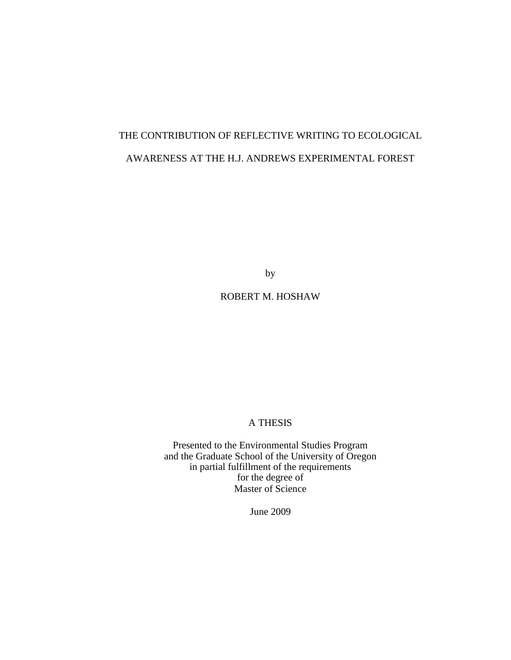# THE CONTRIBUTION OF REFLECTIVE WRITING TO ECOLOGICAL AWARENESS AT THE H.J. ANDREWS EXPERIMENTAL FOREST

by

ROBERT M. HOSHAW

# A THESIS

Presented to the Environmental Studies Program and the Graduate School of the University of Oregon in partial fulfillment of the requirements for the degree of Master of Science

June 2009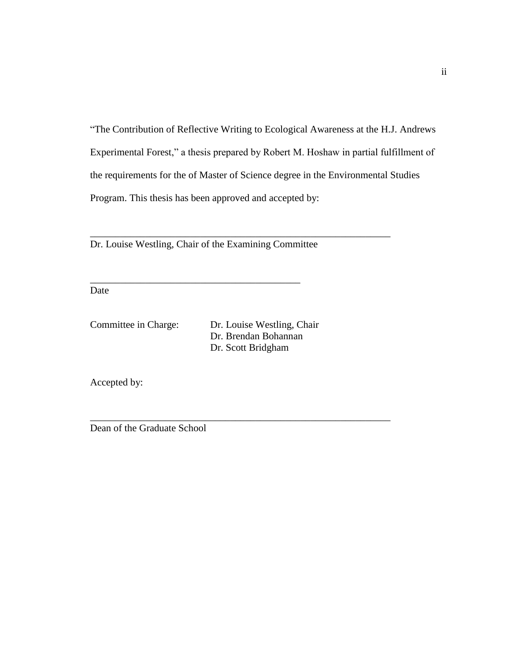―The Contribution of Reflective Writing to Ecological Awareness at the H.J. Andrews Experimental Forest," a thesis prepared by Robert M. Hoshaw in partial fulfillment of the requirements for the of Master of Science degree in the Environmental Studies Program. This thesis has been approved and accepted by:

\_\_\_\_\_\_\_\_\_\_\_\_\_\_\_\_\_\_\_\_\_\_\_\_\_\_\_\_\_\_\_\_\_\_\_\_\_\_\_\_\_\_\_\_\_\_\_\_\_\_\_\_\_\_\_\_\_\_\_\_

\_\_\_\_\_\_\_\_\_\_\_\_\_\_\_\_\_\_\_\_\_\_\_\_\_\_\_\_\_\_\_\_\_\_\_\_\_\_\_\_\_\_\_\_\_\_\_\_\_\_\_\_\_\_\_\_\_\_\_\_

Dr. Louise Westling, Chair of the Examining Committee

\_\_\_\_\_\_\_\_\_\_\_\_\_\_\_\_\_\_\_\_\_\_\_\_\_\_\_\_\_\_\_\_\_\_\_\_\_\_\_\_\_\_

Date

Committee in Charge: Dr. Louise Westling, Chair Dr. Brendan Bohannan Dr. Scott Bridgham

Accepted by:

Dean of the Graduate School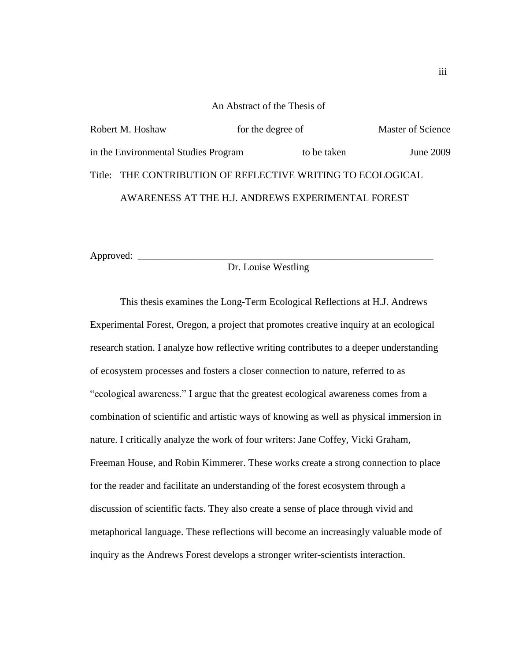#### An Abstract of the Thesis of

| Robert M. Hoshaw                                            | for the degree of |             | <b>Master of Science</b> |
|-------------------------------------------------------------|-------------------|-------------|--------------------------|
| in the Environmental Studies Program                        |                   | to be taken | <b>June 2009</b>         |
| Title: THE CONTRIBUTION OF REFLECTIVE WRITING TO ECOLOGICAL |                   |             |                          |
| AWARENESS AT THE H.J. ANDREWS EXPERIMENTAL FOREST           |                   |             |                          |

Approved:

# Dr. Louise Westling

This thesis examines the Long-Term Ecological Reflections at H.J. Andrews Experimental Forest, Oregon, a project that promotes creative inquiry at an ecological research station. I analyze how reflective writing contributes to a deeper understanding of ecosystem processes and fosters a closer connection to nature, referred to as "ecological awareness." I argue that the greatest ecological awareness comes from a combination of scientific and artistic ways of knowing as well as physical immersion in nature. I critically analyze the work of four writers: Jane Coffey, Vicki Graham, Freeman House, and Robin Kimmerer. These works create a strong connection to place for the reader and facilitate an understanding of the forest ecosystem through a discussion of scientific facts. They also create a sense of place through vivid and metaphorical language. These reflections will become an increasingly valuable mode of inquiry as the Andrews Forest develops a stronger writer-scientists interaction.

iii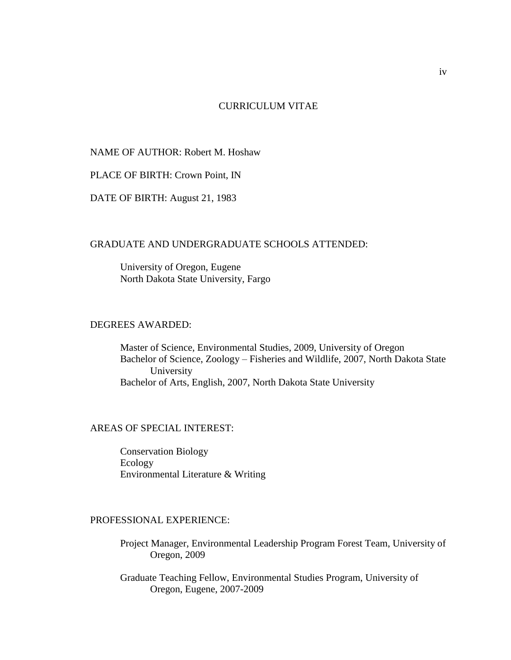# CURRICULUM VITAE

# NAME OF AUTHOR: Robert M. Hoshaw

PLACE OF BIRTH: Crown Point, IN

DATE OF BIRTH: August 21, 1983

# GRADUATE AND UNDERGRADUATE SCHOOLS ATTENDED:

University of Oregon, Eugene North Dakota State University, Fargo

### DEGREES AWARDED:

Master of Science, Environmental Studies, 2009, University of Oregon Bachelor of Science, Zoology – Fisheries and Wildlife, 2007, North Dakota State University Bachelor of Arts, English, 2007, North Dakota State University

# AREAS OF SPECIAL INTEREST:

Conservation Biology Ecology Environmental Literature & Writing

# PROFESSIONAL EXPERIENCE:

Project Manager, Environmental Leadership Program Forest Team, University of Oregon, 2009

Graduate Teaching Fellow, Environmental Studies Program, University of Oregon, Eugene, 2007-2009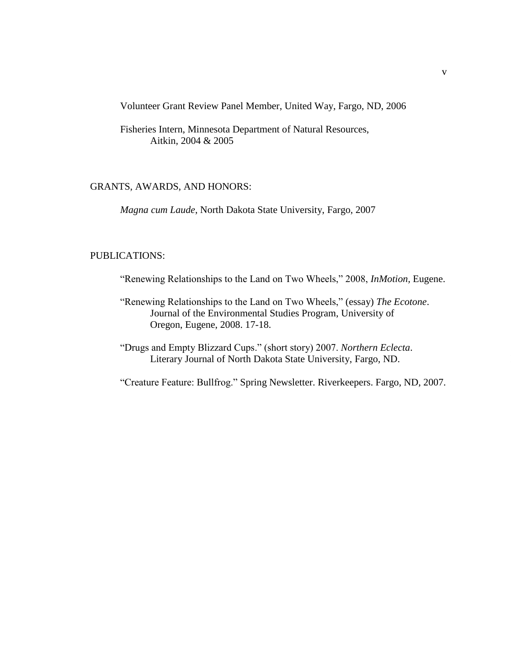Volunteer Grant Review Panel Member, United Way, Fargo, ND, 2006

Fisheries Intern, Minnesota Department of Natural Resources, Aitkin, 2004 & 2005

### GRANTS, AWARDS, AND HONORS:

*Magna cum Laude*, North Dakota State University, Fargo, 2007

### PUBLICATIONS:

- "Renewing Relationships to the Land on Two Wheels," 2008, *InMotion*, Eugene.
- "Renewing Relationships to the Land on Two Wheels," (essay) *The Ecotone*. Journal of the Environmental Studies Program, University of Oregon, Eugene, 2008. 17-18.
- ―Drugs and Empty Blizzard Cups.‖ (short story) 2007. *Northern Eclecta*. Literary Journal of North Dakota State University, Fargo, ND.

―Creature Feature: Bullfrog.‖ Spring Newsletter. Riverkeepers. Fargo, ND, 2007.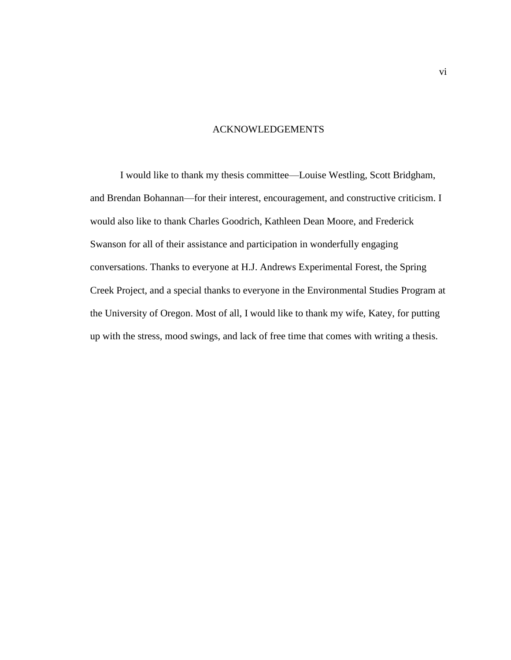# ACKNOWLEDGEMENTS

I would like to thank my thesis committee—Louise Westling, Scott Bridgham, and Brendan Bohannan—for their interest, encouragement, and constructive criticism. I would also like to thank Charles Goodrich, Kathleen Dean Moore, and Frederick Swanson for all of their assistance and participation in wonderfully engaging conversations. Thanks to everyone at H.J. Andrews Experimental Forest, the Spring Creek Project, and a special thanks to everyone in the Environmental Studies Program at the University of Oregon. Most of all, I would like to thank my wife, Katey, for putting up with the stress, mood swings, and lack of free time that comes with writing a thesis.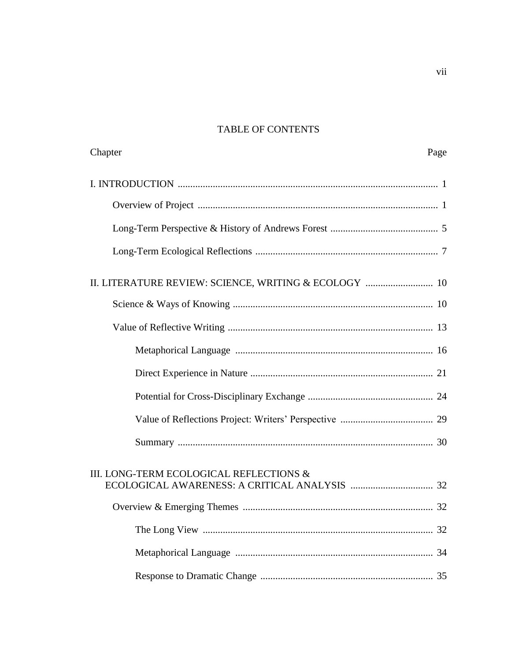# **TABLE OF CONTENTS**

| Chapter                                               | Page |
|-------------------------------------------------------|------|
|                                                       |      |
|                                                       |      |
|                                                       |      |
|                                                       |      |
| II. LITERATURE REVIEW: SCIENCE, WRITING & ECOLOGY  10 |      |
|                                                       |      |
|                                                       |      |
|                                                       |      |
|                                                       |      |
|                                                       |      |
|                                                       |      |
|                                                       |      |
| III. LONG-TERM ECOLOGICAL REFLECTIONS &               |      |
|                                                       |      |
|                                                       |      |
|                                                       |      |
|                                                       |      |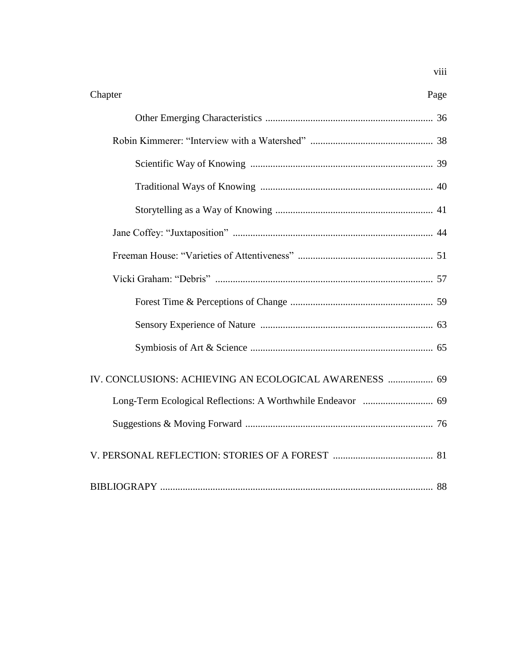| Chapter                                                | Page |
|--------------------------------------------------------|------|
|                                                        |      |
|                                                        |      |
|                                                        |      |
|                                                        |      |
|                                                        |      |
|                                                        |      |
|                                                        |      |
|                                                        |      |
|                                                        |      |
|                                                        |      |
|                                                        |      |
| IV. CONCLUSIONS: ACHIEVING AN ECOLOGICAL AWARENESS  69 |      |
|                                                        |      |
|                                                        |      |
|                                                        |      |
|                                                        |      |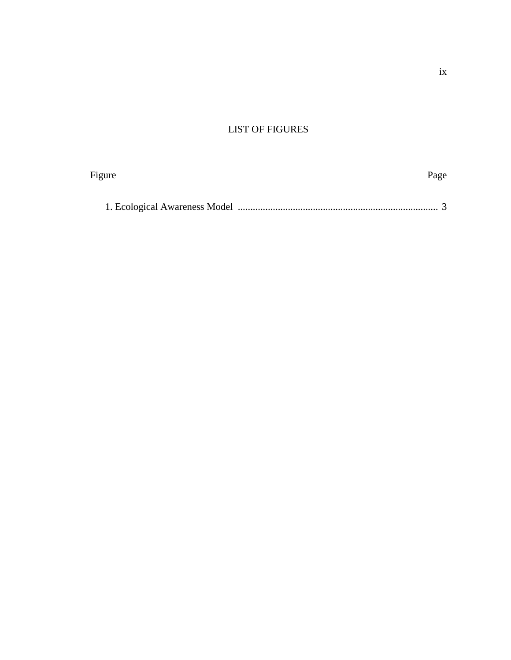# LIST OF FIGURES

| Figure | Page |
|--------|------|
|        |      |
|        |      |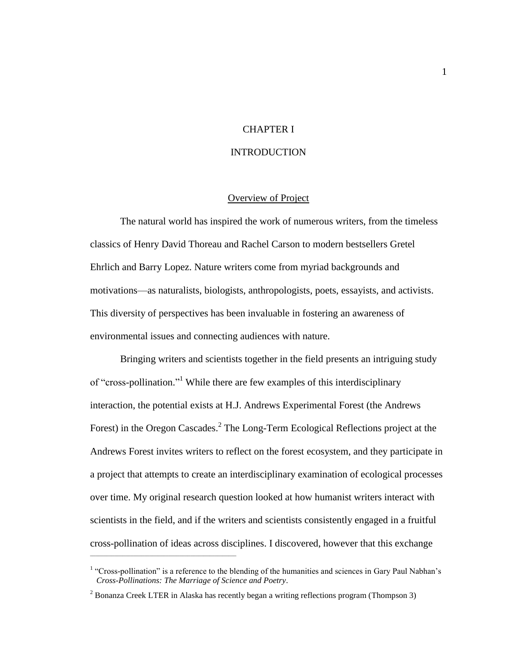# CHAPTER I

### **INTRODUCTION**

### Overview of Project

The natural world has inspired the work of numerous writers, from the timeless classics of Henry David Thoreau and Rachel Carson to modern bestsellers Gretel Ehrlich and Barry Lopez. Nature writers come from myriad backgrounds and motivations—as naturalists, biologists, anthropologists, poets, essayists, and activists. This diversity of perspectives has been invaluable in fostering an awareness of environmental issues and connecting audiences with nature.

Bringing writers and scientists together in the field presents an intriguing study of "cross-pollination."<sup>1</sup> While there are few examples of this interdisciplinary interaction, the potential exists at H.J. Andrews Experimental Forest (the Andrews Forest) in the Oregon Cascades.<sup>2</sup> The Long-Term Ecological Reflections project at the Andrews Forest invites writers to reflect on the forest ecosystem, and they participate in a project that attempts to create an interdisciplinary examination of ecological processes over time. My original research question looked at how humanist writers interact with scientists in the field, and if the writers and scientists consistently engaged in a fruitful cross-pollination of ideas across disciplines. I discovered, however that this exchange

\_\_\_\_\_\_\_\_\_\_\_\_\_\_\_\_\_\_\_\_\_\_\_\_\_\_\_\_\_\_\_\_\_\_\_\_\_\_\_\_\_\_\_\_\_\_\_\_\_\_\_\_\_\_

<sup>&</sup>lt;sup>1</sup> "Cross-pollination" is a reference to the blending of the humanities and sciences in Gary Paul Nabhan's *Cross-Pollinations: The Marriage of Science and Poetry*.

<sup>&</sup>lt;sup>2</sup> Bonanza Creek LTER in Alaska has recently began a writing reflections program (Thompson 3)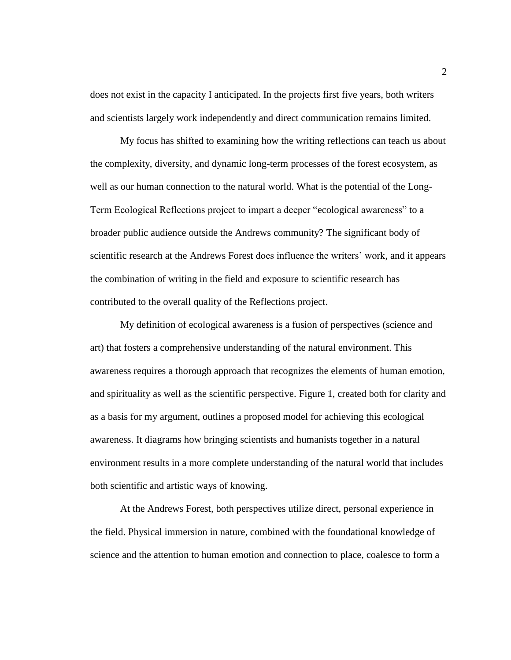does not exist in the capacity I anticipated. In the projects first five years, both writers and scientists largely work independently and direct communication remains limited.

My focus has shifted to examining how the writing reflections can teach us about the complexity, diversity, and dynamic long-term processes of the forest ecosystem, as well as our human connection to the natural world. What is the potential of the Long-Term Ecological Reflections project to impart a deeper "ecological awareness" to a broader public audience outside the Andrews community? The significant body of scientific research at the Andrews Forest does influence the writers' work, and it appears the combination of writing in the field and exposure to scientific research has contributed to the overall quality of the Reflections project.

My definition of ecological awareness is a fusion of perspectives (science and art) that fosters a comprehensive understanding of the natural environment. This awareness requires a thorough approach that recognizes the elements of human emotion, and spirituality as well as the scientific perspective. Figure 1, created both for clarity and as a basis for my argument, outlines a proposed model for achieving this ecological awareness. It diagrams how bringing scientists and humanists together in a natural environment results in a more complete understanding of the natural world that includes both scientific and artistic ways of knowing.

At the Andrews Forest, both perspectives utilize direct, personal experience in the field. Physical immersion in nature, combined with the foundational knowledge of science and the attention to human emotion and connection to place, coalesce to form a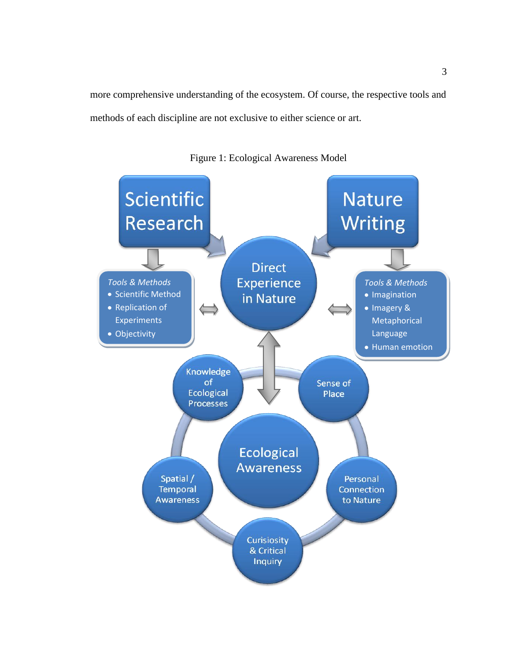more comprehensive understanding of the ecosystem. Of course, the respective tools and methods of each discipline are not exclusive to either science or art.



Figure 1: Ecological Awareness Model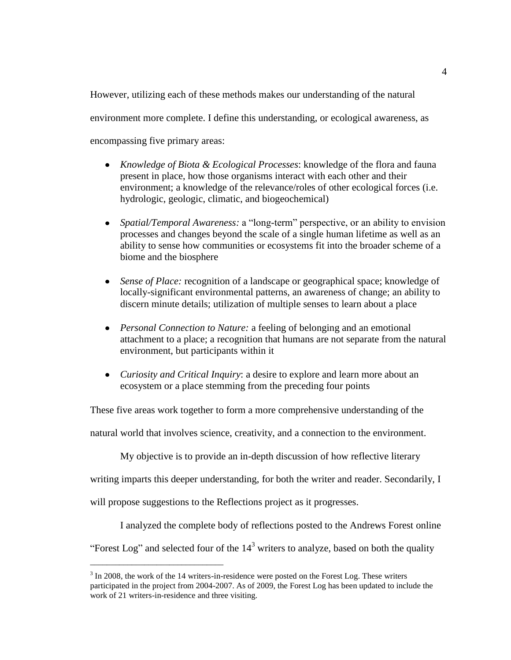However, utilizing each of these methods makes our understanding of the natural environment more complete. I define this understanding, or ecological awareness, as encompassing five primary areas:

- $\bullet$ *Knowledge of Biota & Ecological Processes*: knowledge of the flora and fauna present in place, how those organisms interact with each other and their environment; a knowledge of the relevance/roles of other ecological forces (i.e. hydrologic, geologic, climatic, and biogeochemical)
- *Spatial/Temporal Awareness: a* "long-term" perspective, or an ability to envision  $\bullet$ processes and changes beyond the scale of a single human lifetime as well as an ability to sense how communities or ecosystems fit into the broader scheme of a biome and the biosphere
- *Sense of Place:* recognition of a landscape or geographical space; knowledge of  $\bullet$ locally-significant environmental patterns, an awareness of change; an ability to discern minute details; utilization of multiple senses to learn about a place
- *Personal Connection to Nature:* a feeling of belonging and an emotional attachment to a place; a recognition that humans are not separate from the natural environment, but participants within it
- *Curiosity and Critical Inquiry*: a desire to explore and learn more about an  $\bullet$ ecosystem or a place stemming from the preceding four points

These five areas work together to form a more comprehensive understanding of the

natural world that involves science, creativity, and a connection to the environment.

My objective is to provide an in-depth discussion of how reflective literary

writing imparts this deeper understanding, for both the writer and reader. Secondarily, I

will propose suggestions to the Reflections project as it progresses.

\_\_\_\_\_\_\_\_\_\_\_\_\_\_\_\_\_\_\_\_\_\_\_\_\_\_\_\_\_\_\_\_

I analyzed the complete body of reflections posted to the Andrews Forest online

"Forest Log" and selected four of the  $14<sup>3</sup>$  writers to analyze, based on both the quality

 $3 \text{ In } 2008$ , the work of the 14 writers-in-residence were posted on the Forest Log. These writers participated in the project from 2004-2007. As of 2009, the Forest Log has been updated to include the work of 21 writers-in-residence and three visiting.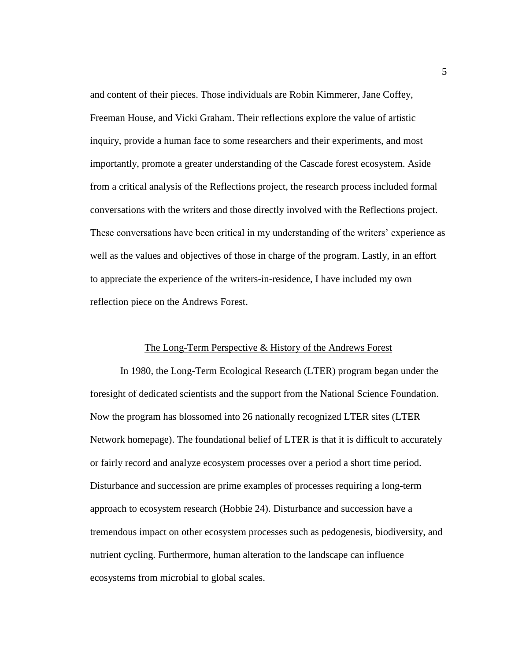and content of their pieces. Those individuals are Robin Kimmerer, Jane Coffey, Freeman House, and Vicki Graham. Their reflections explore the value of artistic inquiry, provide a human face to some researchers and their experiments, and most importantly, promote a greater understanding of the Cascade forest ecosystem. Aside from a critical analysis of the Reflections project, the research process included formal conversations with the writers and those directly involved with the Reflections project. These conversations have been critical in my understanding of the writers' experience as well as the values and objectives of those in charge of the program. Lastly, in an effort to appreciate the experience of the writers-in-residence, I have included my own reflection piece on the Andrews Forest.

### The Long-Term Perspective & History of the Andrews Forest

In 1980, the Long-Term Ecological Research (LTER) program began under the foresight of dedicated scientists and the support from the National Science Foundation. Now the program has blossomed into 26 nationally recognized LTER sites (LTER Network homepage). The foundational belief of LTER is that it is difficult to accurately or fairly record and analyze ecosystem processes over a period a short time period. Disturbance and succession are prime examples of processes requiring a long-term approach to ecosystem research (Hobbie 24). Disturbance and succession have a tremendous impact on other ecosystem processes such as pedogenesis, biodiversity, and nutrient cycling. Furthermore, human alteration to the landscape can influence ecosystems from microbial to global scales.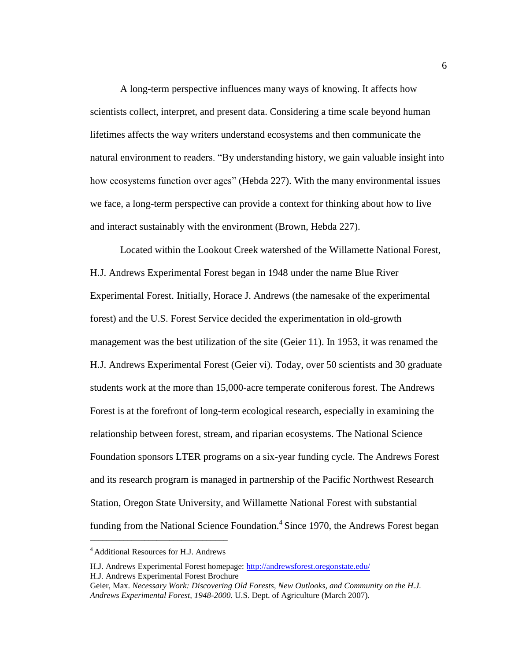A long-term perspective influences many ways of knowing. It affects how scientists collect, interpret, and present data. Considering a time scale beyond human lifetimes affects the way writers understand ecosystems and then communicate the natural environment to readers. "By understanding history, we gain valuable insight into how ecosystems function over ages" (Hebda 227). With the many environmental issues we face, a long-term perspective can provide a context for thinking about how to live and interact sustainably with the environment (Brown, Hebda 227).

Located within the Lookout Creek watershed of the Willamette National Forest, H.J. Andrews Experimental Forest began in 1948 under the name Blue River Experimental Forest. Initially, Horace J. Andrews (the namesake of the experimental forest) and the U.S. Forest Service decided the experimentation in old-growth management was the best utilization of the site (Geier 11). In 1953, it was renamed the H.J. Andrews Experimental Forest (Geier vi). Today, over 50 scientists and 30 graduate students work at the more than 15,000-acre temperate coniferous forest. The Andrews Forest is at the forefront of long-term ecological research, especially in examining the relationship between forest, stream, and riparian ecosystems. The National Science Foundation sponsors LTER programs on a six-year funding cycle. The Andrews Forest and its research program is managed in partnership of the Pacific Northwest Research Station, Oregon State University, and Willamette National Forest with substantial funding from the National Science Foundation.<sup>4</sup> Since 1970, the Andrews Forest began

\_\_\_\_\_\_\_\_\_\_\_\_\_\_\_\_\_\_\_\_\_\_\_\_\_\_\_\_\_\_\_\_\_ <sup>4</sup>Additional Resources for H.J. Andrews

H.J. Andrews Experimental Forest homepage: http://andrewsforest.oregonstate.edu/ H.J. Andrews Experimental Forest Brochure

Geier, Max. *Necessary Work: Discovering Old Forests, New Outlooks, and Community on the H.J. Andrews Experimental Forest, 1948-2000*. U.S. Dept. of Agriculture (March 2007).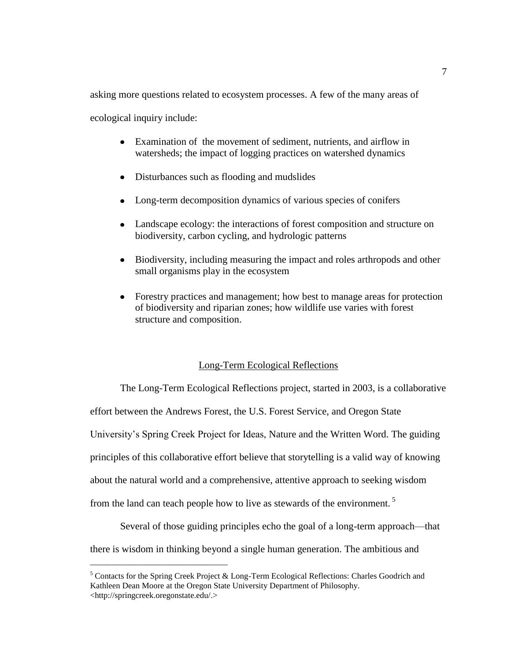asking more questions related to ecosystem processes. A few of the many areas of

ecological inquiry include:

- Examination of the movement of sediment, nutrients, and airflow in watersheds; the impact of logging practices on watershed dynamics
- Disturbances such as flooding and mudslides
- Long-term decomposition dynamics of various species of conifers
- Landscape ecology: the interactions of forest composition and structure on biodiversity, carbon cycling, and hydrologic patterns
- $\bullet$ Biodiversity, including measuring the impact and roles arthropods and other small organisms play in the ecosystem
- Forestry practices and management; how best to manage areas for protection  $\bullet$ of biodiversity and riparian zones; how wildlife use varies with forest structure and composition.

### Long-Term Ecological Reflections

The Long-Term Ecological Reflections project, started in 2003, is a collaborative

effort between the Andrews Forest, the U.S. Forest Service, and Oregon State

University's Spring Creek Project for Ideas, Nature and the Written Word. The guiding

principles of this collaborative effort believe that storytelling is a valid way of knowing

about the natural world and a comprehensive, attentive approach to seeking wisdom

from the land can teach people how to live as stewards of the environment.<sup>5</sup>

\_\_\_\_\_\_\_\_\_\_\_\_\_\_\_\_\_\_\_\_\_\_\_\_\_\_\_\_\_\_\_\_\_

Several of those guiding principles echo the goal of a long-term approach—that there is wisdom in thinking beyond a single human generation. The ambitious and

<sup>&</sup>lt;sup>5</sup> Contacts for the Spring Creek Project & Long-Term Ecological Reflections: Charles Goodrich and Kathleen Dean Moore at the Oregon State University Department of Philosophy. <http://springcreek.oregonstate.edu/.>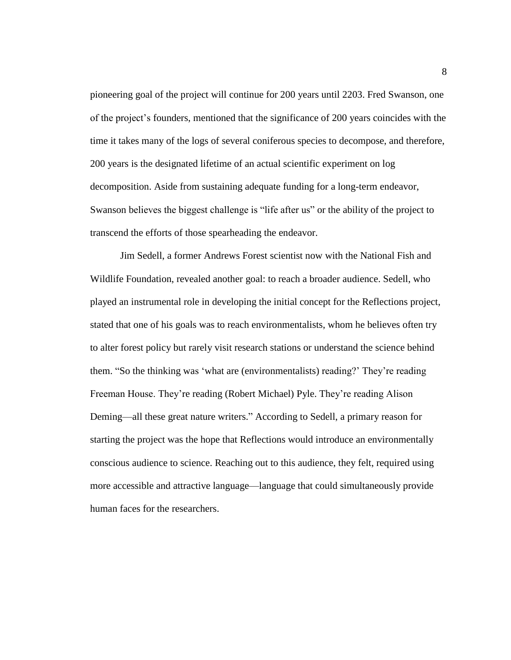pioneering goal of the project will continue for 200 years until 2203. Fred Swanson, one of the project's founders, mentioned that the significance of 200 years coincides with the time it takes many of the logs of several coniferous species to decompose, and therefore, 200 years is the designated lifetime of an actual scientific experiment on log decomposition. Aside from sustaining adequate funding for a long-term endeavor, Swanson believes the biggest challenge is "life after us" or the ability of the project to transcend the efforts of those spearheading the endeavor.

Jim Sedell, a former Andrews Forest scientist now with the National Fish and Wildlife Foundation, revealed another goal: to reach a broader audience. Sedell, who played an instrumental role in developing the initial concept for the Reflections project, stated that one of his goals was to reach environmentalists, whom he believes often try to alter forest policy but rarely visit research stations or understand the science behind them. "So the thinking was 'what are (environmentalists) reading?' They're reading Freeman House. They're reading (Robert Michael) Pyle. They're reading Alison Deming—all these great nature writers." According to Sedell, a primary reason for starting the project was the hope that Reflections would introduce an environmentally conscious audience to science. Reaching out to this audience, they felt, required using more accessible and attractive language—language that could simultaneously provide human faces for the researchers.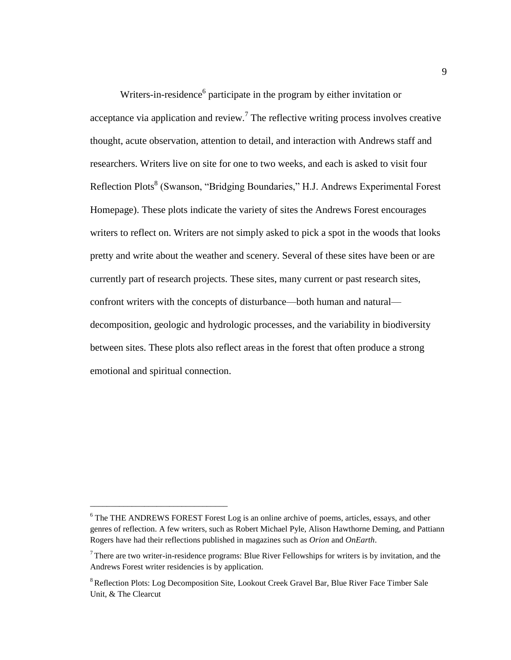Writers-in-residence<sup>6</sup> participate in the program by either invitation or acceptance via application and review.<sup>7</sup> The reflective writing process involves creative thought, acute observation, attention to detail, and interaction with Andrews staff and researchers. Writers live on site for one to two weeks, and each is asked to visit four Reflection Plots<sup>8</sup> (Swanson, "Bridging Boundaries," H.J. Andrews Experimental Forest Homepage). These plots indicate the variety of sites the Andrews Forest encourages writers to reflect on. Writers are not simply asked to pick a spot in the woods that looks pretty and write about the weather and scenery. Several of these sites have been or are currently part of research projects. These sites, many current or past research sites, confront writers with the concepts of disturbance—both human and natural decomposition, geologic and hydrologic processes, and the variability in biodiversity between sites. These plots also reflect areas in the forest that often produce a strong emotional and spiritual connection.

\_\_\_\_\_\_\_\_\_\_\_\_\_\_\_\_\_\_\_\_\_\_\_\_\_\_\_\_\_\_\_\_\_

<sup>&</sup>lt;sup>6</sup> The THE ANDREWS FOREST Forest Log is an online archive of poems, articles, essays, and other genres of reflection. A few writers, such as Robert Michael Pyle, Alison Hawthorne Deming, and Pattiann Rogers have had their reflections published in magazines such as *Orion* and *OnEarth*.

 $<sup>7</sup>$ There are two writer-in-residence programs: Blue River Fellowships for writers is by invitation, and the</sup> Andrews Forest writer residencies is by application.

<sup>&</sup>lt;sup>8</sup> Reflection Plots: Log Decomposition Site, Lookout Creek Gravel Bar, Blue River Face Timber Sale Unit, & The Clearcut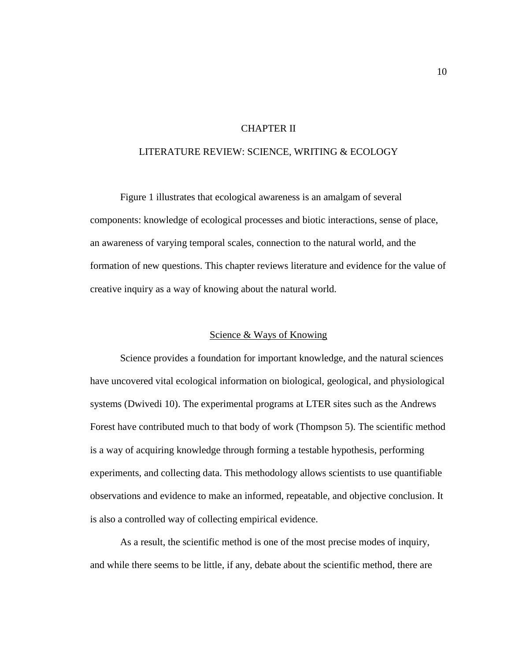# CHAPTER II

### LITERATURE REVIEW: SCIENCE, WRITING & ECOLOGY

Figure 1 illustrates that ecological awareness is an amalgam of several components: knowledge of ecological processes and biotic interactions, sense of place, an awareness of varying temporal scales, connection to the natural world, and the formation of new questions. This chapter reviews literature and evidence for the value of creative inquiry as a way of knowing about the natural world.

### Science & Ways of Knowing

Science provides a foundation for important knowledge, and the natural sciences have uncovered vital ecological information on biological, geological, and physiological systems (Dwivedi 10). The experimental programs at LTER sites such as the Andrews Forest have contributed much to that body of work (Thompson 5). The scientific method is a way of acquiring knowledge through forming a testable hypothesis, performing experiments, and collecting data. This methodology allows scientists to use quantifiable observations and evidence to make an informed, repeatable, and objective conclusion. It is also a controlled way of collecting empirical evidence.

As a result, the scientific method is one of the most precise modes of inquiry, and while there seems to be little, if any, debate about the scientific method, there are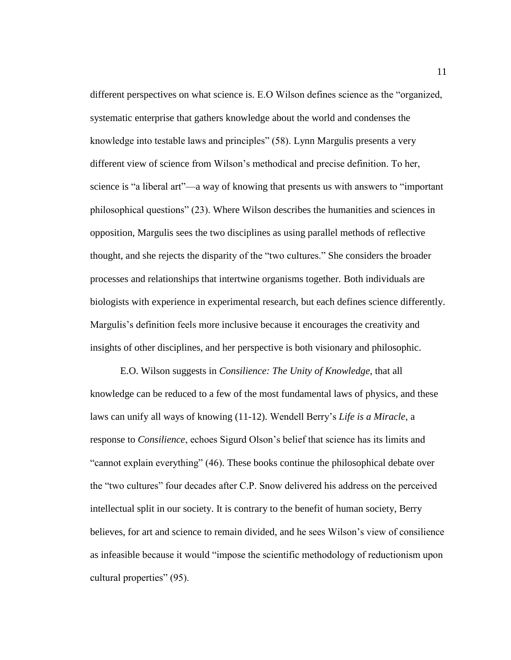different perspectives on what science is. E.O Wilson defines science as the "organized, systematic enterprise that gathers knowledge about the world and condenses the knowledge into testable laws and principles" (58). Lynn Margulis presents a very different view of science from Wilson's methodical and precise definition. To her, science is "a liberal art"—a way of knowing that presents us with answers to "important" philosophical questions‖ (23). Where Wilson describes the humanities and sciences in opposition, Margulis sees the two disciplines as using parallel methods of reflective thought, and she rejects the disparity of the "two cultures." She considers the broader processes and relationships that intertwine organisms together. Both individuals are biologists with experience in experimental research, but each defines science differently. Margulis's definition feels more inclusive because it encourages the creativity and insights of other disciplines, and her perspective is both visionary and philosophic.

E.O. Wilson suggests in *Consilience: The Unity of Knowledge*, that all knowledge can be reduced to a few of the most fundamental laws of physics, and these laws can unify all ways of knowing (11-12). Wendell Berry's *Life is a Miracle*, a response to *Consilience*, echoes Sigurd Olson's belief that science has its limits and "cannot explain everything" (46). These books continue the philosophical debate over the "two cultures" four decades after C.P. Snow delivered his address on the perceived intellectual split in our society. It is contrary to the benefit of human society, Berry believes, for art and science to remain divided, and he sees Wilson's view of consilience as infeasible because it would "impose the scientific methodology of reductionism upon cultural properties" (95).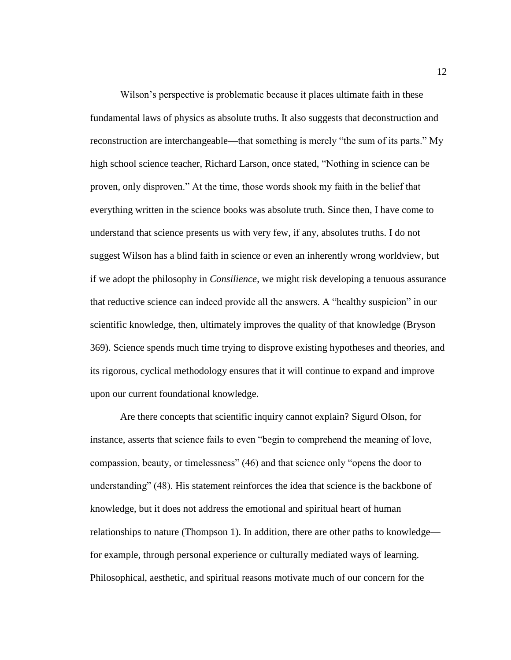Wilson's perspective is problematic because it places ultimate faith in these fundamental laws of physics as absolute truths. It also suggests that deconstruction and reconstruction are interchangeable—that something is merely "the sum of its parts." My high school science teacher, Richard Larson, once stated, "Nothing in science can be proven, only disproven.‖ At the time, those words shook my faith in the belief that everything written in the science books was absolute truth. Since then, I have come to understand that science presents us with very few, if any, absolutes truths. I do not suggest Wilson has a blind faith in science or even an inherently wrong worldview, but if we adopt the philosophy in *Consilience*, we might risk developing a tenuous assurance that reductive science can indeed provide all the answers. A "healthy suspicion" in our scientific knowledge, then, ultimately improves the quality of that knowledge (Bryson 369). Science spends much time trying to disprove existing hypotheses and theories, and its rigorous, cyclical methodology ensures that it will continue to expand and improve upon our current foundational knowledge.

Are there concepts that scientific inquiry cannot explain? Sigurd Olson, for instance, asserts that science fails to even "begin to comprehend the meaning of love, compassion, beauty, or timelessness" (46) and that science only "opens the door to understanding" (48). His statement reinforces the idea that science is the backbone of knowledge, but it does not address the emotional and spiritual heart of human relationships to nature (Thompson 1). In addition, there are other paths to knowledge for example, through personal experience or culturally mediated ways of learning. Philosophical, aesthetic, and spiritual reasons motivate much of our concern for the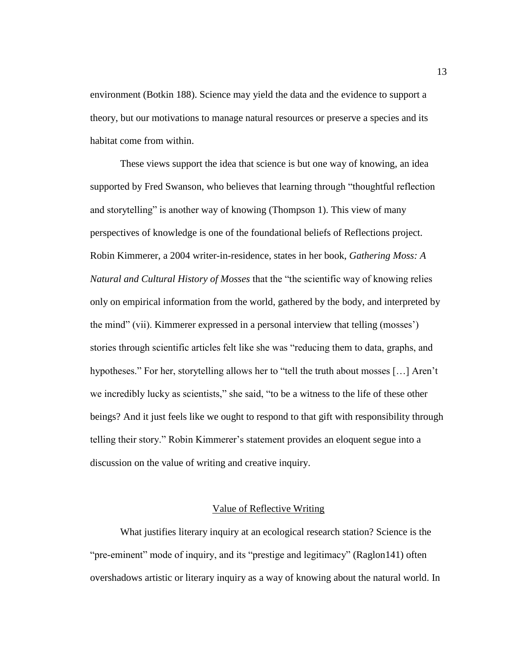environment (Botkin 188). Science may yield the data and the evidence to support a theory, but our motivations to manage natural resources or preserve a species and its habitat come from within.

These views support the idea that science is but one way of knowing, an idea supported by Fred Swanson, who believes that learning through "thoughtful reflection and storytelling" is another way of knowing (Thompson 1). This view of many perspectives of knowledge is one of the foundational beliefs of Reflections project. Robin Kimmerer, a 2004 writer-in-residence, states in her book, *Gathering Moss: A Natural and Cultural History of Mosses* that the "the scientific way of knowing relies" only on empirical information from the world, gathered by the body, and interpreted by the mind" (vii). Kimmerer expressed in a personal interview that telling (mosses') stories through scientific articles felt like she was "reducing them to data, graphs, and hypotheses." For her, storytelling allows her to "tell the truth about mosses [...] Aren't we incredibly lucky as scientists," she said, "to be a witness to the life of these other beings? And it just feels like we ought to respond to that gift with responsibility through telling their story." Robin Kimmerer's statement provides an eloquent segue into a discussion on the value of writing and creative inquiry.

### Value of Reflective Writing

What justifies literary inquiry at an ecological research station? Science is the "pre-eminent" mode of inquiry, and its "prestige and legitimacy" (Raglon141) often overshadows artistic or literary inquiry as a way of knowing about the natural world. In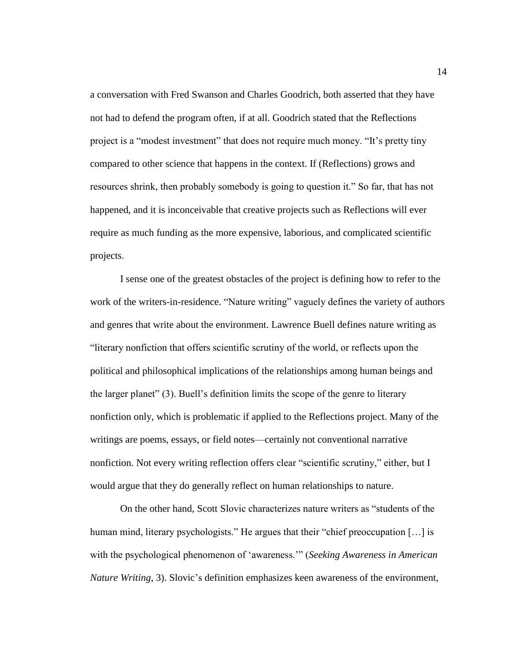a conversation with Fred Swanson and Charles Goodrich, both asserted that they have not had to defend the program often, if at all. Goodrich stated that the Reflections project is a "modest investment" that does not require much money. "It's pretty tiny compared to other science that happens in the context. If (Reflections) grows and resources shrink, then probably somebody is going to question it." So far, that has not happened, and it is inconceivable that creative projects such as Reflections will ever require as much funding as the more expensive, laborious, and complicated scientific projects.

I sense one of the greatest obstacles of the project is defining how to refer to the work of the writers-in-residence. "Nature writing" vaguely defines the variety of authors and genres that write about the environment. Lawrence Buell defines nature writing as ―literary nonfiction that offers scientific scrutiny of the world, or reflects upon the political and philosophical implications of the relationships among human beings and the larger planet" (3). Buell's definition limits the scope of the genre to literary nonfiction only, which is problematic if applied to the Reflections project. Many of the writings are poems, essays, or field notes—certainly not conventional narrative nonfiction. Not every writing reflection offers clear "scientific scrutiny," either, but I would argue that they do generally reflect on human relationships to nature.

On the other hand, Scott Slovic characterizes nature writers as "students of the human mind, literary psychologists." He argues that their "chief preoccupation  $[\dots]$  is with the psychological phenomenon of 'awareness.'" (*Seeking Awareness in American Nature Writing*, 3). Slovic's definition emphasizes keen awareness of the environment,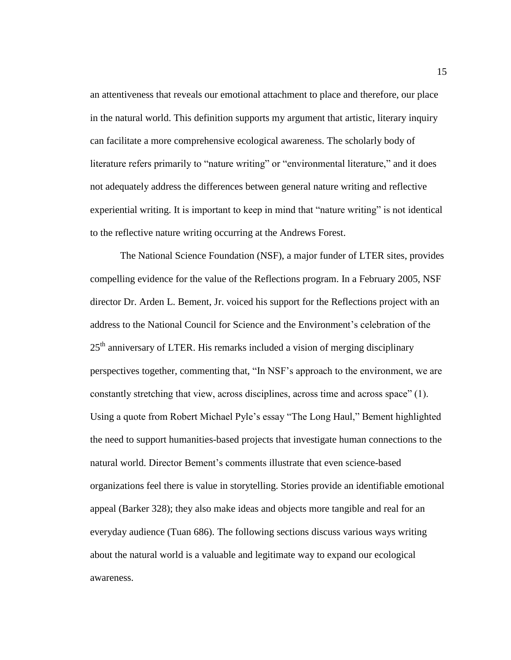an attentiveness that reveals our emotional attachment to place and therefore, our place in the natural world. This definition supports my argument that artistic, literary inquiry can facilitate a more comprehensive ecological awareness. The scholarly body of literature refers primarily to "nature writing" or "environmental literature," and it does not adequately address the differences between general nature writing and reflective experiential writing. It is important to keep in mind that "nature writing" is not identical to the reflective nature writing occurring at the Andrews Forest.

The National Science Foundation (NSF), a major funder of LTER sites, provides compelling evidence for the value of the Reflections program. In a February 2005, NSF director Dr. Arden L. Bement, Jr. voiced his support for the Reflections project with an address to the National Council for Science and the Environment's celebration of the 25<sup>th</sup> anniversary of LTER. His remarks included a vision of merging disciplinary perspectives together, commenting that, "In NSF's approach to the environment, we are constantly stretching that view, across disciplines, across time and across space" (1). Using a quote from Robert Michael Pyle's essay "The Long Haul," Bement highlighted the need to support humanities-based projects that investigate human connections to the natural world. Director Bement's comments illustrate that even science-based organizations feel there is value in storytelling. Stories provide an identifiable emotional appeal (Barker 328); they also make ideas and objects more tangible and real for an everyday audience (Tuan 686). The following sections discuss various ways writing about the natural world is a valuable and legitimate way to expand our ecological awareness.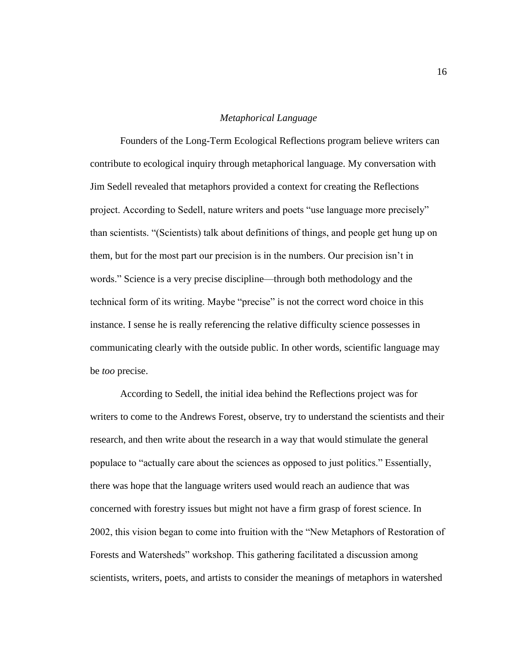#### *Metaphorical Language*

Founders of the Long-Term Ecological Reflections program believe writers can contribute to ecological inquiry through metaphorical language. My conversation with Jim Sedell revealed that metaphors provided a context for creating the Reflections project. According to Sedell, nature writers and poets "use language more precisely" than scientists. ―(Scientists) talk about definitions of things, and people get hung up on them, but for the most part our precision is in the numbers. Our precision isn't in words." Science is a very precise discipline—through both methodology and the technical form of its writing. Maybe "precise" is not the correct word choice in this instance. I sense he is really referencing the relative difficulty science possesses in communicating clearly with the outside public. In other words, scientific language may be *too* precise.

According to Sedell, the initial idea behind the Reflections project was for writers to come to the Andrews Forest, observe, try to understand the scientists and their research, and then write about the research in a way that would stimulate the general populace to "actually care about the sciences as opposed to just politics." Essentially, there was hope that the language writers used would reach an audience that was concerned with forestry issues but might not have a firm grasp of forest science. In 2002, this vision began to come into fruition with the "New Metaphors of Restoration of Forests and Watersheds" workshop. This gathering facilitated a discussion among scientists, writers, poets, and artists to consider the meanings of metaphors in watershed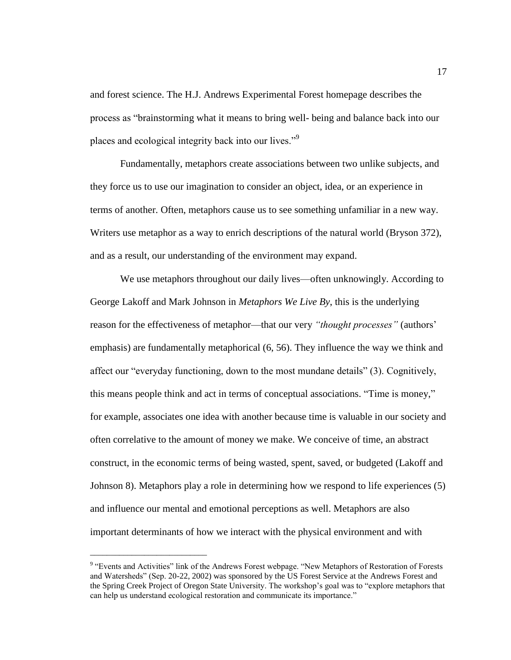and forest science. The H.J. Andrews Experimental Forest homepage describes the process as "brainstorming what it means to bring well- being and balance back into our places and ecological integrity back into our lives."<sup>9</sup>

Fundamentally, metaphors create associations between two unlike subjects, and they force us to use our imagination to consider an object, idea, or an experience in terms of another. Often, metaphors cause us to see something unfamiliar in a new way. Writers use metaphor as a way to enrich descriptions of the natural world (Bryson 372), and as a result, our understanding of the environment may expand.

We use metaphors throughout our daily lives—often unknowingly. According to George Lakoff and Mark Johnson in *Metaphors We Live By*, this is the underlying reason for the effectiveness of metaphor—that our very *"thought processes"* (authors' emphasis) are fundamentally metaphorical (6, 56). They influence the way we think and affect our "everyday functioning, down to the most mundane details" (3). Cognitively, this means people think and act in terms of conceptual associations. "Time is money," for example, associates one idea with another because time is valuable in our society and often correlative to the amount of money we make. We conceive of time, an abstract construct, in the economic terms of being wasted, spent, saved, or budgeted (Lakoff and Johnson 8). Metaphors play a role in determining how we respond to life experiences (5) and influence our mental and emotional perceptions as well. Metaphors are also important determinants of how we interact with the physical environment and with

\_\_\_\_\_\_\_\_\_\_\_\_\_\_\_\_\_\_\_\_\_\_\_\_\_\_\_\_

<sup>&</sup>lt;sup>9</sup> "Events and Activities" link of the Andrews Forest webpage. "New Metaphors of Restoration of Forests and Watersheds" (Sep. 20-22, 2002) was sponsored by the US Forest Service at the Andrews Forest and the Spring Creek Project of Oregon State University. The workshop's goal was to "explore metaphors that can help us understand ecological restoration and communicate its importance."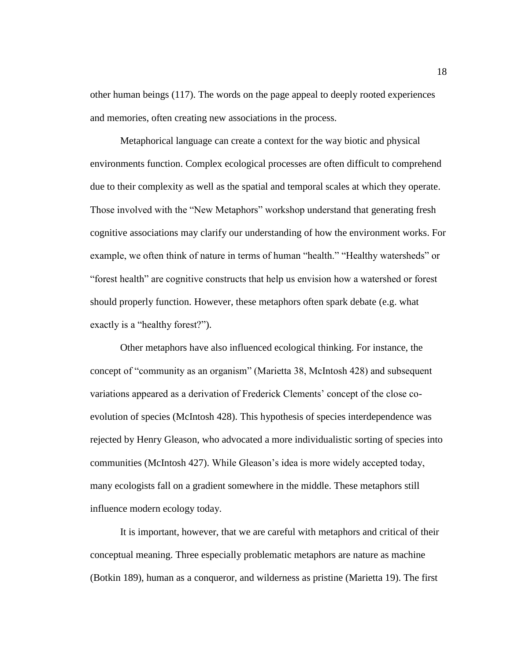other human beings (117). The words on the page appeal to deeply rooted experiences and memories, often creating new associations in the process.

Metaphorical language can create a context for the way biotic and physical environments function. Complex ecological processes are often difficult to comprehend due to their complexity as well as the spatial and temporal scales at which they operate. Those involved with the "New Metaphors" workshop understand that generating fresh cognitive associations may clarify our understanding of how the environment works. For example, we often think of nature in terms of human "health." "Healthy watersheds" or ―forest health‖ are cognitive constructs that help us envision how a watershed or forest should properly function. However, these metaphors often spark debate (e.g. what exactly is a "healthy forest?".

Other metaphors have also influenced ecological thinking. For instance, the concept of "community as an organism" (Marietta 38, McIntosh 428) and subsequent variations appeared as a derivation of Frederick Clements' concept of the close coevolution of species (McIntosh 428). This hypothesis of species interdependence was rejected by Henry Gleason, who advocated a more individualistic sorting of species into communities (McIntosh 427). While Gleason's idea is more widely accepted today, many ecologists fall on a gradient somewhere in the middle. These metaphors still influence modern ecology today.

It is important, however, that we are careful with metaphors and critical of their conceptual meaning. Three especially problematic metaphors are nature as machine (Botkin 189), human as a conqueror, and wilderness as pristine (Marietta 19). The first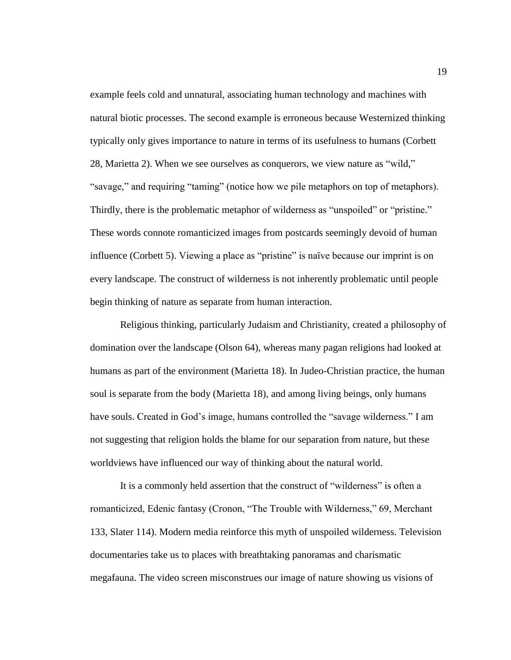example feels cold and unnatural, associating human technology and machines with natural biotic processes. The second example is erroneous because Westernized thinking typically only gives importance to nature in terms of its usefulness to humans (Corbett 28, Marietta 2). When we see ourselves as conquerors, we view nature as "wild," ―savage,‖ and requiring ―taming‖ (notice how we pile metaphors on top of metaphors). Thirdly, there is the problematic metaphor of wilderness as "unspoiled" or "pristine." These words connote romanticized images from postcards seemingly devoid of human influence (Corbett 5). Viewing a place as "pristine" is naïve because our imprint is on every landscape. The construct of wilderness is not inherently problematic until people begin thinking of nature as separate from human interaction.

Religious thinking, particularly Judaism and Christianity, created a philosophy of domination over the landscape (Olson 64), whereas many pagan religions had looked at humans as part of the environment (Marietta 18). In Judeo-Christian practice, the human soul is separate from the body (Marietta 18), and among living beings, only humans have souls. Created in God's image, humans controlled the "savage wilderness." I am not suggesting that religion holds the blame for our separation from nature, but these worldviews have influenced our way of thinking about the natural world.

It is a commonly held assertion that the construct of "wilderness" is often a romanticized, Edenic fantasy (Cronon, "The Trouble with Wilderness," 69, Merchant 133, Slater 114). Modern media reinforce this myth of unspoiled wilderness. Television documentaries take us to places with breathtaking panoramas and charismatic megafauna. The video screen misconstrues our image of nature showing us visions of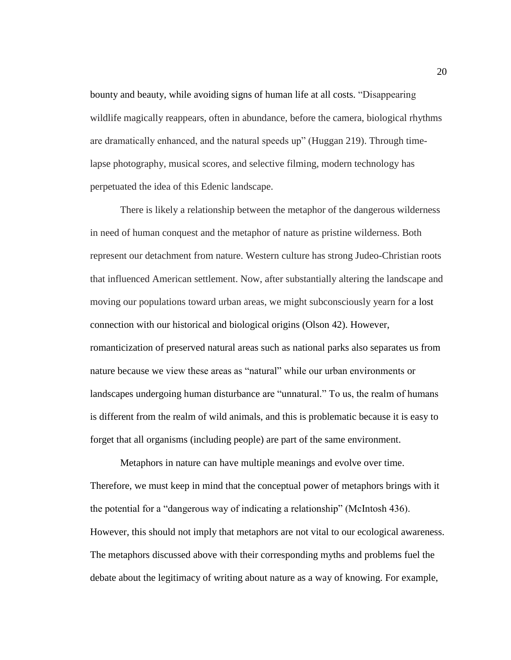bounty and beauty, while avoiding signs of human life at all costs. "Disappearing wildlife magically reappears, often in abundance, before the camera, biological rhythms are dramatically enhanced, and the natural speeds up" (Huggan 219). Through timelapse photography, musical scores, and selective filming, modern technology has perpetuated the idea of this Edenic landscape.

There is likely a relationship between the metaphor of the dangerous wilderness in need of human conquest and the metaphor of nature as pristine wilderness. Both represent our detachment from nature. Western culture has strong Judeo-Christian roots that influenced American settlement. Now, after substantially altering the landscape and moving our populations toward urban areas, we might subconsciously yearn for a lost connection with our historical and biological origins (Olson 42). However, romanticization of preserved natural areas such as national parks also separates us from nature because we view these areas as "natural" while our urban environments or landscapes undergoing human disturbance are "unnatural." To us, the realm of humans is different from the realm of wild animals, and this is problematic because it is easy to forget that all organisms (including people) are part of the same environment.

Metaphors in nature can have multiple meanings and evolve over time. Therefore, we must keep in mind that the conceptual power of metaphors brings with it the potential for a "dangerous way of indicating a relationship" (McIntosh 436). However, this should not imply that metaphors are not vital to our ecological awareness. The metaphors discussed above with their corresponding myths and problems fuel the debate about the legitimacy of writing about nature as a way of knowing. For example,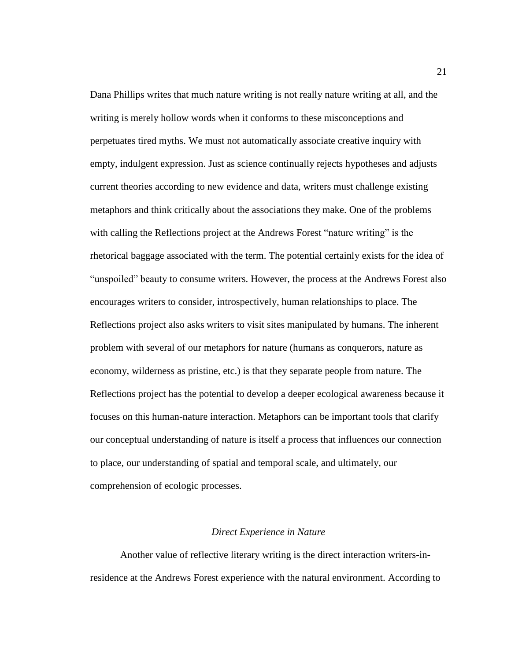Dana Phillips writes that much nature writing is not really nature writing at all, and the writing is merely hollow words when it conforms to these misconceptions and perpetuates tired myths. We must not automatically associate creative inquiry with empty, indulgent expression. Just as science continually rejects hypotheses and adjusts current theories according to new evidence and data, writers must challenge existing metaphors and think critically about the associations they make. One of the problems with calling the Reflections project at the Andrews Forest "nature writing" is the rhetorical baggage associated with the term. The potential certainly exists for the idea of "unspoiled" beauty to consume writers. However, the process at the Andrews Forest also encourages writers to consider, introspectively, human relationships to place. The Reflections project also asks writers to visit sites manipulated by humans. The inherent problem with several of our metaphors for nature (humans as conquerors, nature as economy, wilderness as pristine, etc.) is that they separate people from nature. The Reflections project has the potential to develop a deeper ecological awareness because it focuses on this human-nature interaction. Metaphors can be important tools that clarify our conceptual understanding of nature is itself a process that influences our connection to place, our understanding of spatial and temporal scale, and ultimately, our comprehension of ecologic processes.

### *Direct Experience in Nature*

Another value of reflective literary writing is the direct interaction writers-inresidence at the Andrews Forest experience with the natural environment. According to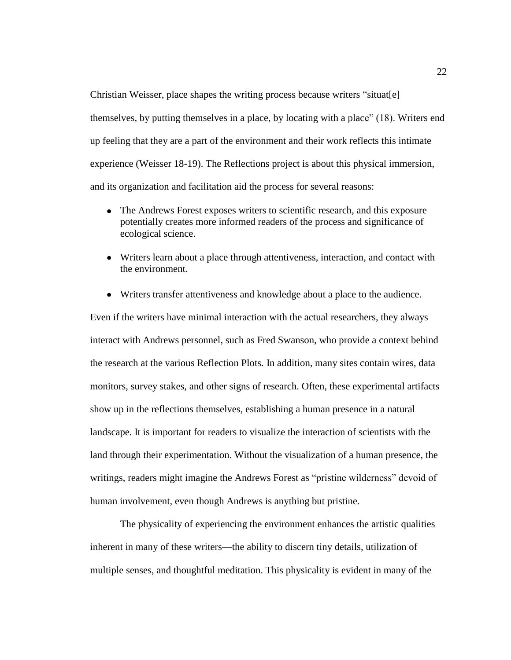Christian Weisser, place shapes the writing process because writers "situat[e] themselves, by putting themselves in a place, by locating with a place‖ (18). Writers end up feeling that they are a part of the environment and their work reflects this intimate experience (Weisser 18-19). The Reflections project is about this physical immersion, and its organization and facilitation aid the process for several reasons:

- The Andrews Forest exposes writers to scientific research, and this exposure potentially creates more informed readers of the process and significance of ecological science.
- Writers learn about a place through attentiveness, interaction, and contact with the environment.
- Writers transfer attentiveness and knowledge about a place to the audience.

Even if the writers have minimal interaction with the actual researchers, they always interact with Andrews personnel, such as Fred Swanson, who provide a context behind the research at the various Reflection Plots. In addition, many sites contain wires, data monitors, survey stakes, and other signs of research. Often, these experimental artifacts show up in the reflections themselves, establishing a human presence in a natural landscape. It is important for readers to visualize the interaction of scientists with the land through their experimentation. Without the visualization of a human presence, the writings, readers might imagine the Andrews Forest as "pristine wilderness" devoid of human involvement, even though Andrews is anything but pristine.

The physicality of experiencing the environment enhances the artistic qualities inherent in many of these writers—the ability to discern tiny details, utilization of multiple senses, and thoughtful meditation. This physicality is evident in many of the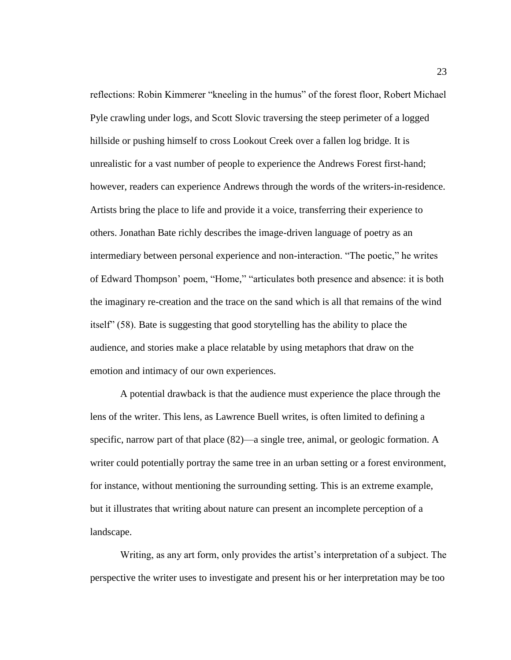reflections: Robin Kimmerer "kneeling in the humus" of the forest floor, Robert Michael Pyle crawling under logs, and Scott Slovic traversing the steep perimeter of a logged hillside or pushing himself to cross Lookout Creek over a fallen log bridge. It is unrealistic for a vast number of people to experience the Andrews Forest first-hand; however, readers can experience Andrews through the words of the writers-in-residence. Artists bring the place to life and provide it a voice, transferring their experience to others. Jonathan Bate richly describes the image-driven language of poetry as an intermediary between personal experience and non-interaction. "The poetic," he writes of Edward Thompson' poem, "Home," "articulates both presence and absence: it is both the imaginary re-creation and the trace on the sand which is all that remains of the wind itself" (58). Bate is suggesting that good storytelling has the ability to place the audience, and stories make a place relatable by using metaphors that draw on the emotion and intimacy of our own experiences.

A potential drawback is that the audience must experience the place through the lens of the writer. This lens, as Lawrence Buell writes, is often limited to defining a specific, narrow part of that place  $(82)$ —a single tree, animal, or geologic formation. A writer could potentially portray the same tree in an urban setting or a forest environment, for instance, without mentioning the surrounding setting. This is an extreme example, but it illustrates that writing about nature can present an incomplete perception of a landscape.

Writing, as any art form, only provides the artist's interpretation of a subject. The perspective the writer uses to investigate and present his or her interpretation may be too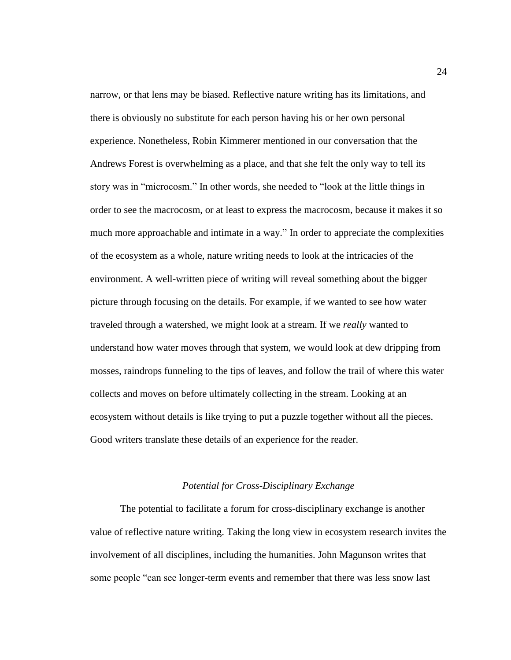narrow, or that lens may be biased. Reflective nature writing has its limitations, and there is obviously no substitute for each person having his or her own personal experience. Nonetheless, Robin Kimmerer mentioned in our conversation that the Andrews Forest is overwhelming as a place, and that she felt the only way to tell its story was in "microcosm." In other words, she needed to "look at the little things in order to see the macrocosm, or at least to express the macrocosm, because it makes it so much more approachable and intimate in a way." In order to appreciate the complexities of the ecosystem as a whole, nature writing needs to look at the intricacies of the environment. A well-written piece of writing will reveal something about the bigger picture through focusing on the details. For example, if we wanted to see how water traveled through a watershed, we might look at a stream. If we *really* wanted to understand how water moves through that system, we would look at dew dripping from mosses, raindrops funneling to the tips of leaves, and follow the trail of where this water collects and moves on before ultimately collecting in the stream. Looking at an ecosystem without details is like trying to put a puzzle together without all the pieces. Good writers translate these details of an experience for the reader.

# *Potential for Cross-Disciplinary Exchange*

The potential to facilitate a forum for cross-disciplinary exchange is another value of reflective nature writing. Taking the long view in ecosystem research invites the involvement of all disciplines, including the humanities. John Magunson writes that some people "can see longer-term events and remember that there was less snow last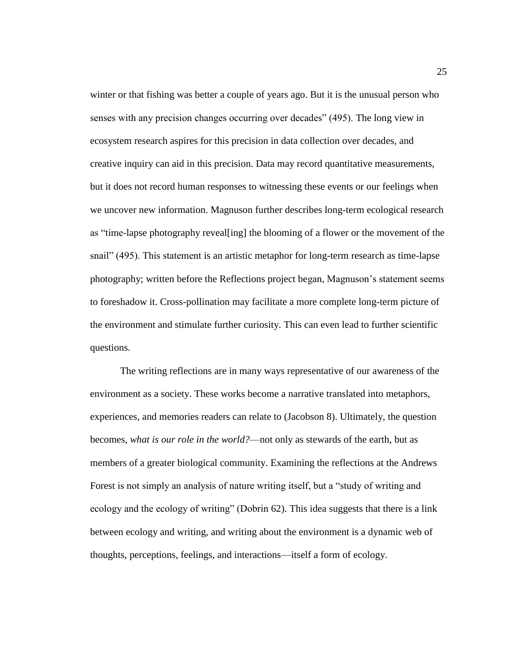winter or that fishing was better a couple of years ago. But it is the unusual person who senses with any precision changes occurring over decades" (495). The long view in ecosystem research aspires for this precision in data collection over decades, and creative inquiry can aid in this precision. Data may record quantitative measurements, but it does not record human responses to witnessing these events or our feelings when we uncover new information. Magnuson further describes long-term ecological research as "time-lapse photography reveal [ing] the blooming of a flower or the movement of the snail" (495). This statement is an artistic metaphor for long-term research as time-lapse photography; written before the Reflections project began, Magnuson's statement seems to foreshadow it. Cross-pollination may facilitate a more complete long-term picture of the environment and stimulate further curiosity. This can even lead to further scientific questions.

The writing reflections are in many ways representative of our awareness of the environment as a society. These works become a narrative translated into metaphors, experiences, and memories readers can relate to (Jacobson 8). Ultimately, the question becomes, *what is our role in the world?*—not only as stewards of the earth, but as members of a greater biological community. Examining the reflections at the Andrews Forest is not simply an analysis of nature writing itself, but a "study of writing and ecology and the ecology of writing" (Dobrin 62). This idea suggests that there is a link between ecology and writing, and writing about the environment is a dynamic web of thoughts, perceptions, feelings, and interactions—itself a form of ecology.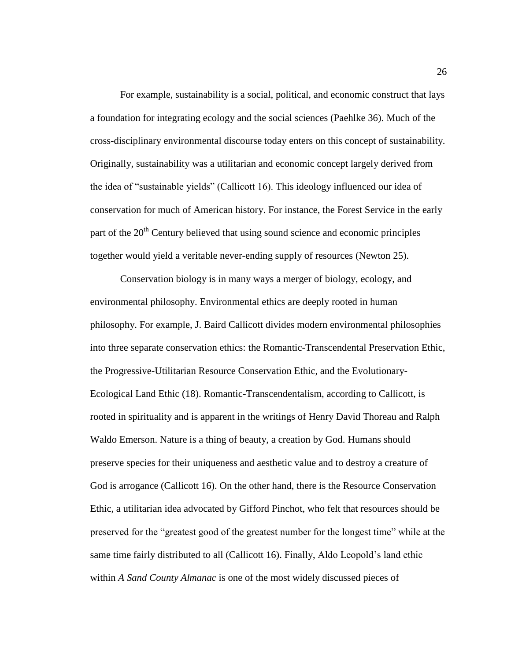For example, sustainability is a social, political, and economic construct that lays a foundation for integrating ecology and the social sciences (Paehlke 36). Much of the cross-disciplinary environmental discourse today enters on this concept of sustainability. Originally, sustainability was a utilitarian and economic concept largely derived from the idea of "sustainable yields" (Callicott 16). This ideology influenced our idea of conservation for much of American history. For instance, the Forest Service in the early part of the  $20<sup>th</sup>$  Century believed that using sound science and economic principles together would yield a veritable never-ending supply of resources (Newton 25).

Conservation biology is in many ways a merger of biology, ecology, and environmental philosophy. Environmental ethics are deeply rooted in human philosophy. For example, J. Baird Callicott divides modern environmental philosophies into three separate conservation ethics: the Romantic-Transcendental Preservation Ethic, the Progressive-Utilitarian Resource Conservation Ethic, and the Evolutionary-Ecological Land Ethic (18). Romantic-Transcendentalism, according to Callicott, is rooted in spirituality and is apparent in the writings of Henry David Thoreau and Ralph Waldo Emerson. Nature is a thing of beauty, a creation by God. Humans should preserve species for their uniqueness and aesthetic value and to destroy a creature of God is arrogance (Callicott 16). On the other hand, there is the Resource Conservation Ethic, a utilitarian idea advocated by Gifford Pinchot, who felt that resources should be preserved for the "greatest good of the greatest number for the longest time" while at the same time fairly distributed to all (Callicott 16). Finally, Aldo Leopold's land ethic within *A Sand County Almanac* is one of the most widely discussed pieces of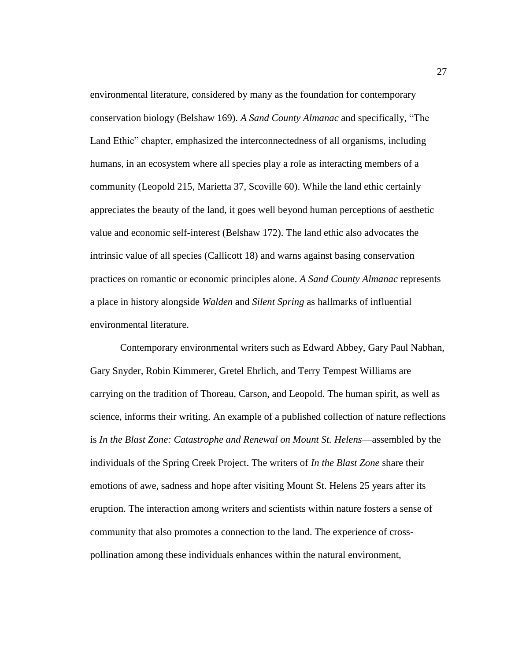environmental literature, considered by many as the foundation for contemporary conservation biology (Belshaw 169). A Sand County Almanac and specifically, "The Land Ethic" chapter, emphasized the interconnectedness of all organisms, including humans, in an ecosystem where all species play a role as interacting members of a community (Leopold 215, Marietta 37, Scoville 60). While the land ethic certainly appreciates the beauty of the land, it goes well beyond human perceptions of aesthetic value and economic self-interest (Belshaw 172). The land ethic also advocates the intrinsic value of all species (Callicott 18) and warns against basing conservation practices on romantic or economic principles alone. *A Sand County Almanac* represents a place in history alongside *Walden* and *Silent Spring* as hallmarks of influential environmental literature.

Contemporary environmental writers such as Edward Abbey, Gary Paul Nabhan, Gary Snyder, Robin Kimmerer, Gretel Ehrlich, and Terry Tempest Williams are carrying on the tradition of Thoreau, Carson, and Leopold. The human spirit, as well as science, informs their writing. An example of a published collection of nature reflections is *In the Blast Zone: Catastrophe and Renewal on Mount St. Helens*—assembled by the individuals of the Spring Creek Project. The writers of *In the Blast Zone* share their emotions of awe, sadness and hope after visiting Mount St. Helens 25 years after its eruption. The interaction among writers and scientists within nature fosters a sense of community that also promotes a connection to the land. The experience of crosspollination among these individuals enhances within the natural environment,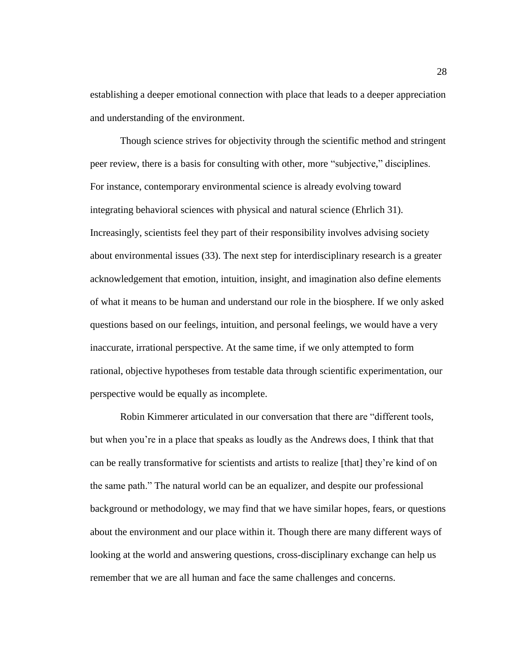establishing a deeper emotional connection with place that leads to a deeper appreciation and understanding of the environment.

Though science strives for objectivity through the scientific method and stringent peer review, there is a basis for consulting with other, more "subjective," disciplines. For instance, contemporary environmental science is already evolving toward integrating behavioral sciences with physical and natural science (Ehrlich 31). Increasingly, scientists feel they part of their responsibility involves advising society about environmental issues (33). The next step for interdisciplinary research is a greater acknowledgement that emotion, intuition, insight, and imagination also define elements of what it means to be human and understand our role in the biosphere. If we only asked questions based on our feelings, intuition, and personal feelings, we would have a very inaccurate, irrational perspective. At the same time, if we only attempted to form rational, objective hypotheses from testable data through scientific experimentation, our perspective would be equally as incomplete.

Robin Kimmerer articulated in our conversation that there are "different tools, but when you're in a place that speaks as loudly as the Andrews does, I think that that can be really transformative for scientists and artists to realize [that] they're kind of on the same path." The natural world can be an equalizer, and despite our professional background or methodology, we may find that we have similar hopes, fears, or questions about the environment and our place within it. Though there are many different ways of looking at the world and answering questions, cross-disciplinary exchange can help us remember that we are all human and face the same challenges and concerns.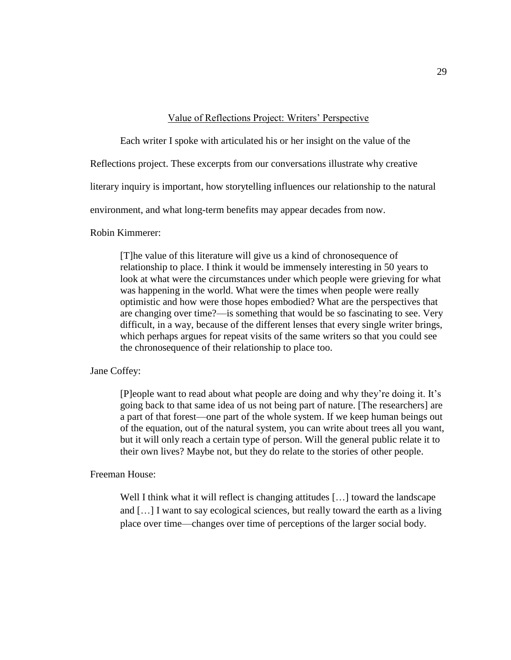#### Value of Reflections Project: Writers' Perspective

Each writer I spoke with articulated his or her insight on the value of the

Reflections project. These excerpts from our conversations illustrate why creative

literary inquiry is important, how storytelling influences our relationship to the natural

environment, and what long-term benefits may appear decades from now.

Robin Kimmerer:

[T]he value of this literature will give us a kind of chronosequence of relationship to place. I think it would be immensely interesting in 50 years to look at what were the circumstances under which people were grieving for what was happening in the world. What were the times when people were really optimistic and how were those hopes embodied? What are the perspectives that are changing over time?—is something that would be so fascinating to see. Very difficult, in a way, because of the different lenses that every single writer brings, which perhaps argues for repeat visits of the same writers so that you could see the chronosequence of their relationship to place too.

Jane Coffey:

[P]eople want to read about what people are doing and why they're doing it. It's going back to that same idea of us not being part of nature. [The researchers] are a part of that forest—one part of the whole system. If we keep human beings out of the equation, out of the natural system, you can write about trees all you want, but it will only reach a certain type of person. Will the general public relate it to their own lives? Maybe not, but they do relate to the stories of other people.

Freeman House:

Well I think what it will reflect is changing attitudes [...] toward the landscape and […] I want to say ecological sciences, but really toward the earth as a living place over time—changes over time of perceptions of the larger social body.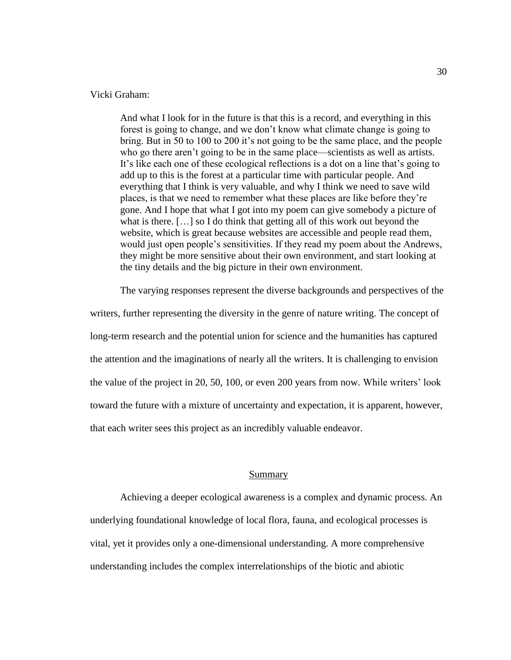#### Vicki Graham:

And what I look for in the future is that this is a record, and everything in this forest is going to change, and we don't know what climate change is going to bring. But in 50 to 100 to 200 it's not going to be the same place, and the people who go there aren't going to be in the same place—scientists as well as artists. It's like each one of these ecological reflections is a dot on a line that's going to add up to this is the forest at a particular time with particular people. And everything that I think is very valuable, and why I think we need to save wild places, is that we need to remember what these places are like before they're gone. And I hope that what I got into my poem can give somebody a picture of what is there. […] so I do think that getting all of this work out beyond the website, which is great because websites are accessible and people read them, would just open people's sensitivities. If they read my poem about the Andrews, they might be more sensitive about their own environment, and start looking at the tiny details and the big picture in their own environment.

The varying responses represent the diverse backgrounds and perspectives of the

writers, further representing the diversity in the genre of nature writing. The concept of long-term research and the potential union for science and the humanities has captured the attention and the imaginations of nearly all the writers. It is challenging to envision the value of the project in 20, 50, 100, or even 200 years from now. While writers' look toward the future with a mixture of uncertainty and expectation, it is apparent, however, that each writer sees this project as an incredibly valuable endeavor.

#### Summary

Achieving a deeper ecological awareness is a complex and dynamic process. An underlying foundational knowledge of local flora, fauna, and ecological processes is vital, yet it provides only a one-dimensional understanding. A more comprehensive understanding includes the complex interrelationships of the biotic and abiotic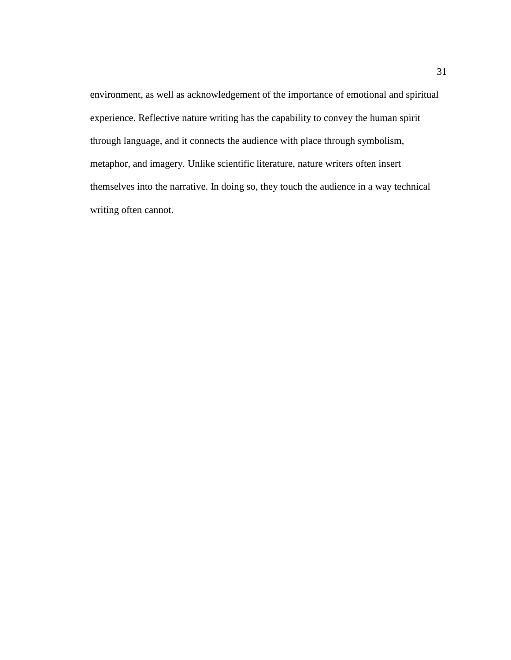environment, as well as acknowledgement of the importance of emotional and spiritual experience. Reflective nature writing has the capability to convey the human spirit through language, and it connects the audience with place through symbolism, metaphor, and imagery. Unlike scientific literature, nature writers often insert themselves into the narrative. In doing so, they touch the audience in a way technical writing often cannot.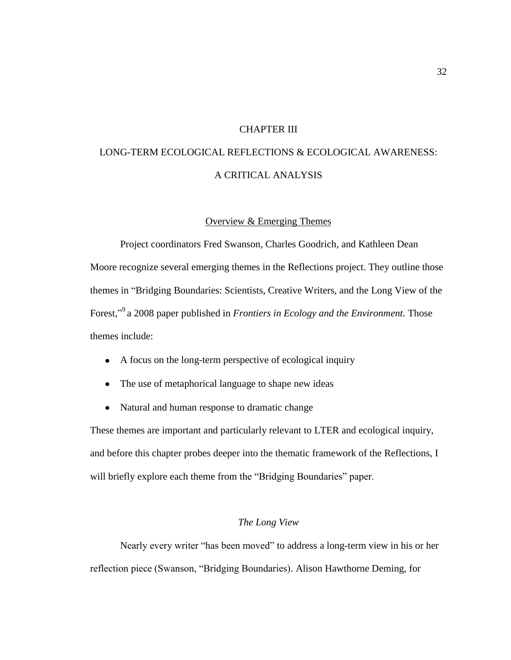# CHAPTER III

# LONG-TERM ECOLOGICAL REFLECTIONS & ECOLOGICAL AWARENESS: A CRITICAL ANALYSIS

#### Overview & Emerging Themes

Project coordinators Fred Swanson, Charles Goodrich, and Kathleen Dean Moore recognize several emerging themes in the Reflections project. They outline those themes in "Bridging Boundaries: Scientists, Creative Writers, and the Long View of the Forest,"<sup>9</sup> a 2008 paper published in *Frontiers in Ecology and the Environment*. Those themes include:

- A focus on the long-term perspective of ecological inquiry
- The use of metaphorical language to shape new ideas
- $\bullet$ Natural and human response to dramatic change

These themes are important and particularly relevant to LTER and ecological inquiry, and before this chapter probes deeper into the thematic framework of the Reflections, I will briefly explore each theme from the "Bridging Boundaries" paper.

# *The Long View*

Nearly every writer "has been moved" to address a long-term view in his or her reflection piece (Swanson, "Bridging Boundaries). Alison Hawthorne Deming, for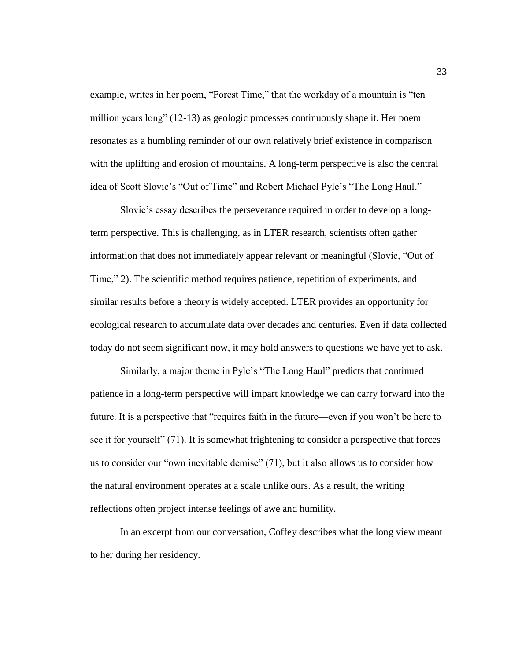example, writes in her poem, "Forest Time," that the workday of a mountain is "ten million years long"  $(12-13)$  as geologic processes continuously shape it. Her poem resonates as a humbling reminder of our own relatively brief existence in comparison with the uplifting and erosion of mountains. A long-term perspective is also the central idea of Scott Slovic's "Out of Time" and Robert Michael Pyle's "The Long Haul."

Slovic's essay describes the perseverance required in order to develop a longterm perspective. This is challenging, as in LTER research, scientists often gather information that does not immediately appear relevant or meaningful (Slovic, "Out of Time," 2). The scientific method requires patience, repetition of experiments, and similar results before a theory is widely accepted. LTER provides an opportunity for ecological research to accumulate data over decades and centuries. Even if data collected today do not seem significant now, it may hold answers to questions we have yet to ask.

Similarly, a major theme in Pyle's "The Long Haul" predicts that continued patience in a long-term perspective will impart knowledge we can carry forward into the future. It is a perspective that "requires faith in the future—even if you won't be here to see it for yourself" (71). It is somewhat frightening to consider a perspective that forces us to consider our "own inevitable demise"  $(71)$ , but it also allows us to consider how the natural environment operates at a scale unlike ours. As a result, the writing reflections often project intense feelings of awe and humility.

In an excerpt from our conversation, Coffey describes what the long view meant to her during her residency.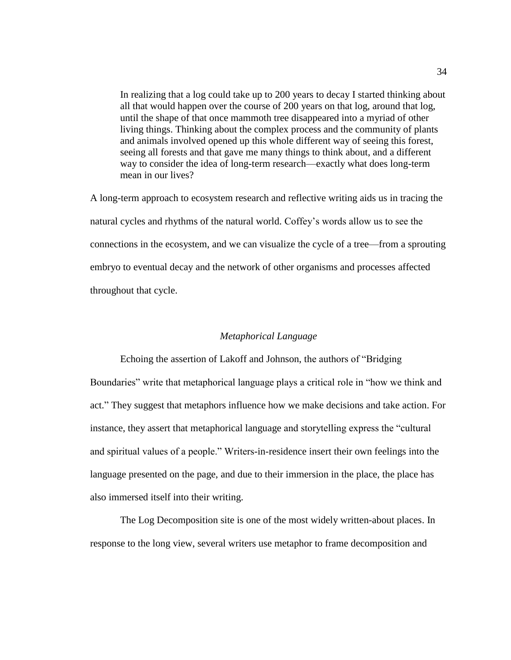In realizing that a log could take up to 200 years to decay I started thinking about all that would happen over the course of 200 years on that log, around that log, until the shape of that once mammoth tree disappeared into a myriad of other living things. Thinking about the complex process and the community of plants and animals involved opened up this whole different way of seeing this forest, seeing all forests and that gave me many things to think about, and a different way to consider the idea of long-term research—exactly what does long-term mean in our lives?

A long-term approach to ecosystem research and reflective writing aids us in tracing the natural cycles and rhythms of the natural world. Coffey's words allow us to see the connections in the ecosystem, and we can visualize the cycle of a tree—from a sprouting embryo to eventual decay and the network of other organisms and processes affected throughout that cycle.

## *Metaphorical Language*

Echoing the assertion of Lakoff and Johnson, the authors of "Bridging" Boundaries" write that metaphorical language plays a critical role in "how we think and act.‖ They suggest that metaphors influence how we make decisions and take action. For instance, they assert that metaphorical language and storytelling express the "cultural" and spiritual values of a people." Writers-in-residence insert their own feelings into the language presented on the page, and due to their immersion in the place, the place has also immersed itself into their writing.

The Log Decomposition site is one of the most widely written-about places. In response to the long view, several writers use metaphor to frame decomposition and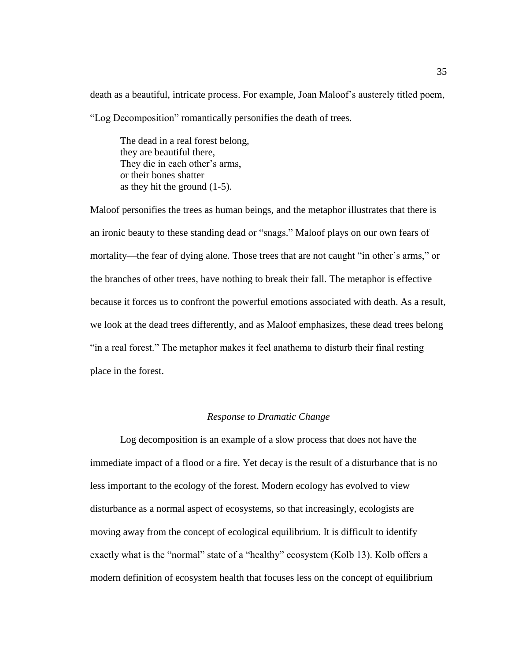death as a beautiful, intricate process. For example, Joan Maloof's austerely titled poem, ―Log Decomposition‖ romantically personifies the death of trees.

The dead in a real forest belong, they are beautiful there, They die in each other's arms, or their bones shatter as they hit the ground (1-5).

Maloof personifies the trees as human beings, and the metaphor illustrates that there is an ironic beauty to these standing dead or "snags." Maloof plays on our own fears of mortality—the fear of dying alone. Those trees that are not caught "in other's arms," or the branches of other trees, have nothing to break their fall. The metaphor is effective because it forces us to confront the powerful emotions associated with death. As a result, we look at the dead trees differently, and as Maloof emphasizes, these dead trees belong "in a real forest." The metaphor makes it feel anathema to disturb their final resting place in the forest.

## *Response to Dramatic Change*

Log decomposition is an example of a slow process that does not have the immediate impact of a flood or a fire. Yet decay is the result of a disturbance that is no less important to the ecology of the forest. Modern ecology has evolved to view disturbance as a normal aspect of ecosystems, so that increasingly, ecologists are moving away from the concept of ecological equilibrium. It is difficult to identify exactly what is the "normal" state of a "healthy" ecosystem (Kolb 13). Kolb offers a modern definition of ecosystem health that focuses less on the concept of equilibrium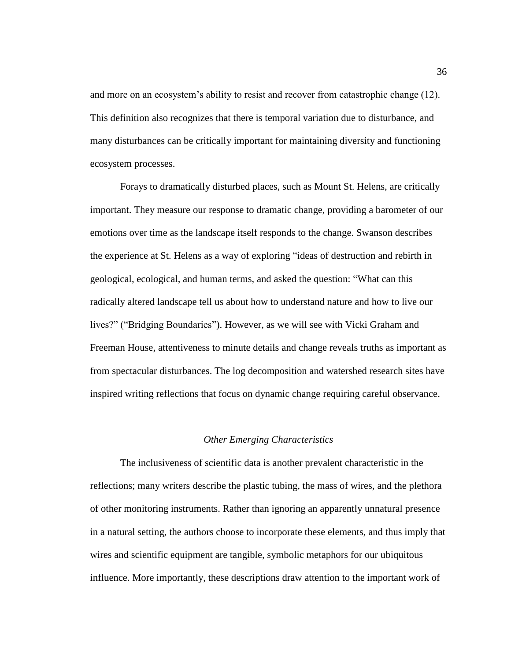and more on an ecosystem's ability to resist and recover from catastrophic change (12). This definition also recognizes that there is temporal variation due to disturbance, and many disturbances can be critically important for maintaining diversity and functioning ecosystem processes.

Forays to dramatically disturbed places, such as Mount St. Helens, are critically important. They measure our response to dramatic change, providing a barometer of our emotions over time as the landscape itself responds to the change. Swanson describes the experience at St. Helens as a way of exploring "ideas of destruction and rebirth in geological, ecological, and human terms, and asked the question: "What can this radically altered landscape tell us about how to understand nature and how to live our lives?" ("Bridging Boundaries"). However, as we will see with Vicki Graham and Freeman House, attentiveness to minute details and change reveals truths as important as from spectacular disturbances. The log decomposition and watershed research sites have inspired writing reflections that focus on dynamic change requiring careful observance.

## *Other Emerging Characteristics*

The inclusiveness of scientific data is another prevalent characteristic in the reflections; many writers describe the plastic tubing, the mass of wires, and the plethora of other monitoring instruments. Rather than ignoring an apparently unnatural presence in a natural setting, the authors choose to incorporate these elements, and thus imply that wires and scientific equipment are tangible, symbolic metaphors for our ubiquitous influence. More importantly, these descriptions draw attention to the important work of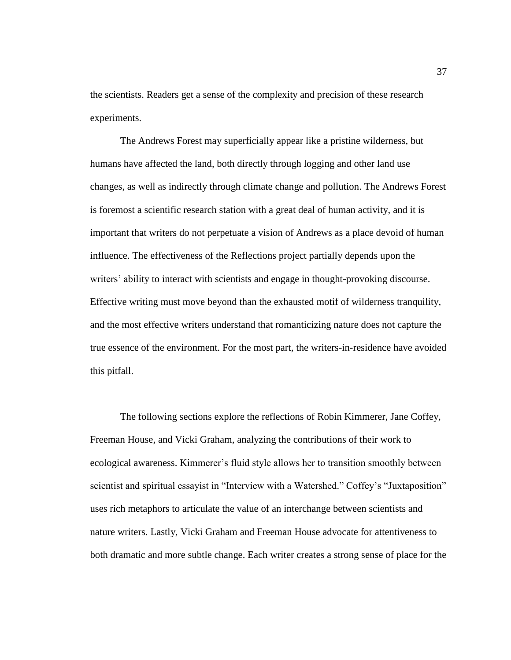the scientists. Readers get a sense of the complexity and precision of these research experiments.

The Andrews Forest may superficially appear like a pristine wilderness, but humans have affected the land, both directly through logging and other land use changes, as well as indirectly through climate change and pollution. The Andrews Forest is foremost a scientific research station with a great deal of human activity, and it is important that writers do not perpetuate a vision of Andrews as a place devoid of human influence. The effectiveness of the Reflections project partially depends upon the writers' ability to interact with scientists and engage in thought-provoking discourse. Effective writing must move beyond than the exhausted motif of wilderness tranquility, and the most effective writers understand that romanticizing nature does not capture the true essence of the environment. For the most part, the writers-in-residence have avoided this pitfall.

The following sections explore the reflections of Robin Kimmerer, Jane Coffey, Freeman House, and Vicki Graham, analyzing the contributions of their work to ecological awareness. Kimmerer's fluid style allows her to transition smoothly between scientist and spiritual essayist in "Interview with a Watershed." Coffey's "Juxtaposition" uses rich metaphors to articulate the value of an interchange between scientists and nature writers. Lastly, Vicki Graham and Freeman House advocate for attentiveness to both dramatic and more subtle change. Each writer creates a strong sense of place for the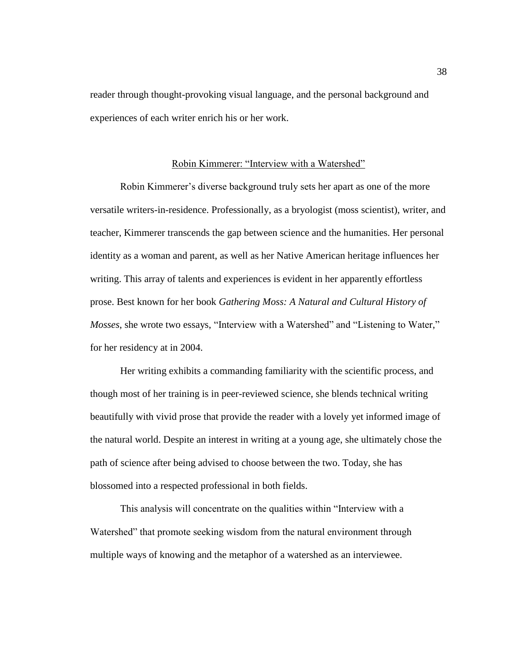reader through thought-provoking visual language, and the personal background and experiences of each writer enrich his or her work.

#### Robin Kimmerer: "Interview with a Watershed"

Robin Kimmerer's diverse background truly sets her apart as one of the more versatile writers-in-residence. Professionally, as a bryologist (moss scientist), writer, and teacher, Kimmerer transcends the gap between science and the humanities. Her personal identity as a woman and parent, as well as her Native American heritage influences her writing. This array of talents and experiences is evident in her apparently effortless prose. Best known for her book *Gathering Moss: A Natural and Cultural History of Mosses*, she wrote two essays, "Interview with a Watershed" and "Listening to Water," for her residency at in 2004.

Her writing exhibits a commanding familiarity with the scientific process, and though most of her training is in peer-reviewed science, she blends technical writing beautifully with vivid prose that provide the reader with a lovely yet informed image of the natural world. Despite an interest in writing at a young age, she ultimately chose the path of science after being advised to choose between the two. Today, she has blossomed into a respected professional in both fields.

This analysis will concentrate on the qualities within "Interview with a Watershed" that promote seeking wisdom from the natural environment through multiple ways of knowing and the metaphor of a watershed as an interviewee.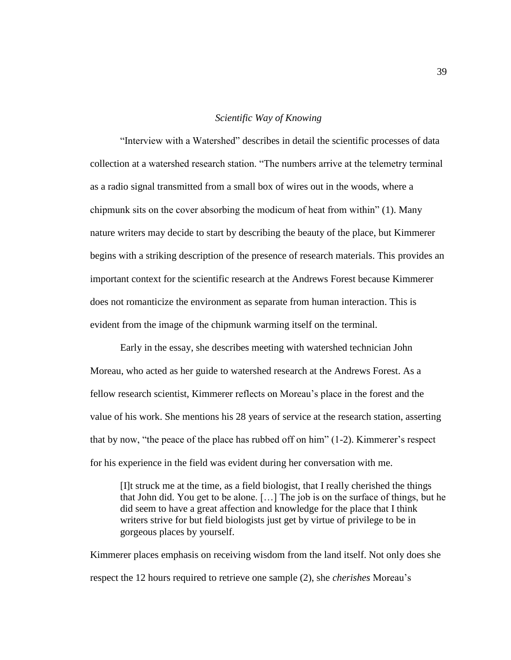#### *Scientific Way of Knowing*

―Interview with a Watershed‖ describes in detail the scientific processes of data collection at a watershed research station. "The numbers arrive at the telemetry terminal as a radio signal transmitted from a small box of wires out in the woods, where a chipmunk sits on the cover absorbing the modicum of heat from within"  $(1)$ . Many nature writers may decide to start by describing the beauty of the place, but Kimmerer begins with a striking description of the presence of research materials. This provides an important context for the scientific research at the Andrews Forest because Kimmerer does not romanticize the environment as separate from human interaction. This is evident from the image of the chipmunk warming itself on the terminal.

Early in the essay, she describes meeting with watershed technician John Moreau, who acted as her guide to watershed research at the Andrews Forest. As a fellow research scientist, Kimmerer reflects on Moreau's place in the forest and the value of his work. She mentions his 28 years of service at the research station, asserting that by now, "the peace of the place has rubbed off on him"  $(1-2)$ . Kimmerer's respect for his experience in the field was evident during her conversation with me.

[I]t struck me at the time, as a field biologist, that I really cherished the things that John did. You get to be alone. […] The job is on the surface of things, but he did seem to have a great affection and knowledge for the place that I think writers strive for but field biologists just get by virtue of privilege to be in gorgeous places by yourself.

Kimmerer places emphasis on receiving wisdom from the land itself. Not only does she respect the 12 hours required to retrieve one sample (2), she *cherishes* Moreau's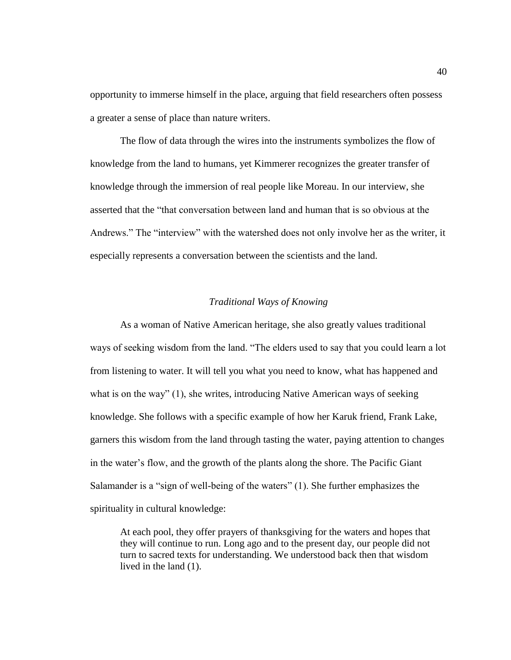opportunity to immerse himself in the place, arguing that field researchers often possess a greater a sense of place than nature writers.

The flow of data through the wires into the instruments symbolizes the flow of knowledge from the land to humans, yet Kimmerer recognizes the greater transfer of knowledge through the immersion of real people like Moreau. In our interview, she asserted that the "that conversation between land and human that is so obvious at the Andrews." The "interview" with the watershed does not only involve her as the writer, it especially represents a conversation between the scientists and the land.

## *Traditional Ways of Knowing*

As a woman of Native American heritage, she also greatly values traditional ways of seeking wisdom from the land. "The elders used to say that you could learn a lot from listening to water. It will tell you what you need to know, what has happened and what is on the way"  $(1)$ , she writes, introducing Native American ways of seeking knowledge. She follows with a specific example of how her Karuk friend, Frank Lake, garners this wisdom from the land through tasting the water, paying attention to changes in the water's flow, and the growth of the plants along the shore. The Pacific Giant Salamander is a "sign of well-being of the waters" (1). She further emphasizes the spirituality in cultural knowledge:

At each pool, they offer prayers of thanksgiving for the waters and hopes that they will continue to run. Long ago and to the present day, our people did not turn to sacred texts for understanding. We understood back then that wisdom lived in the land (1).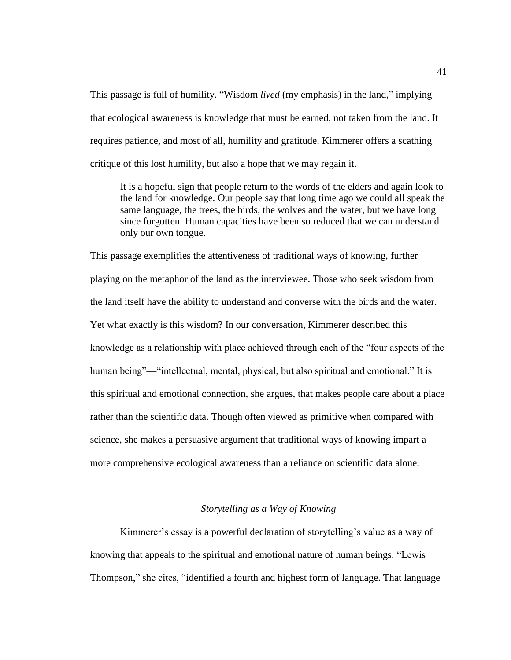This passage is full of humility. "Wisdom *lived* (my emphasis) in the land," implying that ecological awareness is knowledge that must be earned, not taken from the land. It requires patience, and most of all, humility and gratitude. Kimmerer offers a scathing critique of this lost humility, but also a hope that we may regain it.

It is a hopeful sign that people return to the words of the elders and again look to the land for knowledge. Our people say that long time ago we could all speak the same language, the trees, the birds, the wolves and the water, but we have long since forgotten. Human capacities have been so reduced that we can understand only our own tongue.

This passage exemplifies the attentiveness of traditional ways of knowing, further playing on the metaphor of the land as the interviewee. Those who seek wisdom from the land itself have the ability to understand and converse with the birds and the water. Yet what exactly is this wisdom? In our conversation, Kimmerer described this knowledge as a relationship with place achieved through each of the "four aspects of the human being"—"intellectual, mental, physical, but also spiritual and emotional." It is this spiritual and emotional connection, she argues, that makes people care about a place rather than the scientific data. Though often viewed as primitive when compared with science, she makes a persuasive argument that traditional ways of knowing impart a more comprehensive ecological awareness than a reliance on scientific data alone.

## *Storytelling as a Way of Knowing*

Kimmerer's essay is a powerful declaration of storytelling's value as a way of knowing that appeals to the spiritual and emotional nature of human beings. "Lewis Thompson," she cites, "identified a fourth and highest form of language. That language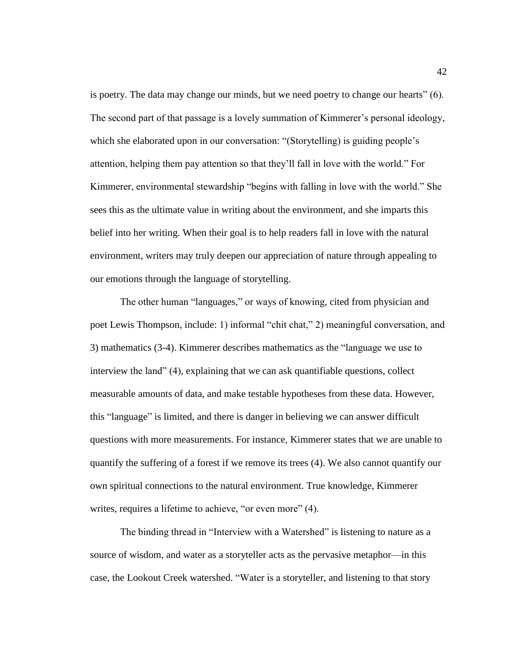is poetry. The data may change our minds, but we need poetry to change our hearts" $(6)$ . The second part of that passage is a lovely summation of Kimmerer's personal ideology, which she elaborated upon in our conversation: "(Storytelling) is guiding people's attention, helping them pay attention so that they'll fall in love with the world." For Kimmerer, environmental stewardship "begins with falling in love with the world." She sees this as the ultimate value in writing about the environment, and she imparts this belief into her writing. When their goal is to help readers fall in love with the natural environment, writers may truly deepen our appreciation of nature through appealing to our emotions through the language of storytelling.

The other human "languages," or ways of knowing, cited from physician and poet Lewis Thompson, include: 1) informal "chit chat," 2) meaningful conversation, and 3) mathematics (3-4). Kimmerer describes mathematics as the "language we use to interview the land" (4), explaining that we can ask quantifiable questions, collect measurable amounts of data, and make testable hypotheses from these data. However, this "language" is limited, and there is danger in believing we can answer difficult questions with more measurements. For instance, Kimmerer states that we are unable to quantify the suffering of a forest if we remove its trees (4). We also cannot quantify our own spiritual connections to the natural environment. True knowledge, Kimmerer writes, requires a lifetime to achieve, "or even more" (4).

The binding thread in "Interview with a Watershed" is listening to nature as a source of wisdom, and water as a storyteller acts as the pervasive metaphor—in this case, the Lookout Creek watershed. "Water is a storyteller, and listening to that story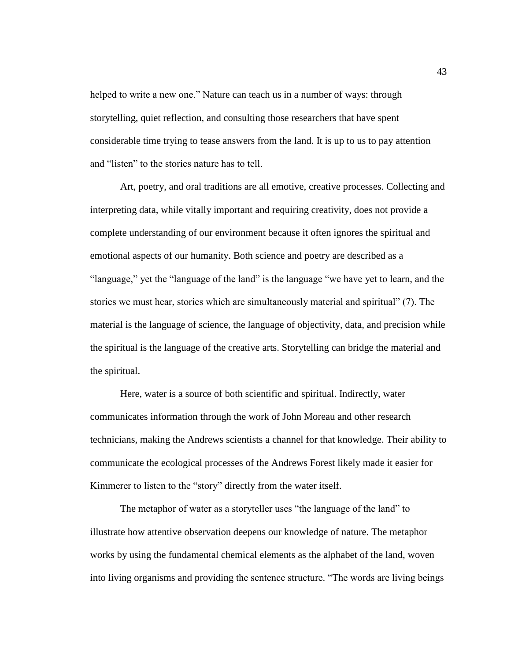helped to write a new one." Nature can teach us in a number of ways: through storytelling, quiet reflection, and consulting those researchers that have spent considerable time trying to tease answers from the land. It is up to us to pay attention and "listen" to the stories nature has to tell.

Art, poetry, and oral traditions are all emotive, creative processes. Collecting and interpreting data, while vitally important and requiring creativity, does not provide a complete understanding of our environment because it often ignores the spiritual and emotional aspects of our humanity. Both science and poetry are described as a "language," yet the "language of the land" is the language "we have yet to learn, and the stories we must hear, stories which are simultaneously material and spiritual" (7). The material is the language of science, the language of objectivity, data, and precision while the spiritual is the language of the creative arts. Storytelling can bridge the material and the spiritual.

Here, water is a source of both scientific and spiritual. Indirectly, water communicates information through the work of John Moreau and other research technicians, making the Andrews scientists a channel for that knowledge. Their ability to communicate the ecological processes of the Andrews Forest likely made it easier for Kimmerer to listen to the "story" directly from the water itself.

The metaphor of water as a storyteller uses "the language of the land" to illustrate how attentive observation deepens our knowledge of nature. The metaphor works by using the fundamental chemical elements as the alphabet of the land, woven into living organisms and providing the sentence structure. "The words are living beings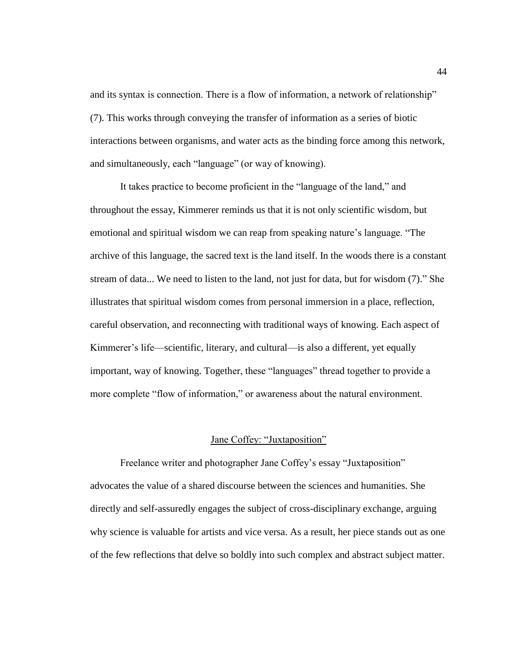and its syntax is connection. There is a flow of information, a network of relationship" (7). This works through conveying the transfer of information as a series of biotic interactions between organisms, and water acts as the binding force among this network, and simultaneously, each "language" (or way of knowing).

It takes practice to become proficient in the "language of the land," and throughout the essay, Kimmerer reminds us that it is not only scientific wisdom, but emotional and spiritual wisdom we can reap from speaking nature's language. "The archive of this language, the sacred text is the land itself. In the woods there is a constant stream of data... We need to listen to the land, not just for data, but for wisdom (7)." She illustrates that spiritual wisdom comes from personal immersion in a place, reflection, careful observation, and reconnecting with traditional ways of knowing. Each aspect of Kimmerer's life—scientific, literary, and cultural—is also a different, yet equally important, way of knowing. Together, these "languages" thread together to provide a more complete "flow of information," or awareness about the natural environment.

## Jane Coffey: "Juxtaposition"

Freelance writer and photographer Jane Coffey's essay "Juxtaposition" advocates the value of a shared discourse between the sciences and humanities. She directly and self-assuredly engages the subject of cross-disciplinary exchange, arguing why science is valuable for artists and vice versa. As a result, her piece stands out as one of the few reflections that delve so boldly into such complex and abstract subject matter.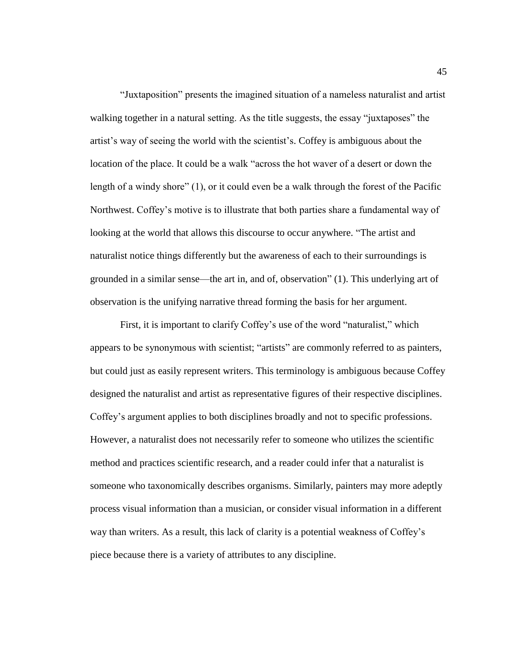―Juxtaposition‖ presents the imagined situation of a nameless naturalist and artist walking together in a natural setting. As the title suggests, the essay "juxtaposes" the artist's way of seeing the world with the scientist's. Coffey is ambiguous about the location of the place. It could be a walk "across the hot waver of a desert or down the length of a windy shore"  $(1)$ , or it could even be a walk through the forest of the Pacific Northwest. Coffey's motive is to illustrate that both parties share a fundamental way of looking at the world that allows this discourse to occur anywhere. "The artist and naturalist notice things differently but the awareness of each to their surroundings is grounded in a similar sense—the art in, and of, observation" (1). This underlying art of observation is the unifying narrative thread forming the basis for her argument.

First, it is important to clarify Coffey's use of the word "naturalist," which appears to be synonymous with scientist; "artists" are commonly referred to as painters, but could just as easily represent writers. This terminology is ambiguous because Coffey designed the naturalist and artist as representative figures of their respective disciplines. Coffey's argument applies to both disciplines broadly and not to specific professions. However, a naturalist does not necessarily refer to someone who utilizes the scientific method and practices scientific research, and a reader could infer that a naturalist is someone who taxonomically describes organisms. Similarly, painters may more adeptly process visual information than a musician, or consider visual information in a different way than writers. As a result, this lack of clarity is a potential weakness of Coffey's piece because there is a variety of attributes to any discipline.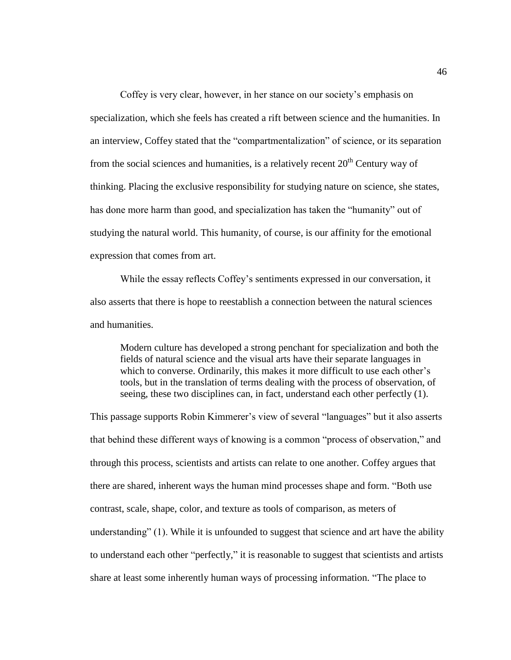Coffey is very clear, however, in her stance on our society's emphasis on specialization, which she feels has created a rift between science and the humanities. In an interview, Coffey stated that the "compartmentalization" of science, or its separation from the social sciences and humanities, is a relatively recent  $20<sup>th</sup>$  Century way of thinking. Placing the exclusive responsibility for studying nature on science, she states, has done more harm than good, and specialization has taken the "humanity" out of studying the natural world. This humanity, of course, is our affinity for the emotional expression that comes from art.

While the essay reflects Coffey's sentiments expressed in our conversation, it also asserts that there is hope to reestablish a connection between the natural sciences and humanities.

Modern culture has developed a strong penchant for specialization and both the fields of natural science and the visual arts have their separate languages in which to converse. Ordinarily, this makes it more difficult to use each other's tools, but in the translation of terms dealing with the process of observation, of seeing, these two disciplines can, in fact, understand each other perfectly (1).

This passage supports Robin Kimmerer's view of several "languages" but it also asserts that behind these different ways of knowing is a common "process of observation," and through this process, scientists and artists can relate to one another. Coffey argues that there are shared, inherent ways the human mind processes shape and form. "Both use contrast, scale, shape, color, and texture as tools of comparison, as meters of understanding" (1). While it is unfounded to suggest that science and art have the ability to understand each other "perfectly," it is reasonable to suggest that scientists and artists share at least some inherently human ways of processing information. "The place to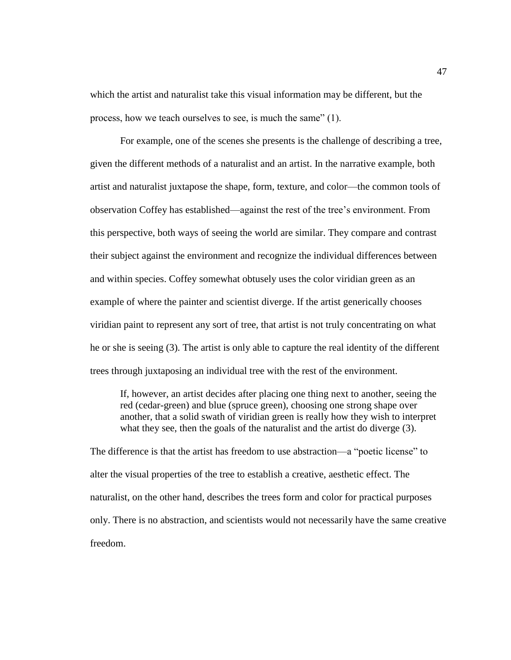which the artist and naturalist take this visual information may be different, but the process, how we teach ourselves to see, is much the same"  $(1)$ .

For example, one of the scenes she presents is the challenge of describing a tree, given the different methods of a naturalist and an artist. In the narrative example, both artist and naturalist juxtapose the shape, form, texture, and color—the common tools of observation Coffey has established—against the rest of the tree's environment. From this perspective, both ways of seeing the world are similar. They compare and contrast their subject against the environment and recognize the individual differences between and within species. Coffey somewhat obtusely uses the color viridian green as an example of where the painter and scientist diverge. If the artist generically chooses viridian paint to represent any sort of tree, that artist is not truly concentrating on what he or she is seeing (3). The artist is only able to capture the real identity of the different trees through juxtaposing an individual tree with the rest of the environment.

If, however, an artist decides after placing one thing next to another, seeing the red (cedar-green) and blue (spruce green), choosing one strong shape over another, that a solid swath of viridian green is really how they wish to interpret what they see, then the goals of the naturalist and the artist do diverge (3).

The difference is that the artist has freedom to use abstraction—a "poetic license" to alter the visual properties of the tree to establish a creative, aesthetic effect. The naturalist, on the other hand, describes the trees form and color for practical purposes only. There is no abstraction, and scientists would not necessarily have the same creative freedom.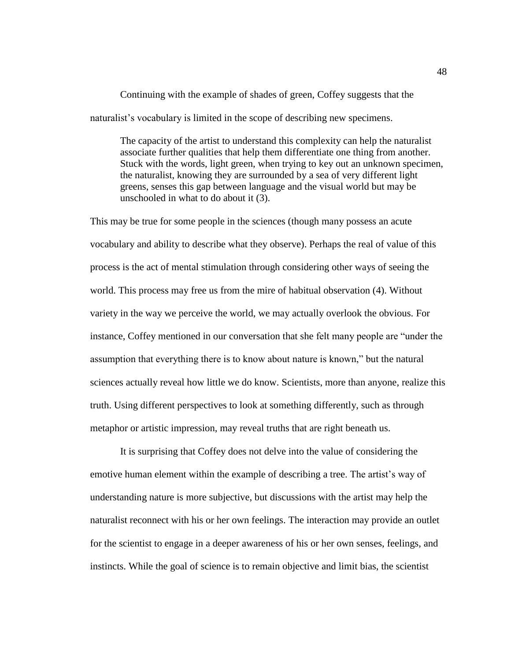Continuing with the example of shades of green, Coffey suggests that the naturalist's vocabulary is limited in the scope of describing new specimens.

The capacity of the artist to understand this complexity can help the naturalist associate further qualities that help them differentiate one thing from another. Stuck with the words, light green, when trying to key out an unknown specimen, the naturalist, knowing they are surrounded by a sea of very different light greens, senses this gap between language and the visual world but may be unschooled in what to do about it (3).

This may be true for some people in the sciences (though many possess an acute vocabulary and ability to describe what they observe). Perhaps the real of value of this process is the act of mental stimulation through considering other ways of seeing the world. This process may free us from the mire of habitual observation (4). Without variety in the way we perceive the world, we may actually overlook the obvious. For instance, Coffey mentioned in our conversation that she felt many people are "under the assumption that everything there is to know about nature is known," but the natural sciences actually reveal how little we do know. Scientists, more than anyone, realize this truth. Using different perspectives to look at something differently, such as through metaphor or artistic impression, may reveal truths that are right beneath us.

It is surprising that Coffey does not delve into the value of considering the emotive human element within the example of describing a tree. The artist's way of understanding nature is more subjective, but discussions with the artist may help the naturalist reconnect with his or her own feelings. The interaction may provide an outlet for the scientist to engage in a deeper awareness of his or her own senses, feelings, and instincts. While the goal of science is to remain objective and limit bias, the scientist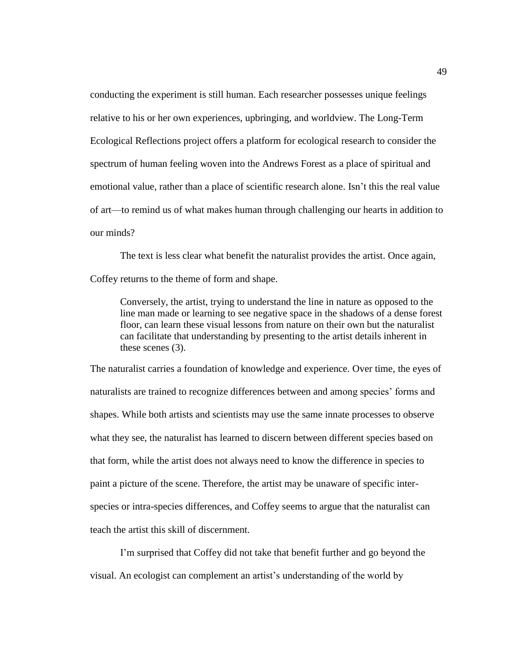conducting the experiment is still human. Each researcher possesses unique feelings relative to his or her own experiences, upbringing, and worldview. The Long-Term Ecological Reflections project offers a platform for ecological research to consider the spectrum of human feeling woven into the Andrews Forest as a place of spiritual and emotional value, rather than a place of scientific research alone. Isn't this the real value of art—to remind us of what makes human through challenging our hearts in addition to our minds?

The text is less clear what benefit the naturalist provides the artist. Once again, Coffey returns to the theme of form and shape.

Conversely, the artist, trying to understand the line in nature as opposed to the line man made or learning to see negative space in the shadows of a dense forest floor, can learn these visual lessons from nature on their own but the naturalist can facilitate that understanding by presenting to the artist details inherent in these scenes (3).

The naturalist carries a foundation of knowledge and experience. Over time, the eyes of naturalists are trained to recognize differences between and among species' forms and shapes. While both artists and scientists may use the same innate processes to observe what they see, the naturalist has learned to discern between different species based on that form, while the artist does not always need to know the difference in species to paint a picture of the scene. Therefore, the artist may be unaware of specific interspecies or intra-species differences, and Coffey seems to argue that the naturalist can teach the artist this skill of discernment.

I'm surprised that Coffey did not take that benefit further and go beyond the visual. An ecologist can complement an artist's understanding of the world by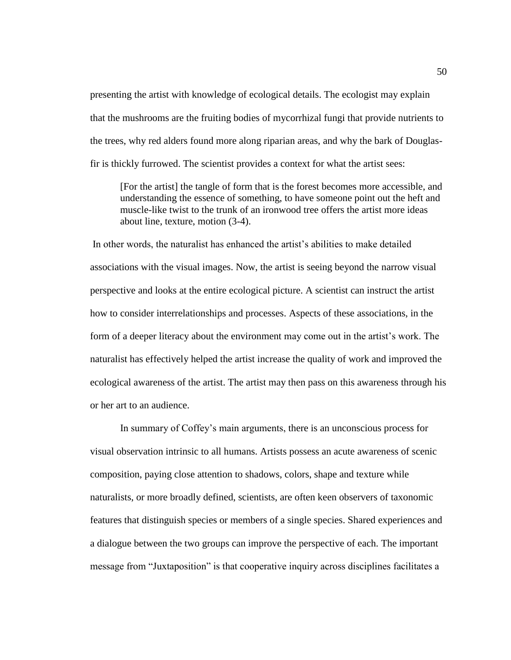presenting the artist with knowledge of ecological details. The ecologist may explain that the mushrooms are the fruiting bodies of mycorrhizal fungi that provide nutrients to the trees, why red alders found more along riparian areas, and why the bark of Douglasfir is thickly furrowed. The scientist provides a context for what the artist sees:

[For the artist] the tangle of form that is the forest becomes more accessible, and understanding the essence of something, to have someone point out the heft and muscle-like twist to the trunk of an ironwood tree offers the artist more ideas about line, texture, motion (3-4).

In other words, the naturalist has enhanced the artist's abilities to make detailed associations with the visual images. Now, the artist is seeing beyond the narrow visual perspective and looks at the entire ecological picture. A scientist can instruct the artist how to consider interrelationships and processes. Aspects of these associations, in the form of a deeper literacy about the environment may come out in the artist's work. The naturalist has effectively helped the artist increase the quality of work and improved the ecological awareness of the artist. The artist may then pass on this awareness through his or her art to an audience.

In summary of Coffey's main arguments, there is an unconscious process for visual observation intrinsic to all humans. Artists possess an acute awareness of scenic composition, paying close attention to shadows, colors, shape and texture while naturalists, or more broadly defined, scientists, are often keen observers of taxonomic features that distinguish species or members of a single species. Shared experiences and a dialogue between the two groups can improve the perspective of each. The important message from "Juxtaposition" is that cooperative inquiry across disciplines facilitates a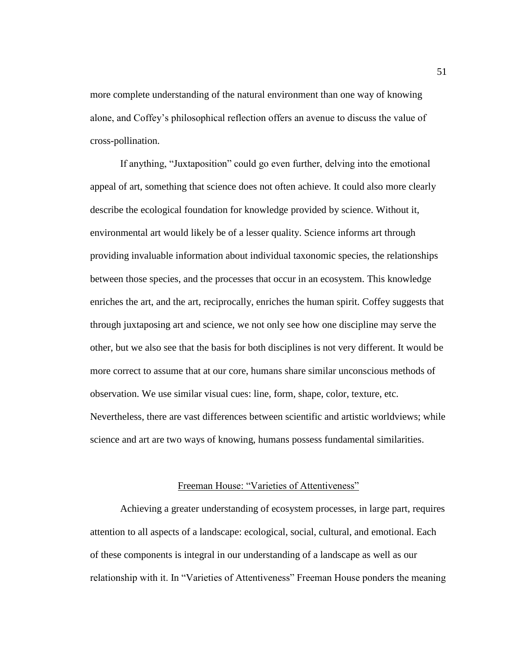more complete understanding of the natural environment than one way of knowing alone, and Coffey's philosophical reflection offers an avenue to discuss the value of cross-pollination.

If anything, "Juxtaposition" could go even further, delving into the emotional appeal of art, something that science does not often achieve. It could also more clearly describe the ecological foundation for knowledge provided by science. Without it, environmental art would likely be of a lesser quality. Science informs art through providing invaluable information about individual taxonomic species, the relationships between those species, and the processes that occur in an ecosystem. This knowledge enriches the art, and the art, reciprocally, enriches the human spirit. Coffey suggests that through juxtaposing art and science, we not only see how one discipline may serve the other, but we also see that the basis for both disciplines is not very different. It would be more correct to assume that at our core, humans share similar unconscious methods of observation. We use similar visual cues: line, form, shape, color, texture, etc. Nevertheless, there are vast differences between scientific and artistic worldviews; while science and art are two ways of knowing, humans possess fundamental similarities.

#### Freeman House: "Varieties of Attentiveness"

Achieving a greater understanding of ecosystem processes, in large part, requires attention to all aspects of a landscape: ecological, social, cultural, and emotional. Each of these components is integral in our understanding of a landscape as well as our relationship with it. In "Varieties of Attentiveness" Freeman House ponders the meaning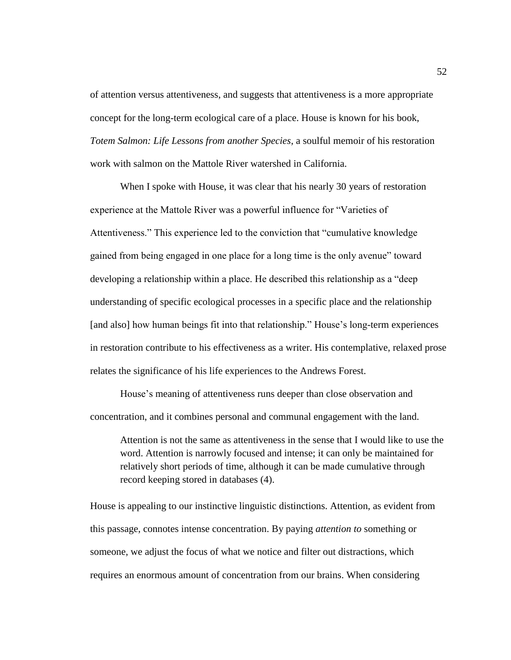of attention versus attentiveness, and suggests that attentiveness is a more appropriate concept for the long-term ecological care of a place. House is known for his book, *Totem Salmon: Life Lessons from another Species*, a soulful memoir of his restoration work with salmon on the Mattole River watershed in California.

When I spoke with House, it was clear that his nearly 30 years of restoration experience at the Mattole River was a powerful influence for "Varieties of Attentiveness." This experience led to the conviction that "cumulative knowledge gained from being engaged in one place for a long time is the only avenue‖ toward developing a relationship within a place. He described this relationship as a "deep" understanding of specific ecological processes in a specific place and the relationship [and also] how human beings fit into that relationship." House's long-term experiences in restoration contribute to his effectiveness as a writer. His contemplative, relaxed prose relates the significance of his life experiences to the Andrews Forest.

House's meaning of attentiveness runs deeper than close observation and concentration, and it combines personal and communal engagement with the land.

Attention is not the same as attentiveness in the sense that I would like to use the word. Attention is narrowly focused and intense; it can only be maintained for relatively short periods of time, although it can be made cumulative through record keeping stored in databases (4).

House is appealing to our instinctive linguistic distinctions. Attention, as evident from this passage, connotes intense concentration. By paying *attention to* something or someone, we adjust the focus of what we notice and filter out distractions, which requires an enormous amount of concentration from our brains. When considering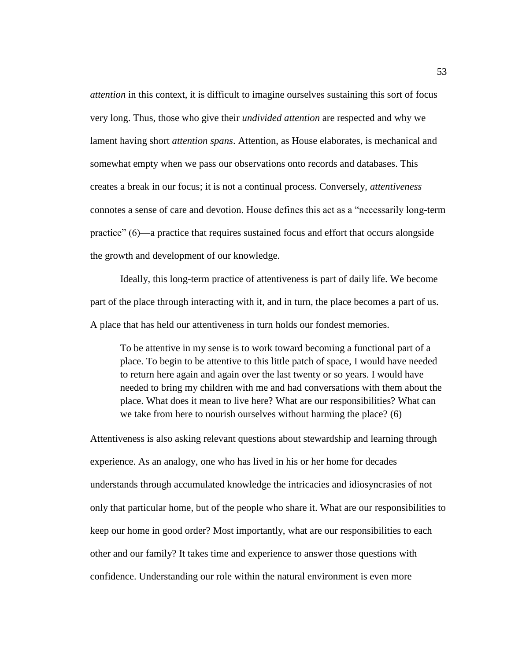*attention* in this context, it is difficult to imagine ourselves sustaining this sort of focus very long. Thus, those who give their *undivided attention* are respected and why we lament having short *attention spans*. Attention, as House elaborates, is mechanical and somewhat empty when we pass our observations onto records and databases. This creates a break in our focus; it is not a continual process. Conversely, *attentiveness* connotes a sense of care and devotion. House defines this act as a "necessarily long-term practice"  $(6)$ —a practice that requires sustained focus and effort that occurs alongside the growth and development of our knowledge.

Ideally, this long-term practice of attentiveness is part of daily life. We become part of the place through interacting with it, and in turn, the place becomes a part of us. A place that has held our attentiveness in turn holds our fondest memories.

To be attentive in my sense is to work toward becoming a functional part of a place. To begin to be attentive to this little patch of space, I would have needed to return here again and again over the last twenty or so years. I would have needed to bring my children with me and had conversations with them about the place. What does it mean to live here? What are our responsibilities? What can we take from here to nourish ourselves without harming the place? (6)

Attentiveness is also asking relevant questions about stewardship and learning through experience. As an analogy, one who has lived in his or her home for decades understands through accumulated knowledge the intricacies and idiosyncrasies of not only that particular home, but of the people who share it. What are our responsibilities to keep our home in good order? Most importantly, what are our responsibilities to each other and our family? It takes time and experience to answer those questions with confidence. Understanding our role within the natural environment is even more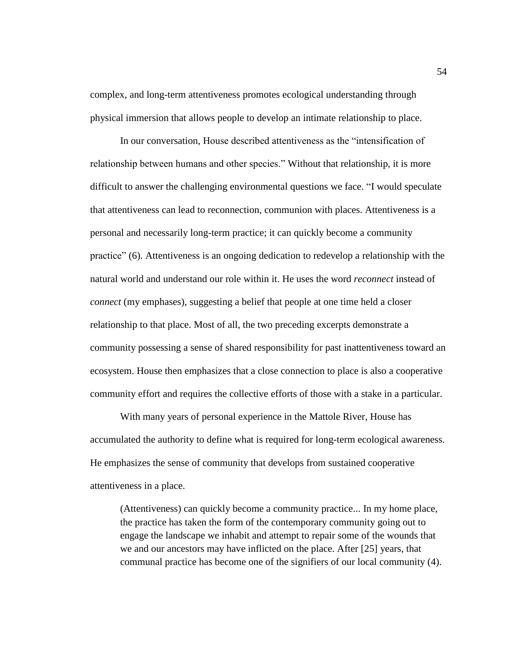complex, and long-term attentiveness promotes ecological understanding through physical immersion that allows people to develop an intimate relationship to place.

In our conversation, House described attentiveness as the "intensification of relationship between humans and other species." Without that relationship, it is more difficult to answer the challenging environmental questions we face. "I would speculate that attentiveness can lead to reconnection, communion with places. Attentiveness is a personal and necessarily long-term practice; it can quickly become a community practice‖ (6). Attentiveness is an ongoing dedication to redevelop a relationship with the natural world and understand our role within it. He uses the word *reconnect* instead of *connect* (my emphases), suggesting a belief that people at one time held a closer relationship to that place. Most of all, the two preceding excerpts demonstrate a community possessing a sense of shared responsibility for past inattentiveness toward an ecosystem. House then emphasizes that a close connection to place is also a cooperative community effort and requires the collective efforts of those with a stake in a particular.

With many years of personal experience in the Mattole River, House has accumulated the authority to define what is required for long-term ecological awareness. He emphasizes the sense of community that develops from sustained cooperative attentiveness in a place.

(Attentiveness) can quickly become a community practice... In my home place, the practice has taken the form of the contemporary community going out to engage the landscape we inhabit and attempt to repair some of the wounds that we and our ancestors may have inflicted on the place. After [25] years, that communal practice has become one of the signifiers of our local community (4).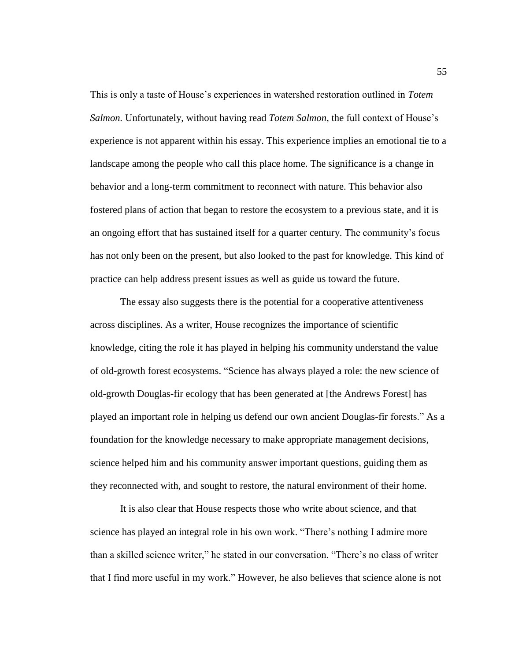This is only a taste of House's experiences in watershed restoration outlined in *Totem Salmon.* Unfortunately, without having read *Totem Salmon*, the full context of House's experience is not apparent within his essay. This experience implies an emotional tie to a landscape among the people who call this place home. The significance is a change in behavior and a long-term commitment to reconnect with nature. This behavior also fostered plans of action that began to restore the ecosystem to a previous state, and it is an ongoing effort that has sustained itself for a quarter century. The community's focus has not only been on the present, but also looked to the past for knowledge. This kind of practice can help address present issues as well as guide us toward the future.

The essay also suggests there is the potential for a cooperative attentiveness across disciplines. As a writer, House recognizes the importance of scientific knowledge, citing the role it has played in helping his community understand the value of old-growth forest ecosystems. "Science has always played a role: the new science of old-growth Douglas-fir ecology that has been generated at [the Andrews Forest] has played an important role in helping us defend our own ancient Douglas-fir forests." As a foundation for the knowledge necessary to make appropriate management decisions, science helped him and his community answer important questions, guiding them as they reconnected with, and sought to restore, the natural environment of their home.

It is also clear that House respects those who write about science, and that science has played an integral role in his own work. "There's nothing I admire more than a skilled science writer," he stated in our conversation. "There's no class of writer that I find more useful in my work." However, he also believes that science alone is not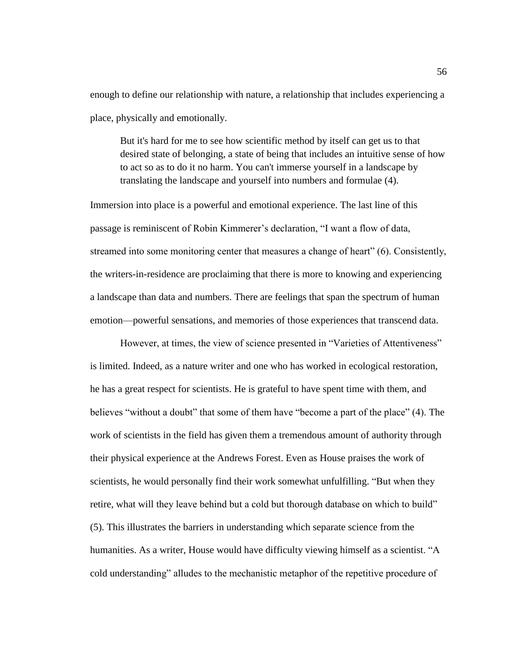enough to define our relationship with nature, a relationship that includes experiencing a place, physically and emotionally.

But it's hard for me to see how scientific method by itself can get us to that desired state of belonging, a state of being that includes an intuitive sense of how to act so as to do it no harm. You can't immerse yourself in a landscape by translating the landscape and yourself into numbers and formulae (4).

Immersion into place is a powerful and emotional experience. The last line of this passage is reminiscent of Robin Kimmerer's declaration, "I want a flow of data, streamed into some monitoring center that measures a change of heart" (6). Consistently, the writers-in-residence are proclaiming that there is more to knowing and experiencing a landscape than data and numbers. There are feelings that span the spectrum of human emotion—powerful sensations, and memories of those experiences that transcend data.

However, at times, the view of science presented in "Varieties of Attentiveness" is limited. Indeed, as a nature writer and one who has worked in ecological restoration, he has a great respect for scientists. He is grateful to have spent time with them, and believes "without a doubt" that some of them have "become a part of the place" (4). The work of scientists in the field has given them a tremendous amount of authority through their physical experience at the Andrews Forest. Even as House praises the work of scientists, he would personally find their work somewhat unfulfilling. "But when they retire, what will they leave behind but a cold but thorough database on which to build" (5). This illustrates the barriers in understanding which separate science from the humanities. As a writer, House would have difficulty viewing himself as a scientist. "A cold understanding" alludes to the mechanistic metaphor of the repetitive procedure of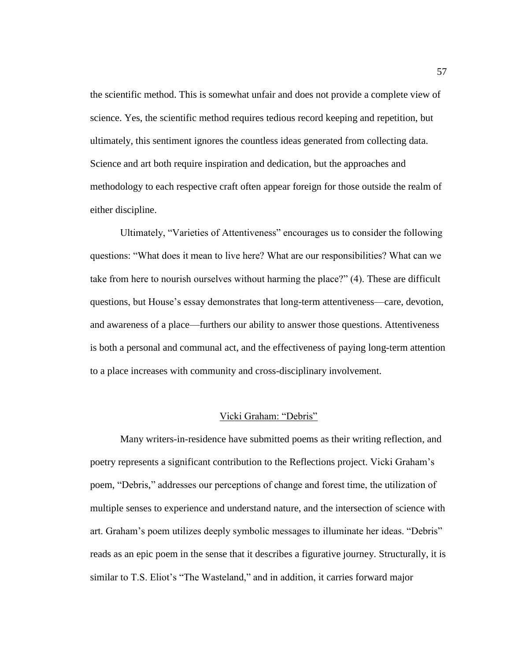the scientific method. This is somewhat unfair and does not provide a complete view of science. Yes, the scientific method requires tedious record keeping and repetition, but ultimately, this sentiment ignores the countless ideas generated from collecting data. Science and art both require inspiration and dedication, but the approaches and methodology to each respective craft often appear foreign for those outside the realm of either discipline.

Ultimately, "Varieties of Attentiveness" encourages us to consider the following questions: ―What does it mean to live here? What are our responsibilities? What can we take from here to nourish ourselves without harming the place?" (4). These are difficult questions, but House's essay demonstrates that long-term attentiveness—care, devotion, and awareness of a place—furthers our ability to answer those questions. Attentiveness is both a personal and communal act, and the effectiveness of paying long-term attention to a place increases with community and cross-disciplinary involvement.

#### Vicki Graham: "Debris"

Many writers-in-residence have submitted poems as their writing reflection, and poetry represents a significant contribution to the Reflections project. Vicki Graham's poem, "Debris," addresses our perceptions of change and forest time, the utilization of multiple senses to experience and understand nature, and the intersection of science with art. Graham's poem utilizes deeply symbolic messages to illuminate her ideas. "Debris" reads as an epic poem in the sense that it describes a figurative journey. Structurally, it is similar to T.S. Eliot's "The Wasteland," and in addition, it carries forward major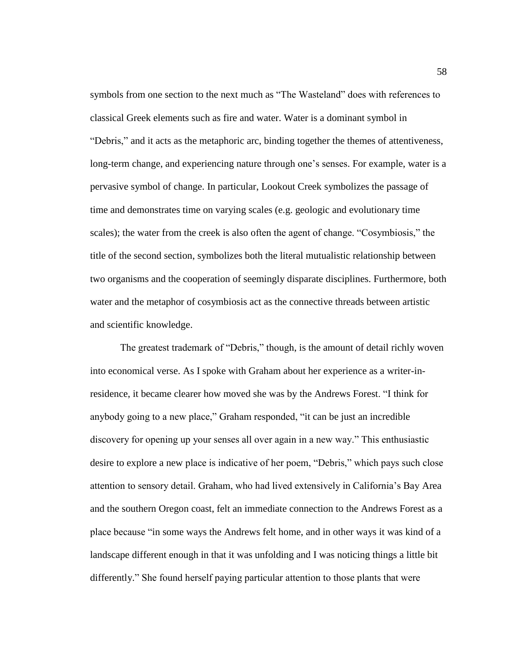symbols from one section to the next much as "The Wasteland" does with references to classical Greek elements such as fire and water. Water is a dominant symbol in ―Debris,‖ and it acts as the metaphoric arc, binding together the themes of attentiveness, long-term change, and experiencing nature through one's senses. For example, water is a pervasive symbol of change. In particular, Lookout Creek symbolizes the passage of time and demonstrates time on varying scales (e.g. geologic and evolutionary time scales); the water from the creek is also often the agent of change. "Cosymbiosis," the title of the second section, symbolizes both the literal mutualistic relationship between two organisms and the cooperation of seemingly disparate disciplines. Furthermore, both water and the metaphor of cosymbiosis act as the connective threads between artistic and scientific knowledge.

The greatest trademark of "Debris," though, is the amount of detail richly woven into economical verse. As I spoke with Graham about her experience as a writer-inresidence, it became clearer how moved she was by the Andrews Forest. "I think for anybody going to a new place," Graham responded, "it can be just an incredible discovery for opening up your senses all over again in a new way." This enthusiastic desire to explore a new place is indicative of her poem, "Debris," which pays such close attention to sensory detail. Graham, who had lived extensively in California's Bay Area and the southern Oregon coast, felt an immediate connection to the Andrews Forest as a place because "in some ways the Andrews felt home, and in other ways it was kind of a landscape different enough in that it was unfolding and I was noticing things a little bit differently." She found herself paying particular attention to those plants that were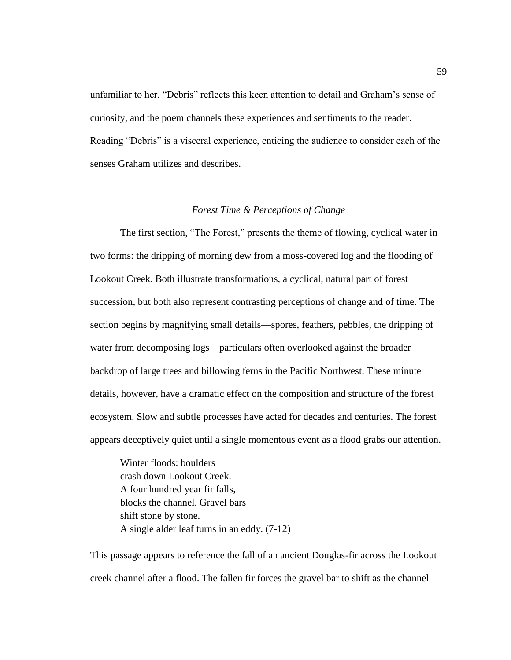unfamiliar to her. "Debris" reflects this keen attention to detail and Graham's sense of curiosity, and the poem channels these experiences and sentiments to the reader. Reading "Debris" is a visceral experience, enticing the audience to consider each of the senses Graham utilizes and describes.

#### *Forest Time & Perceptions of Change*

The first section, "The Forest," presents the theme of flowing, cyclical water in two forms: the dripping of morning dew from a moss-covered log and the flooding of Lookout Creek. Both illustrate transformations, a cyclical, natural part of forest succession, but both also represent contrasting perceptions of change and of time. The section begins by magnifying small details—spores, feathers, pebbles, the dripping of water from decomposing logs—particulars often overlooked against the broader backdrop of large trees and billowing ferns in the Pacific Northwest. These minute details, however, have a dramatic effect on the composition and structure of the forest ecosystem. Slow and subtle processes have acted for decades and centuries. The forest appears deceptively quiet until a single momentous event as a flood grabs our attention.

Winter floods: boulders crash down Lookout Creek. A four hundred year fir falls, blocks the channel. Gravel bars shift stone by stone. A single alder leaf turns in an eddy. (7-12)

This passage appears to reference the fall of an ancient Douglas-fir across the Lookout creek channel after a flood. The fallen fir forces the gravel bar to shift as the channel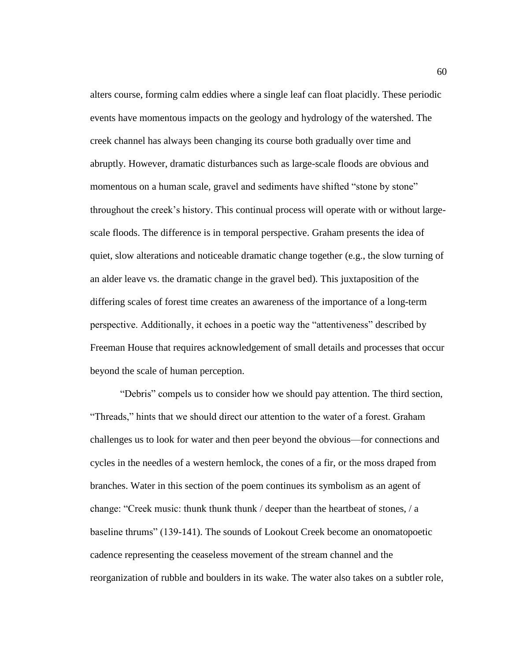alters course, forming calm eddies where a single leaf can float placidly. These periodic events have momentous impacts on the geology and hydrology of the watershed. The creek channel has always been changing its course both gradually over time and abruptly. However, dramatic disturbances such as large-scale floods are obvious and momentous on a human scale, gravel and sediments have shifted "stone by stone" throughout the creek's history. This continual process will operate with or without largescale floods. The difference is in temporal perspective. Graham presents the idea of quiet, slow alterations and noticeable dramatic change together (e.g., the slow turning of an alder leave vs. the dramatic change in the gravel bed). This juxtaposition of the differing scales of forest time creates an awareness of the importance of a long-term perspective. Additionally, it echoes in a poetic way the "attentiveness" described by Freeman House that requires acknowledgement of small details and processes that occur beyond the scale of human perception.

"Debris" compels us to consider how we should pay attention. The third section, "Threads," hints that we should direct our attention to the water of a forest. Graham challenges us to look for water and then peer beyond the obvious—for connections and cycles in the needles of a western hemlock, the cones of a fir, or the moss draped from branches. Water in this section of the poem continues its symbolism as an agent of change: "Creek music: thunk thunk thunk  $/$  deeper than the heartbeat of stones,  $/$  a baseline thrums‖ (139-141). The sounds of Lookout Creek become an onomatopoetic cadence representing the ceaseless movement of the stream channel and the reorganization of rubble and boulders in its wake. The water also takes on a subtler role,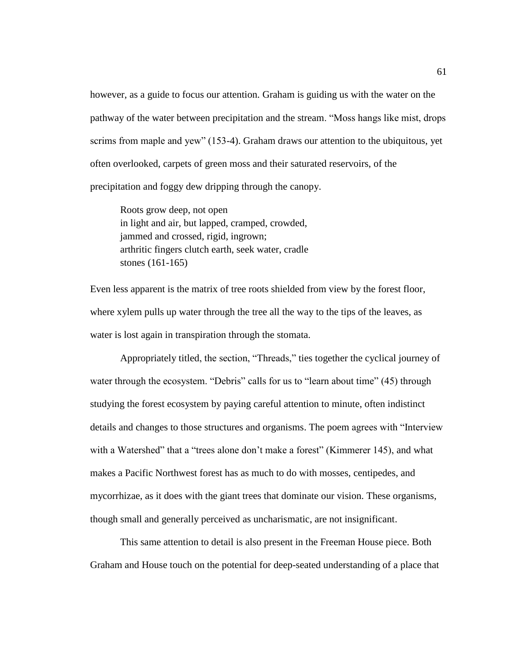however, as a guide to focus our attention. Graham is guiding us with the water on the pathway of the water between precipitation and the stream. "Moss hangs like mist, drops scrims from maple and yew" (153-4). Graham draws our attention to the ubiquitous, yet often overlooked, carpets of green moss and their saturated reservoirs, of the precipitation and foggy dew dripping through the canopy.

Roots grow deep, not open in light and air, but lapped, cramped, crowded, jammed and crossed, rigid, ingrown; arthritic fingers clutch earth, seek water, cradle stones (161-165)

Even less apparent is the matrix of tree roots shielded from view by the forest floor, where xylem pulls up water through the tree all the way to the tips of the leaves, as water is lost again in transpiration through the stomata.

Appropriately titled, the section, "Threads," ties together the cyclical journey of water through the ecosystem. "Debris" calls for us to "learn about time"  $(45)$  through studying the forest ecosystem by paying careful attention to minute, often indistinct details and changes to those structures and organisms. The poem agrees with "Interview" with a Watershed" that a "trees alone don't make a forest" (Kimmerer 145), and what makes a Pacific Northwest forest has as much to do with mosses, centipedes, and mycorrhizae, as it does with the giant trees that dominate our vision. These organisms, though small and generally perceived as uncharismatic, are not insignificant.

This same attention to detail is also present in the Freeman House piece. Both Graham and House touch on the potential for deep-seated understanding of a place that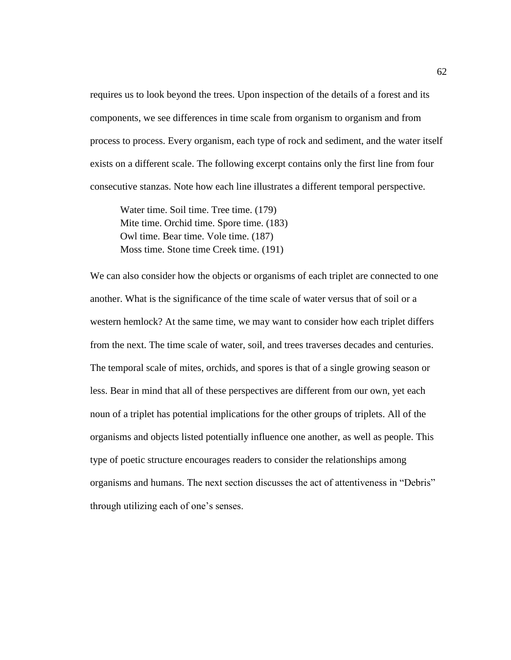requires us to look beyond the trees. Upon inspection of the details of a forest and its components, we see differences in time scale from organism to organism and from process to process. Every organism, each type of rock and sediment, and the water itself exists on a different scale. The following excerpt contains only the first line from four consecutive stanzas. Note how each line illustrates a different temporal perspective.

Water time. Soil time. Tree time. (179) Mite time. Orchid time. Spore time. (183) Owl time. Bear time. Vole time. (187) Moss time. Stone time Creek time. (191)

We can also consider how the objects or organisms of each triplet are connected to one another. What is the significance of the time scale of water versus that of soil or a western hemlock? At the same time, we may want to consider how each triplet differs from the next. The time scale of water, soil, and trees traverses decades and centuries. The temporal scale of mites, orchids, and spores is that of a single growing season or less. Bear in mind that all of these perspectives are different from our own, yet each noun of a triplet has potential implications for the other groups of triplets. All of the organisms and objects listed potentially influence one another, as well as people. This type of poetic structure encourages readers to consider the relationships among organisms and humans. The next section discusses the act of attentiveness in "Debris" through utilizing each of one's senses.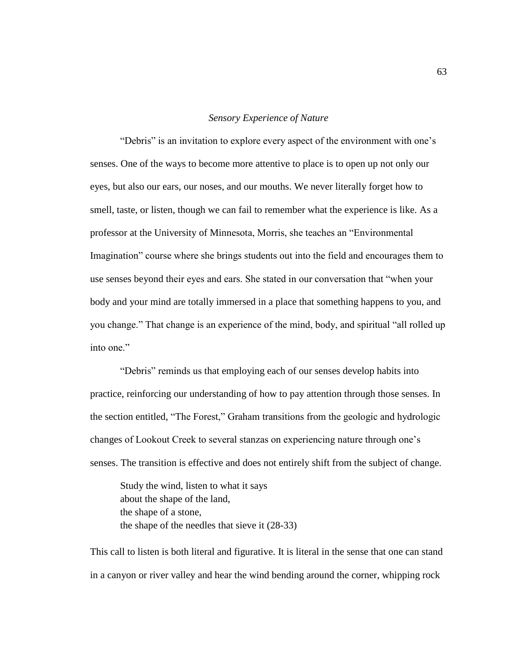#### *Sensory Experience of Nature*

"Debris" is an invitation to explore every aspect of the environment with one's senses. One of the ways to become more attentive to place is to open up not only our eyes, but also our ears, our noses, and our mouths. We never literally forget how to smell, taste, or listen, though we can fail to remember what the experience is like. As a professor at the University of Minnesota, Morris, she teaches an "Environmental" Imagination" course where she brings students out into the field and encourages them to use senses beyond their eyes and ears. She stated in our conversation that "when your body and your mind are totally immersed in a place that something happens to you, and you change." That change is an experience of the mind, body, and spiritual "all rolled up into one."

"Debris" reminds us that employing each of our senses develop habits into practice, reinforcing our understanding of how to pay attention through those senses. In the section entitled, "The Forest," Graham transitions from the geologic and hydrologic changes of Lookout Creek to several stanzas on experiencing nature through one's senses. The transition is effective and does not entirely shift from the subject of change.

Study the wind, listen to what it says about the shape of the land, the shape of a stone, the shape of the needles that sieve it (28-33)

This call to listen is both literal and figurative. It is literal in the sense that one can stand in a canyon or river valley and hear the wind bending around the corner, whipping rock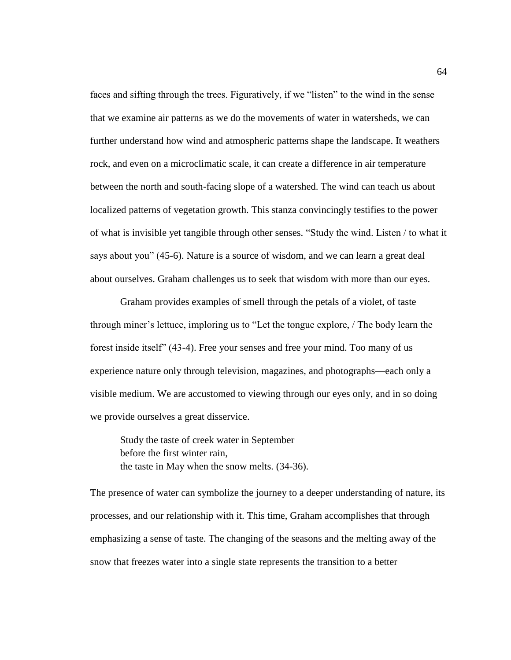faces and sifting through the trees. Figuratively, if we "listen" to the wind in the sense that we examine air patterns as we do the movements of water in watersheds, we can further understand how wind and atmospheric patterns shape the landscape. It weathers rock, and even on a microclimatic scale, it can create a difference in air temperature between the north and south-facing slope of a watershed. The wind can teach us about localized patterns of vegetation growth. This stanza convincingly testifies to the power of what is invisible yet tangible through other senses. "Study the wind. Listen / to what it says about you" (45-6). Nature is a source of wisdom, and we can learn a great deal about ourselves. Graham challenges us to seek that wisdom with more than our eyes.

Graham provides examples of smell through the petals of a violet, of taste through miner's lettuce, imploring us to "Let the tongue explore, / The body learn the forest inside itself" (43-4). Free your senses and free your mind. Too many of us experience nature only through television, magazines, and photographs—each only a visible medium. We are accustomed to viewing through our eyes only, and in so doing we provide ourselves a great disservice.

Study the taste of creek water in September before the first winter rain, the taste in May when the snow melts. (34-36).

The presence of water can symbolize the journey to a deeper understanding of nature, its processes, and our relationship with it. This time, Graham accomplishes that through emphasizing a sense of taste. The changing of the seasons and the melting away of the snow that freezes water into a single state represents the transition to a better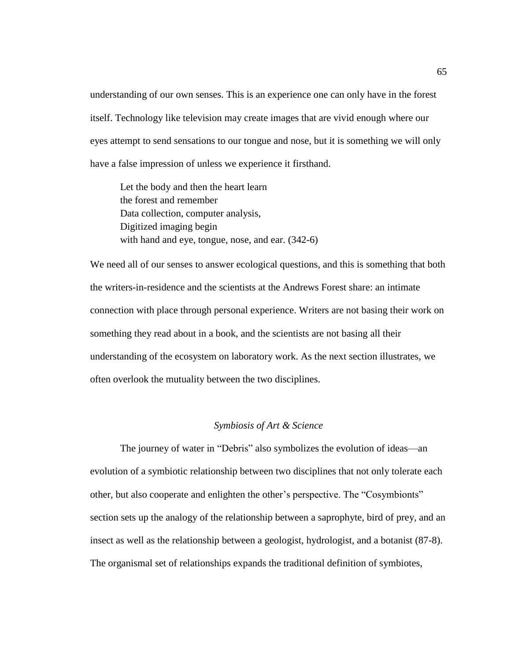understanding of our own senses. This is an experience one can only have in the forest itself. Technology like television may create images that are vivid enough where our eyes attempt to send sensations to our tongue and nose, but it is something we will only have a false impression of unless we experience it firsthand.

Let the body and then the heart learn the forest and remember Data collection, computer analysis, Digitized imaging begin with hand and eye, tongue, nose, and ear. (342-6)

We need all of our senses to answer ecological questions, and this is something that both the writers-in-residence and the scientists at the Andrews Forest share: an intimate connection with place through personal experience. Writers are not basing their work on something they read about in a book, and the scientists are not basing all their understanding of the ecosystem on laboratory work. As the next section illustrates, we often overlook the mutuality between the two disciplines.

### *Symbiosis of Art & Science*

The journey of water in "Debris" also symbolizes the evolution of ideas—an evolution of a symbiotic relationship between two disciplines that not only tolerate each other, but also cooperate and enlighten the other's perspective. The "Cosymbionts" section sets up the analogy of the relationship between a saprophyte, bird of prey, and an insect as well as the relationship between a geologist, hydrologist, and a botanist (87-8). The organismal set of relationships expands the traditional definition of symbiotes,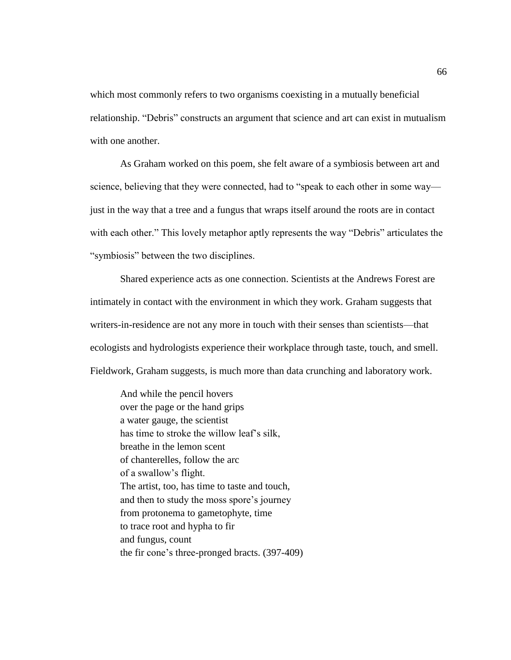which most commonly refers to two organisms coexisting in a mutually beneficial relationship. "Debris" constructs an argument that science and art can exist in mutualism with one another.

As Graham worked on this poem, she felt aware of a symbiosis between art and science, believing that they were connected, had to "speak to each other in some way just in the way that a tree and a fungus that wraps itself around the roots are in contact with each other." This lovely metaphor aptly represents the way "Debris" articulates the "symbiosis" between the two disciplines.

Shared experience acts as one connection. Scientists at the Andrews Forest are intimately in contact with the environment in which they work. Graham suggests that writers-in-residence are not any more in touch with their senses than scientists—that ecologists and hydrologists experience their workplace through taste, touch, and smell. Fieldwork, Graham suggests, is much more than data crunching and laboratory work.

And while the pencil hovers over the page or the hand grips a water gauge, the scientist has time to stroke the willow leaf's silk, breathe in the lemon scent of chanterelles, follow the arc of a swallow's flight. The artist, too, has time to taste and touch, and then to study the moss spore's journey from protonema to gametophyte, time to trace root and hypha to fir and fungus, count the fir cone's three-pronged bracts. (397-409)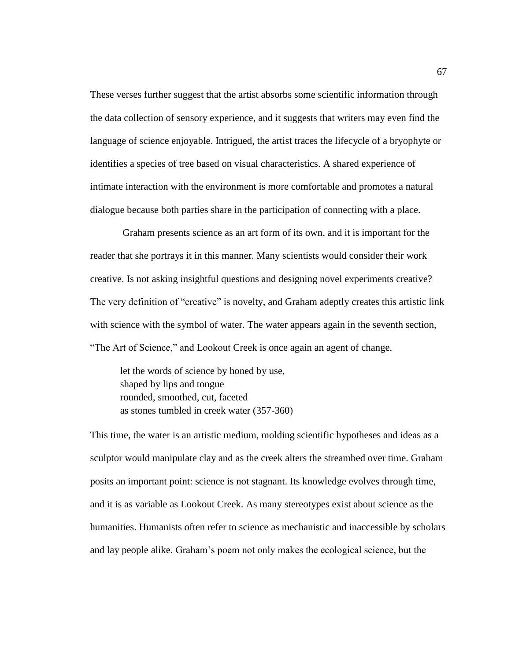These verses further suggest that the artist absorbs some scientific information through the data collection of sensory experience, and it suggests that writers may even find the language of science enjoyable. Intrigued, the artist traces the lifecycle of a bryophyte or identifies a species of tree based on visual characteristics. A shared experience of intimate interaction with the environment is more comfortable and promotes a natural dialogue because both parties share in the participation of connecting with a place.

Graham presents science as an art form of its own, and it is important for the reader that she portrays it in this manner. Many scientists would consider their work creative. Is not asking insightful questions and designing novel experiments creative? The very definition of "creative" is novelty, and Graham adeptly creates this artistic link with science with the symbol of water. The water appears again in the seventh section, "The Art of Science," and Lookout Creek is once again an agent of change.

let the words of science by honed by use, shaped by lips and tongue rounded, smoothed, cut, faceted as stones tumbled in creek water (357-360)

This time, the water is an artistic medium, molding scientific hypotheses and ideas as a sculptor would manipulate clay and as the creek alters the streambed over time. Graham posits an important point: science is not stagnant. Its knowledge evolves through time, and it is as variable as Lookout Creek. As many stereotypes exist about science as the humanities. Humanists often refer to science as mechanistic and inaccessible by scholars and lay people alike. Graham's poem not only makes the ecological science, but the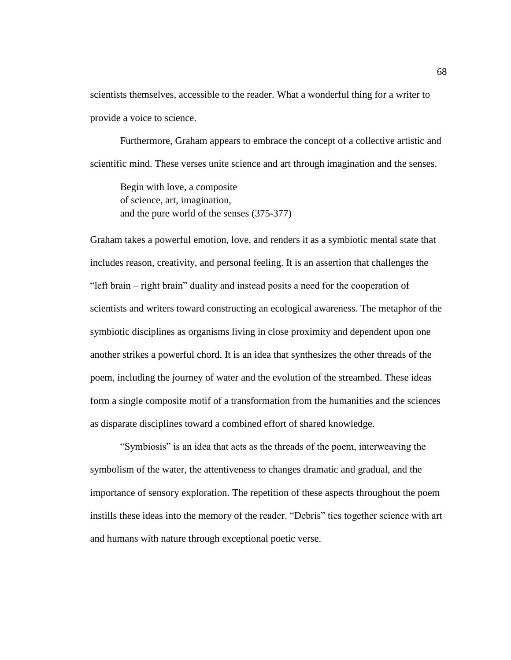scientists themselves, accessible to the reader. What a wonderful thing for a writer to provide a voice to science.

Furthermore, Graham appears to embrace the concept of a collective artistic and scientific mind. These verses unite science and art through imagination and the senses.

Begin with love, a composite of science, art, imagination, and the pure world of the senses (375-377)

Graham takes a powerful emotion, love, and renders it as a symbiotic mental state that includes reason, creativity, and personal feeling. It is an assertion that challenges the "left brain – right brain" duality and instead posits a need for the cooperation of scientists and writers toward constructing an ecological awareness. The metaphor of the symbiotic disciplines as organisms living in close proximity and dependent upon one another strikes a powerful chord. It is an idea that synthesizes the other threads of the poem, including the journey of water and the evolution of the streambed. These ideas form a single composite motif of a transformation from the humanities and the sciences as disparate disciplines toward a combined effort of shared knowledge.

―Symbiosis‖ is an idea that acts as the threads of the poem, interweaving the symbolism of the water, the attentiveness to changes dramatic and gradual, and the importance of sensory exploration. The repetition of these aspects throughout the poem instills these ideas into the memory of the reader. "Debris" ties together science with art and humans with nature through exceptional poetic verse.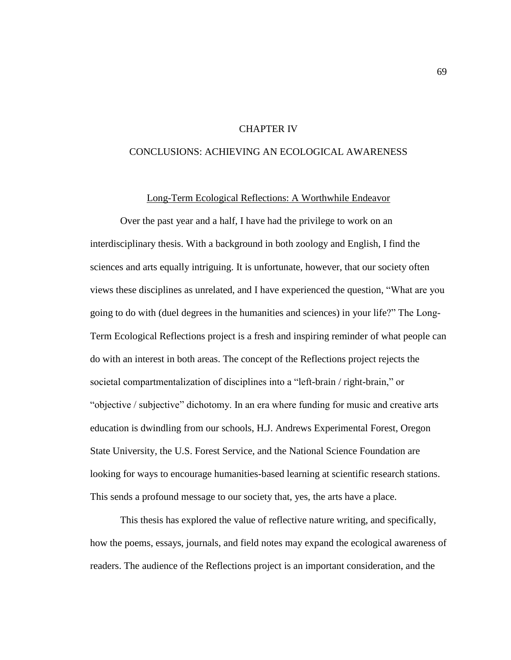## CHAPTER IV

# CONCLUSIONS: ACHIEVING AN ECOLOGICAL AWARENESS

### Long-Term Ecological Reflections: A Worthwhile Endeavor

Over the past year and a half, I have had the privilege to work on an interdisciplinary thesis. With a background in both zoology and English, I find the sciences and arts equally intriguing. It is unfortunate, however, that our society often views these disciplines as unrelated, and I have experienced the question, "What are you going to do with (duel degrees in the humanities and sciences) in your life?" The Long-Term Ecological Reflections project is a fresh and inspiring reminder of what people can do with an interest in both areas. The concept of the Reflections project rejects the societal compartmentalization of disciplines into a "left-brain / right-brain," or "objective / subjective" dichotomy. In an era where funding for music and creative arts education is dwindling from our schools, H.J. Andrews Experimental Forest, Oregon State University, the U.S. Forest Service, and the National Science Foundation are looking for ways to encourage humanities-based learning at scientific research stations. This sends a profound message to our society that, yes, the arts have a place.

This thesis has explored the value of reflective nature writing, and specifically, how the poems, essays, journals, and field notes may expand the ecological awareness of readers. The audience of the Reflections project is an important consideration, and the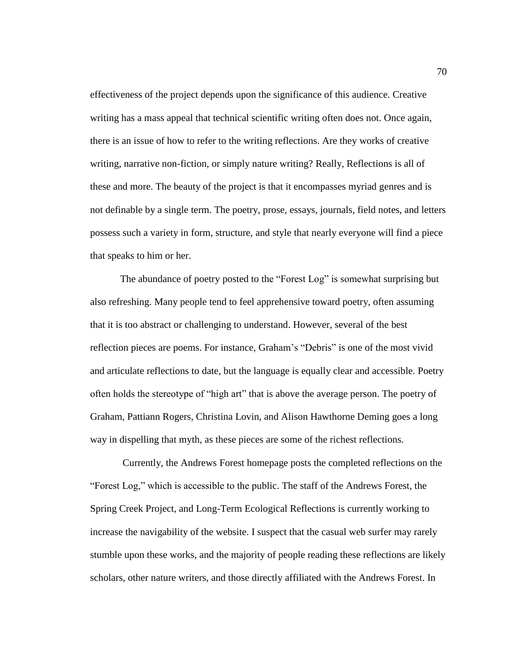effectiveness of the project depends upon the significance of this audience. Creative writing has a mass appeal that technical scientific writing often does not. Once again, there is an issue of how to refer to the writing reflections. Are they works of creative writing, narrative non-fiction, or simply nature writing? Really, Reflections is all of these and more. The beauty of the project is that it encompasses myriad genres and is not definable by a single term. The poetry, prose, essays, journals, field notes, and letters possess such a variety in form, structure, and style that nearly everyone will find a piece that speaks to him or her.

The abundance of poetry posted to the "Forest Log" is somewhat surprising but also refreshing. Many people tend to feel apprehensive toward poetry, often assuming that it is too abstract or challenging to understand. However, several of the best reflection pieces are poems. For instance, Graham's "Debris" is one of the most vivid and articulate reflections to date, but the language is equally clear and accessible. Poetry often holds the stereotype of "high art" that is above the average person. The poetry of Graham, Pattiann Rogers, Christina Lovin, and Alison Hawthorne Deming goes a long way in dispelling that myth, as these pieces are some of the richest reflections.

Currently, the Andrews Forest homepage posts the completed reflections on the ―Forest Log,‖ which is accessible to the public. The staff of the Andrews Forest, the Spring Creek Project, and Long-Term Ecological Reflections is currently working to increase the navigability of the website. I suspect that the casual web surfer may rarely stumble upon these works, and the majority of people reading these reflections are likely scholars, other nature writers, and those directly affiliated with the Andrews Forest. In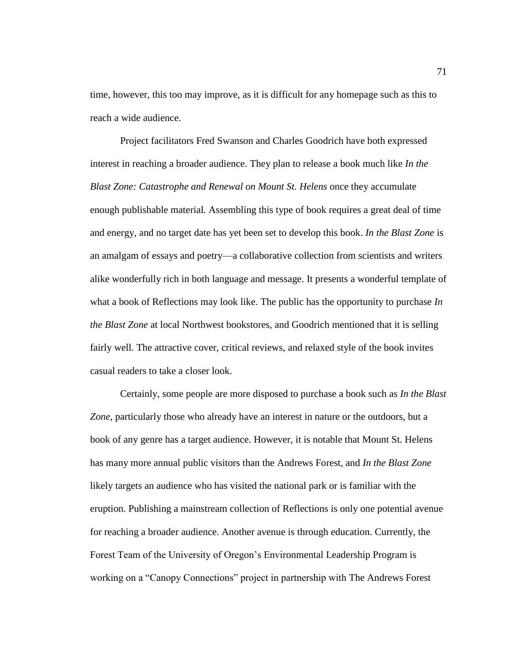time, however, this too may improve, as it is difficult for any homepage such as this to reach a wide audience.

Project facilitators Fred Swanson and Charles Goodrich have both expressed interest in reaching a broader audience. They plan to release a book much like *In the Blast Zone: Catastrophe and Renewal on Mount St. Helens* once they accumulate enough publishable material*.* Assembling this type of book requires a great deal of time and energy, and no target date has yet been set to develop this book. *In the Blast Zone* is an amalgam of essays and poetry—a collaborative collection from scientists and writers alike wonderfully rich in both language and message. It presents a wonderful template of what a book of Reflections may look like. The public has the opportunity to purchase *In the Blast Zone* at local Northwest bookstores, and Goodrich mentioned that it is selling fairly well. The attractive cover, critical reviews, and relaxed style of the book invites casual readers to take a closer look.

Certainly, some people are more disposed to purchase a book such as *In the Blast Zone*, particularly those who already have an interest in nature or the outdoors, but a book of any genre has a target audience. However, it is notable that Mount St. Helens has many more annual public visitors than the Andrews Forest, and *In the Blast Zone* likely targets an audience who has visited the national park or is familiar with the eruption. Publishing a mainstream collection of Reflections is only one potential avenue for reaching a broader audience. Another avenue is through education. Currently, the Forest Team of the University of Oregon's Environmental Leadership Program is working on a "Canopy Connections" project in partnership with The Andrews Forest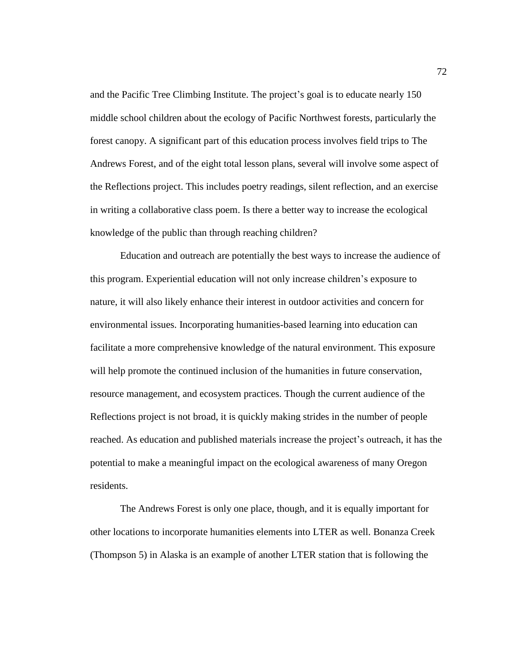and the Pacific Tree Climbing Institute. The project's goal is to educate nearly 150 middle school children about the ecology of Pacific Northwest forests, particularly the forest canopy. A significant part of this education process involves field trips to The Andrews Forest, and of the eight total lesson plans, several will involve some aspect of the Reflections project. This includes poetry readings, silent reflection, and an exercise in writing a collaborative class poem. Is there a better way to increase the ecological knowledge of the public than through reaching children?

Education and outreach are potentially the best ways to increase the audience of this program. Experiential education will not only increase children's exposure to nature, it will also likely enhance their interest in outdoor activities and concern for environmental issues. Incorporating humanities-based learning into education can facilitate a more comprehensive knowledge of the natural environment. This exposure will help promote the continued inclusion of the humanities in future conservation, resource management, and ecosystem practices. Though the current audience of the Reflections project is not broad, it is quickly making strides in the number of people reached. As education and published materials increase the project's outreach, it has the potential to make a meaningful impact on the ecological awareness of many Oregon residents.

The Andrews Forest is only one place, though, and it is equally important for other locations to incorporate humanities elements into LTER as well. Bonanza Creek (Thompson 5) in Alaska is an example of another LTER station that is following the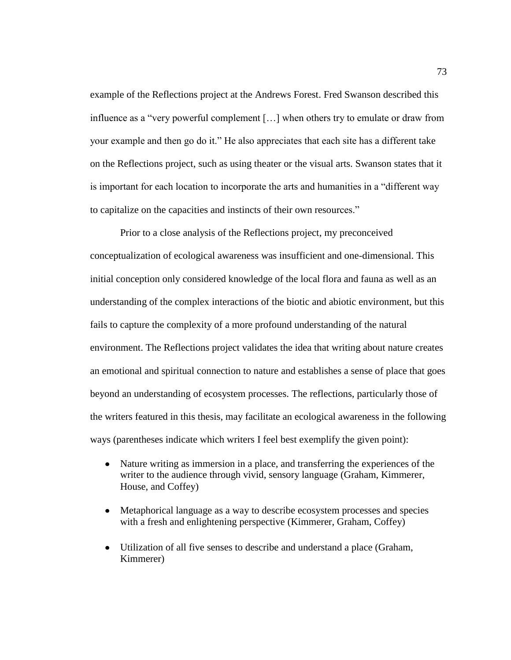example of the Reflections project at the Andrews Forest. Fred Swanson described this influence as a "very powerful complement  $[\dots]$  when others try to emulate or draw from your example and then go do it." He also appreciates that each site has a different take on the Reflections project, such as using theater or the visual arts. Swanson states that it is important for each location to incorporate the arts and humanities in a "different way" to capitalize on the capacities and instincts of their own resources."

Prior to a close analysis of the Reflections project, my preconceived conceptualization of ecological awareness was insufficient and one-dimensional. This initial conception only considered knowledge of the local flora and fauna as well as an understanding of the complex interactions of the biotic and abiotic environment, but this fails to capture the complexity of a more profound understanding of the natural environment. The Reflections project validates the idea that writing about nature creates an emotional and spiritual connection to nature and establishes a sense of place that goes beyond an understanding of ecosystem processes. The reflections, particularly those of the writers featured in this thesis, may facilitate an ecological awareness in the following ways (parentheses indicate which writers I feel best exemplify the given point):

- Nature writing as immersion in a place, and transferring the experiences of the  $\bullet$ writer to the audience through vivid, sensory language (Graham, Kimmerer, House, and Coffey)
- Metaphorical language as a way to describe ecosystem processes and species  $\bullet$ with a fresh and enlightening perspective (Kimmerer, Graham, Coffey)
- Utilization of all five senses to describe and understand a place (Graham, Kimmerer)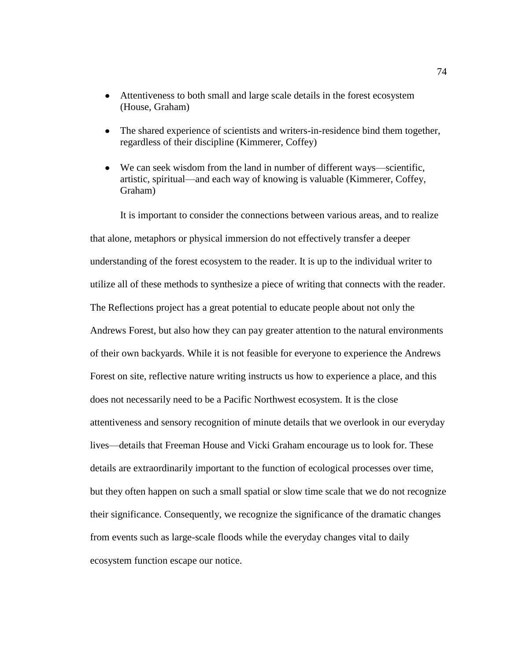- Attentiveness to both small and large scale details in the forest ecosystem (House, Graham)
- The shared experience of scientists and writers-in-residence bind them together, regardless of their discipline (Kimmerer, Coffey)
- We can seek wisdom from the land in number of different ways—scientific, artistic, spiritual—and each way of knowing is valuable (Kimmerer, Coffey, Graham)

It is important to consider the connections between various areas, and to realize that alone, metaphors or physical immersion do not effectively transfer a deeper understanding of the forest ecosystem to the reader. It is up to the individual writer to utilize all of these methods to synthesize a piece of writing that connects with the reader. The Reflections project has a great potential to educate people about not only the Andrews Forest, but also how they can pay greater attention to the natural environments of their own backyards. While it is not feasible for everyone to experience the Andrews Forest on site, reflective nature writing instructs us how to experience a place, and this does not necessarily need to be a Pacific Northwest ecosystem. It is the close attentiveness and sensory recognition of minute details that we overlook in our everyday lives—details that Freeman House and Vicki Graham encourage us to look for. These details are extraordinarily important to the function of ecological processes over time, but they often happen on such a small spatial or slow time scale that we do not recognize their significance. Consequently, we recognize the significance of the dramatic changes from events such as large-scale floods while the everyday changes vital to daily ecosystem function escape our notice.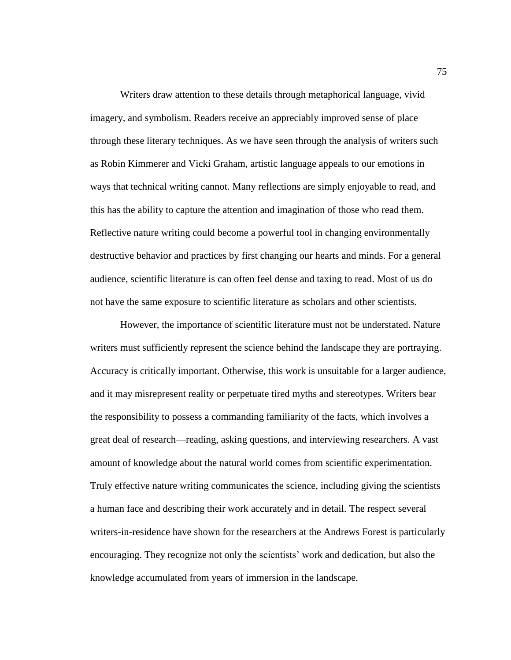Writers draw attention to these details through metaphorical language, vivid imagery, and symbolism. Readers receive an appreciably improved sense of place through these literary techniques. As we have seen through the analysis of writers such as Robin Kimmerer and Vicki Graham, artistic language appeals to our emotions in ways that technical writing cannot. Many reflections are simply enjoyable to read, and this has the ability to capture the attention and imagination of those who read them. Reflective nature writing could become a powerful tool in changing environmentally destructive behavior and practices by first changing our hearts and minds. For a general audience, scientific literature is can often feel dense and taxing to read. Most of us do not have the same exposure to scientific literature as scholars and other scientists.

However, the importance of scientific literature must not be understated. Nature writers must sufficiently represent the science behind the landscape they are portraying. Accuracy is critically important. Otherwise, this work is unsuitable for a larger audience, and it may misrepresent reality or perpetuate tired myths and stereotypes. Writers bear the responsibility to possess a commanding familiarity of the facts, which involves a great deal of research—reading, asking questions, and interviewing researchers. A vast amount of knowledge about the natural world comes from scientific experimentation. Truly effective nature writing communicates the science, including giving the scientists a human face and describing their work accurately and in detail. The respect several writers-in-residence have shown for the researchers at the Andrews Forest is particularly encouraging. They recognize not only the scientists' work and dedication, but also the knowledge accumulated from years of immersion in the landscape.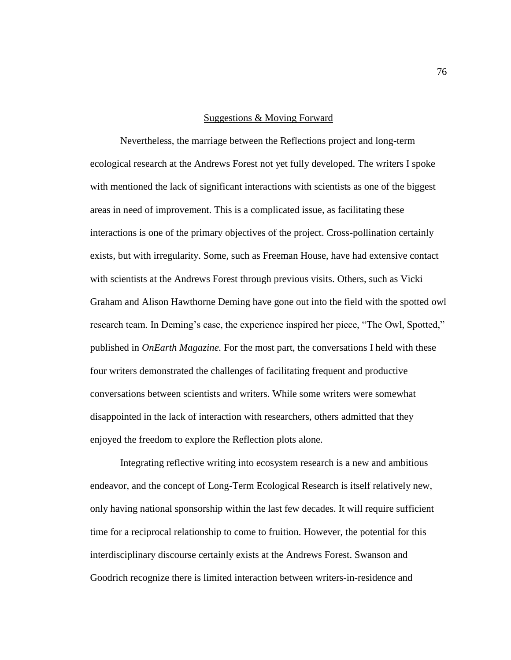#### Suggestions & Moving Forward

Nevertheless, the marriage between the Reflections project and long-term ecological research at the Andrews Forest not yet fully developed. The writers I spoke with mentioned the lack of significant interactions with scientists as one of the biggest areas in need of improvement. This is a complicated issue, as facilitating these interactions is one of the primary objectives of the project. Cross-pollination certainly exists, but with irregularity. Some, such as Freeman House, have had extensive contact with scientists at the Andrews Forest through previous visits. Others, such as Vicki Graham and Alison Hawthorne Deming have gone out into the field with the spotted owl research team. In Deming's case, the experience inspired her piece, "The Owl, Spotted," published in *OnEarth Magazine.* For the most part, the conversations I held with these four writers demonstrated the challenges of facilitating frequent and productive conversations between scientists and writers. While some writers were somewhat disappointed in the lack of interaction with researchers, others admitted that they enjoyed the freedom to explore the Reflection plots alone.

Integrating reflective writing into ecosystem research is a new and ambitious endeavor, and the concept of Long-Term Ecological Research is itself relatively new, only having national sponsorship within the last few decades. It will require sufficient time for a reciprocal relationship to come to fruition. However, the potential for this interdisciplinary discourse certainly exists at the Andrews Forest. Swanson and Goodrich recognize there is limited interaction between writers-in-residence and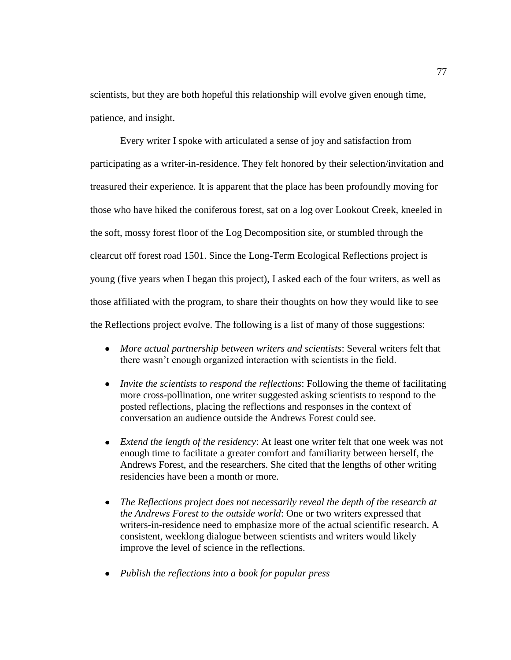scientists, but they are both hopeful this relationship will evolve given enough time, patience, and insight.

Every writer I spoke with articulated a sense of joy and satisfaction from participating as a writer-in-residence. They felt honored by their selection/invitation and treasured their experience. It is apparent that the place has been profoundly moving for those who have hiked the coniferous forest, sat on a log over Lookout Creek, kneeled in the soft, mossy forest floor of the Log Decomposition site, or stumbled through the clearcut off forest road 1501. Since the Long-Term Ecological Reflections project is young (five years when I began this project), I asked each of the four writers, as well as those affiliated with the program, to share their thoughts on how they would like to see the Reflections project evolve. The following is a list of many of those suggestions:

- *More actual partnership between writers and scientists*: Several writers felt that there wasn't enough organized interaction with scientists in the field.
- *Invite the scientists to respond the reflections:* Following the theme of facilitating more cross-pollination, one writer suggested asking scientists to respond to the posted reflections, placing the reflections and responses in the context of conversation an audience outside the Andrews Forest could see.
- *Extend the length of the residency*: At least one writer felt that one week was not enough time to facilitate a greater comfort and familiarity between herself, the Andrews Forest, and the researchers. She cited that the lengths of other writing residencies have been a month or more.
- $\bullet$ *The Reflections project does not necessarily reveal the depth of the research at the Andrews Forest to the outside world*: One or two writers expressed that writers-in-residence need to emphasize more of the actual scientific research. A consistent, weeklong dialogue between scientists and writers would likely improve the level of science in the reflections.
- *Publish the reflections into a book for popular press*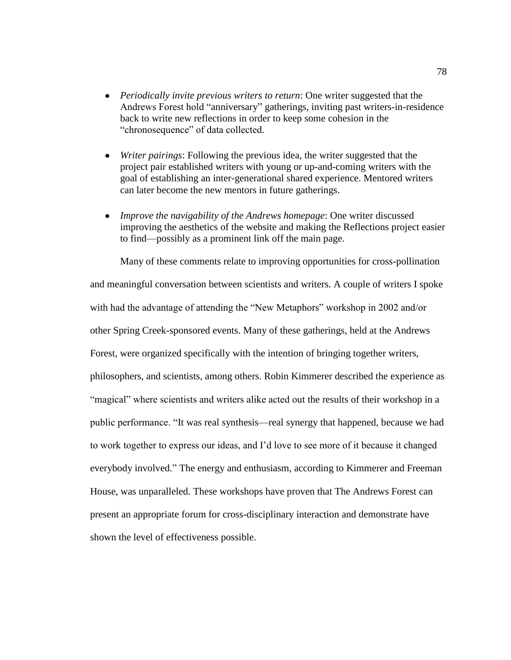- *Periodically invite previous writers to return*: One writer suggested that the Andrews Forest hold "anniversary" gatherings, inviting past writers-in-residence back to write new reflections in order to keep some cohesion in the "chronosequence" of data collected.
- $\bullet$ *Writer pairings*: Following the previous idea, the writer suggested that the project pair established writers with young or up-and-coming writers with the goal of establishing an inter-generational shared experience. Mentored writers can later become the new mentors in future gatherings.
- *Improve the navigability of the Andrews homepage*: One writer discussed improving the aesthetics of the website and making the Reflections project easier to find—possibly as a prominent link off the main page.

Many of these comments relate to improving opportunities for cross-pollination and meaningful conversation between scientists and writers. A couple of writers I spoke with had the advantage of attending the "New Metaphors" workshop in 2002 and/or other Spring Creek-sponsored events. Many of these gatherings, held at the Andrews Forest, were organized specifically with the intention of bringing together writers, philosophers, and scientists, among others. Robin Kimmerer described the experience as ―magical‖ where scientists and writers alike acted out the results of their workshop in a public performance. "It was real synthesis—real synergy that happened, because we had to work together to express our ideas, and I'd love to see more of it because it changed everybody involved." The energy and enthusiasm, according to Kimmerer and Freeman House, was unparalleled. These workshops have proven that The Andrews Forest can present an appropriate forum for cross-disciplinary interaction and demonstrate have shown the level of effectiveness possible.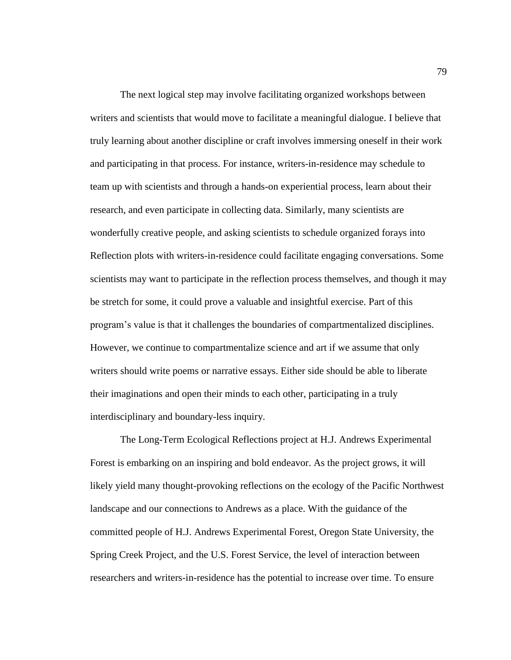The next logical step may involve facilitating organized workshops between writers and scientists that would move to facilitate a meaningful dialogue. I believe that truly learning about another discipline or craft involves immersing oneself in their work and participating in that process. For instance, writers-in-residence may schedule to team up with scientists and through a hands-on experiential process, learn about their research, and even participate in collecting data. Similarly, many scientists are wonderfully creative people, and asking scientists to schedule organized forays into Reflection plots with writers-in-residence could facilitate engaging conversations. Some scientists may want to participate in the reflection process themselves, and though it may be stretch for some, it could prove a valuable and insightful exercise. Part of this program's value is that it challenges the boundaries of compartmentalized disciplines. However, we continue to compartmentalize science and art if we assume that only writers should write poems or narrative essays. Either side should be able to liberate their imaginations and open their minds to each other, participating in a truly interdisciplinary and boundary-less inquiry.

The Long-Term Ecological Reflections project at H.J. Andrews Experimental Forest is embarking on an inspiring and bold endeavor. As the project grows, it will likely yield many thought-provoking reflections on the ecology of the Pacific Northwest landscape and our connections to Andrews as a place. With the guidance of the committed people of H.J. Andrews Experimental Forest, Oregon State University, the Spring Creek Project, and the U.S. Forest Service, the level of interaction between researchers and writers-in-residence has the potential to increase over time. To ensure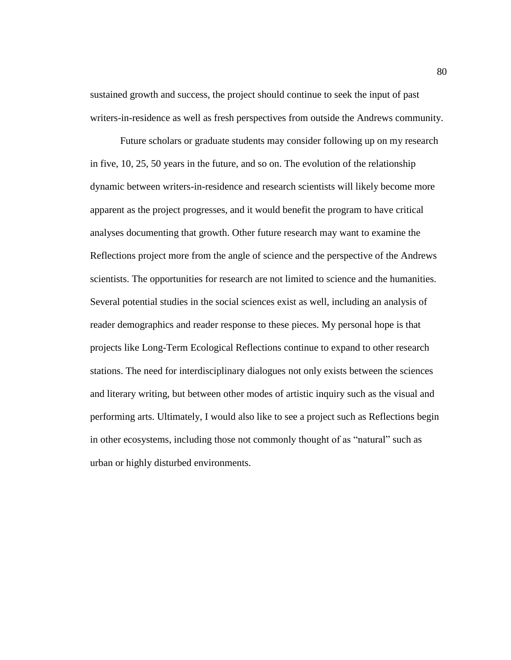sustained growth and success, the project should continue to seek the input of past writers-in-residence as well as fresh perspectives from outside the Andrews community.

Future scholars or graduate students may consider following up on my research in five, 10, 25, 50 years in the future, and so on. The evolution of the relationship dynamic between writers-in-residence and research scientists will likely become more apparent as the project progresses, and it would benefit the program to have critical analyses documenting that growth. Other future research may want to examine the Reflections project more from the angle of science and the perspective of the Andrews scientists. The opportunities for research are not limited to science and the humanities. Several potential studies in the social sciences exist as well, including an analysis of reader demographics and reader response to these pieces. My personal hope is that projects like Long-Term Ecological Reflections continue to expand to other research stations. The need for interdisciplinary dialogues not only exists between the sciences and literary writing, but between other modes of artistic inquiry such as the visual and performing arts. Ultimately, I would also like to see a project such as Reflections begin in other ecosystems, including those not commonly thought of as "natural" such as urban or highly disturbed environments.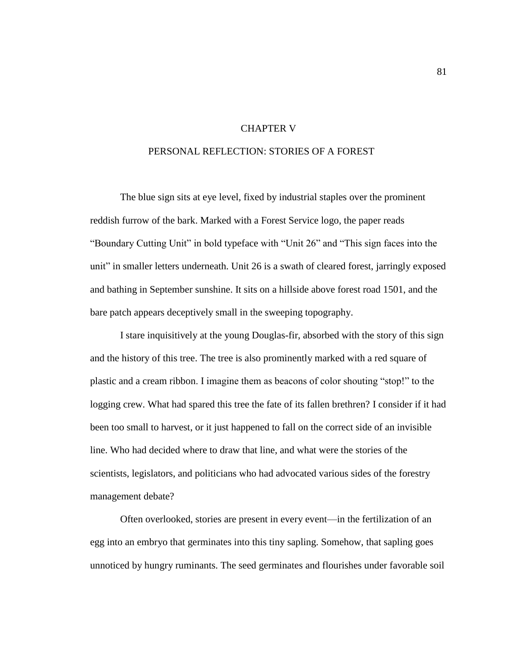### CHAPTER V

# PERSONAL REFLECTION: STORIES OF A FOREST

The blue sign sits at eye level, fixed by industrial staples over the prominent reddish furrow of the bark. Marked with a Forest Service logo, the paper reads "Boundary Cutting Unit" in bold typeface with "Unit 26" and "This sign faces into the unit" in smaller letters underneath. Unit 26 is a swath of cleared forest, jarringly exposed and bathing in September sunshine. It sits on a hillside above forest road 1501, and the bare patch appears deceptively small in the sweeping topography.

I stare inquisitively at the young Douglas-fir, absorbed with the story of this sign and the history of this tree. The tree is also prominently marked with a red square of plastic and a cream ribbon. I imagine them as beacons of color shouting "stop!" to the logging crew. What had spared this tree the fate of its fallen brethren? I consider if it had been too small to harvest, or it just happened to fall on the correct side of an invisible line. Who had decided where to draw that line, and what were the stories of the scientists, legislators, and politicians who had advocated various sides of the forestry management debate?

Often overlooked, stories are present in every event—in the fertilization of an egg into an embryo that germinates into this tiny sapling. Somehow, that sapling goes unnoticed by hungry ruminants. The seed germinates and flourishes under favorable soil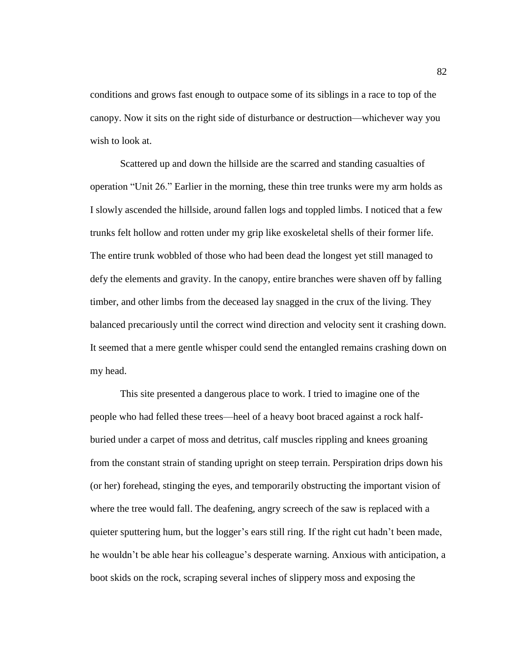conditions and grows fast enough to outpace some of its siblings in a race to top of the canopy. Now it sits on the right side of disturbance or destruction—whichever way you wish to look at.

Scattered up and down the hillside are the scarred and standing casualties of operation "Unit 26." Earlier in the morning, these thin tree trunks were my arm holds as I slowly ascended the hillside, around fallen logs and toppled limbs. I noticed that a few trunks felt hollow and rotten under my grip like exoskeletal shells of their former life. The entire trunk wobbled of those who had been dead the longest yet still managed to defy the elements and gravity. In the canopy, entire branches were shaven off by falling timber, and other limbs from the deceased lay snagged in the crux of the living. They balanced precariously until the correct wind direction and velocity sent it crashing down. It seemed that a mere gentle whisper could send the entangled remains crashing down on my head.

This site presented a dangerous place to work. I tried to imagine one of the people who had felled these trees—heel of a heavy boot braced against a rock halfburied under a carpet of moss and detritus, calf muscles rippling and knees groaning from the constant strain of standing upright on steep terrain. Perspiration drips down his (or her) forehead, stinging the eyes, and temporarily obstructing the important vision of where the tree would fall. The deafening, angry screech of the saw is replaced with a quieter sputtering hum, but the logger's ears still ring. If the right cut hadn't been made, he wouldn't be able hear his colleague's desperate warning. Anxious with anticipation, a boot skids on the rock, scraping several inches of slippery moss and exposing the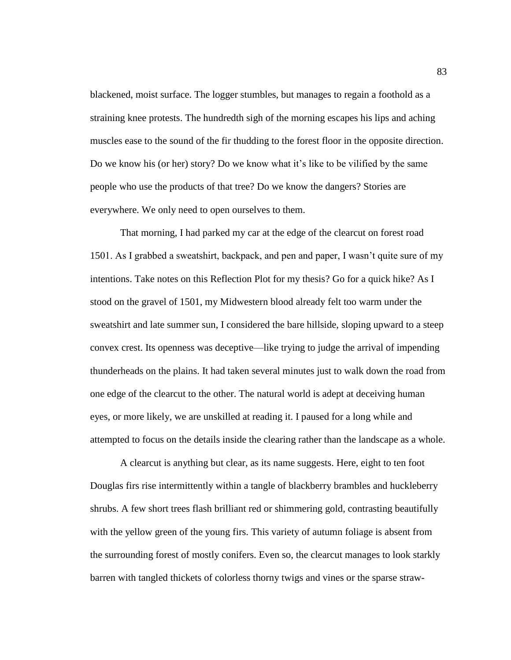blackened, moist surface. The logger stumbles, but manages to regain a foothold as a straining knee protests. The hundredth sigh of the morning escapes his lips and aching muscles ease to the sound of the fir thudding to the forest floor in the opposite direction. Do we know his (or her) story? Do we know what it's like to be vilified by the same people who use the products of that tree? Do we know the dangers? Stories are everywhere. We only need to open ourselves to them.

That morning, I had parked my car at the edge of the clearcut on forest road 1501. As I grabbed a sweatshirt, backpack, and pen and paper, I wasn't quite sure of my intentions. Take notes on this Reflection Plot for my thesis? Go for a quick hike? As I stood on the gravel of 1501, my Midwestern blood already felt too warm under the sweatshirt and late summer sun, I considered the bare hillside, sloping upward to a steep convex crest. Its openness was deceptive—like trying to judge the arrival of impending thunderheads on the plains. It had taken several minutes just to walk down the road from one edge of the clearcut to the other. The natural world is adept at deceiving human eyes, or more likely, we are unskilled at reading it. I paused for a long while and attempted to focus on the details inside the clearing rather than the landscape as a whole.

A clearcut is anything but clear, as its name suggests. Here, eight to ten foot Douglas firs rise intermittently within a tangle of blackberry brambles and huckleberry shrubs. A few short trees flash brilliant red or shimmering gold, contrasting beautifully with the yellow green of the young firs. This variety of autumn foliage is absent from the surrounding forest of mostly conifers. Even so, the clearcut manages to look starkly barren with tangled thickets of colorless thorny twigs and vines or the sparse straw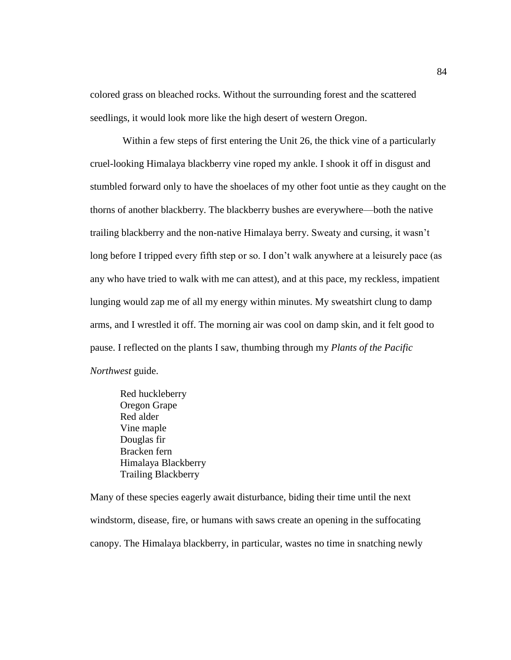colored grass on bleached rocks. Without the surrounding forest and the scattered seedlings, it would look more like the high desert of western Oregon.

Within a few steps of first entering the Unit 26, the thick vine of a particularly cruel-looking Himalaya blackberry vine roped my ankle. I shook it off in disgust and stumbled forward only to have the shoelaces of my other foot untie as they caught on the thorns of another blackberry. The blackberry bushes are everywhere—both the native trailing blackberry and the non-native Himalaya berry. Sweaty and cursing, it wasn't long before I tripped every fifth step or so. I don't walk anywhere at a leisurely pace (as any who have tried to walk with me can attest), and at this pace, my reckless, impatient lunging would zap me of all my energy within minutes. My sweatshirt clung to damp arms, and I wrestled it off. The morning air was cool on damp skin, and it felt good to pause. I reflected on the plants I saw, thumbing through my *Plants of the Pacific Northwest* guide.

Red huckleberry Oregon Grape Red alder Vine maple Douglas fir Bracken fern Himalaya Blackberry Trailing Blackberry

Many of these species eagerly await disturbance, biding their time until the next windstorm, disease, fire, or humans with saws create an opening in the suffocating canopy. The Himalaya blackberry, in particular, wastes no time in snatching newly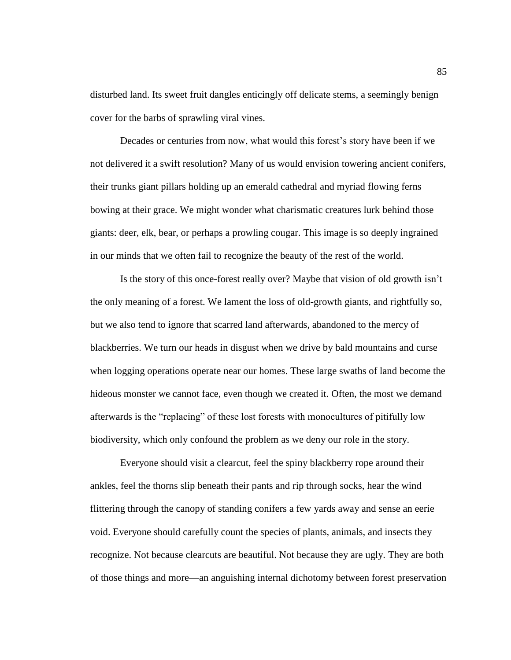disturbed land. Its sweet fruit dangles enticingly off delicate stems, a seemingly benign cover for the barbs of sprawling viral vines.

Decades or centuries from now, what would this forest's story have been if we not delivered it a swift resolution? Many of us would envision towering ancient conifers, their trunks giant pillars holding up an emerald cathedral and myriad flowing ferns bowing at their grace. We might wonder what charismatic creatures lurk behind those giants: deer, elk, bear, or perhaps a prowling cougar. This image is so deeply ingrained in our minds that we often fail to recognize the beauty of the rest of the world.

Is the story of this once-forest really over? Maybe that vision of old growth isn't the only meaning of a forest. We lament the loss of old-growth giants, and rightfully so, but we also tend to ignore that scarred land afterwards, abandoned to the mercy of blackberries. We turn our heads in disgust when we drive by bald mountains and curse when logging operations operate near our homes. These large swaths of land become the hideous monster we cannot face, even though we created it. Often, the most we demand afterwards is the "replacing" of these lost forests with monocultures of pitifully low biodiversity, which only confound the problem as we deny our role in the story.

Everyone should visit a clearcut, feel the spiny blackberry rope around their ankles, feel the thorns slip beneath their pants and rip through socks, hear the wind flittering through the canopy of standing conifers a few yards away and sense an eerie void. Everyone should carefully count the species of plants, animals, and insects they recognize. Not because clearcuts are beautiful. Not because they are ugly. They are both of those things and more—an anguishing internal dichotomy between forest preservation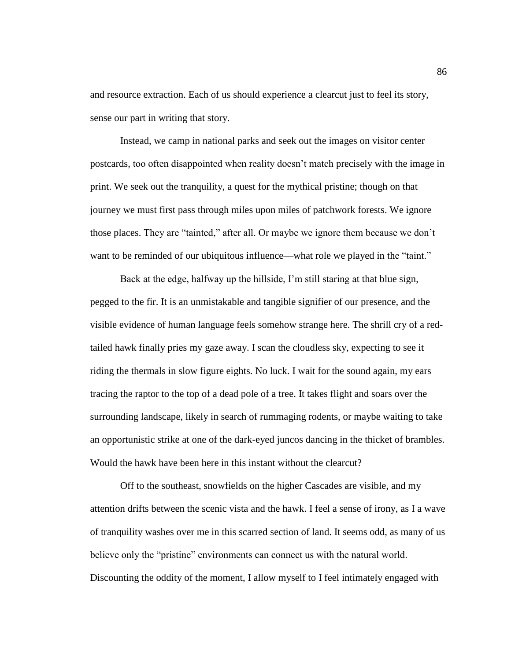and resource extraction. Each of us should experience a clearcut just to feel its story, sense our part in writing that story.

Instead, we camp in national parks and seek out the images on visitor center postcards, too often disappointed when reality doesn't match precisely with the image in print. We seek out the tranquility, a quest for the mythical pristine; though on that journey we must first pass through miles upon miles of patchwork forests. We ignore those places. They are "tainted," after all. Or maybe we ignore them because we don't want to be reminded of our ubiquitous influence—what role we played in the "taint."

Back at the edge, halfway up the hillside, I'm still staring at that blue sign, pegged to the fir. It is an unmistakable and tangible signifier of our presence, and the visible evidence of human language feels somehow strange here. The shrill cry of a redtailed hawk finally pries my gaze away. I scan the cloudless sky, expecting to see it riding the thermals in slow figure eights. No luck. I wait for the sound again, my ears tracing the raptor to the top of a dead pole of a tree. It takes flight and soars over the surrounding landscape, likely in search of rummaging rodents, or maybe waiting to take an opportunistic strike at one of the dark-eyed juncos dancing in the thicket of brambles. Would the hawk have been here in this instant without the clearcut?

Off to the southeast, snowfields on the higher Cascades are visible, and my attention drifts between the scenic vista and the hawk. I feel a sense of irony, as I a wave of tranquility washes over me in this scarred section of land. It seems odd, as many of us believe only the "pristine" environments can connect us with the natural world. Discounting the oddity of the moment, I allow myself to I feel intimately engaged with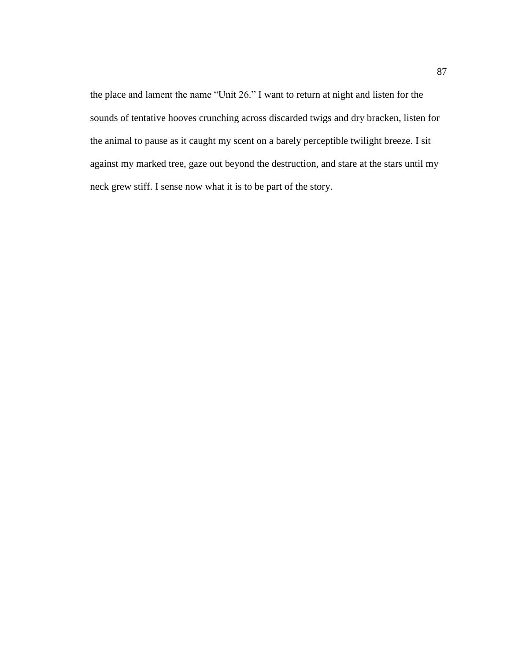the place and lament the name "Unit 26." I want to return at night and listen for the sounds of tentative hooves crunching across discarded twigs and dry bracken, listen for the animal to pause as it caught my scent on a barely perceptible twilight breeze. I sit against my marked tree, gaze out beyond the destruction, and stare at the stars until my neck grew stiff. I sense now what it is to be part of the story.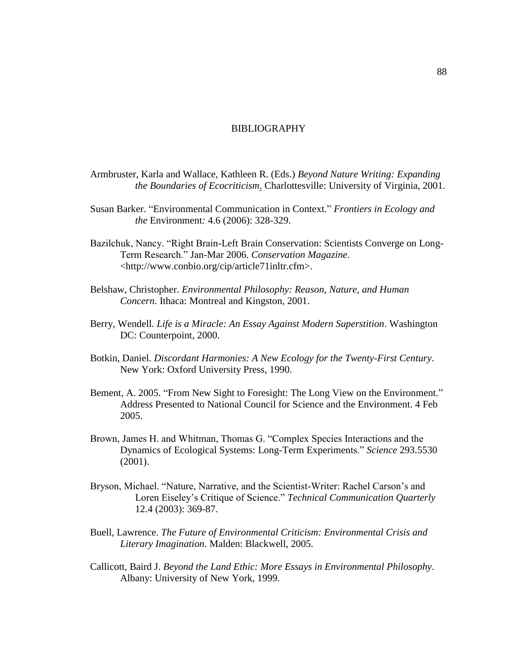# BIBLIOGRAPHY

- Armbruster, Karla and Wallace, Kathleen R. (Eds.) *Beyond Nature Writing: Expanding the Boundaries of Ecocriticism*. Charlottesville: University of Virginia, 2001.
- Susan Barker. "Environmental Communication in Context." Frontiers in Ecology and *the* Environment*:* 4.6 (2006): 328-329.
- Bazilchuk, Nancy. "Right Brain-Left Brain Conservation: Scientists Converge on Long-Term Research.‖ Jan-Mar 2006. *Conservation Magazine*. <http://www.conbio.org/cip/article71inltr.cfm>.
- Belshaw, Christopher. *Environmental Philosophy: Reason, Nature, and Human Concern*. Ithaca: Montreal and Kingston, 2001.
- Berry, Wendell. *Life is a Miracle: An Essay Against Modern Superstition*. Washington DC: Counterpoint, 2000.
- Botkin, Daniel. *Discordant Harmonies: A New Ecology for the Twenty-First Century*. New York: Oxford University Press, 1990.
- Bement, A. 2005. "From New Sight to Foresight: The Long View on the Environment." Address Presented to National Council for Science and the Environment. 4 Feb 2005.
- Brown, James H. and Whitman, Thomas G. "Complex Species Interactions and the Dynamics of Ecological Systems: Long-Term Experiments.‖ *Science* 293.5530 (2001).
- Bryson, Michael. "Nature, Narrative, and the Scientist-Writer: Rachel Carson's and Loren Eiseley's Critique of Science." *Technical Communication Quarterly* 12.4 (2003): 369-87.
- Buell, Lawrence. *The Future of Environmental Criticism: Environmental Crisis and Literary Imagination*. Malden: Blackwell, 2005.
- Callicott, Baird J. *Beyond the Land Ethic: More Essays in Environmental Philosophy*. Albany: University of New York, 1999.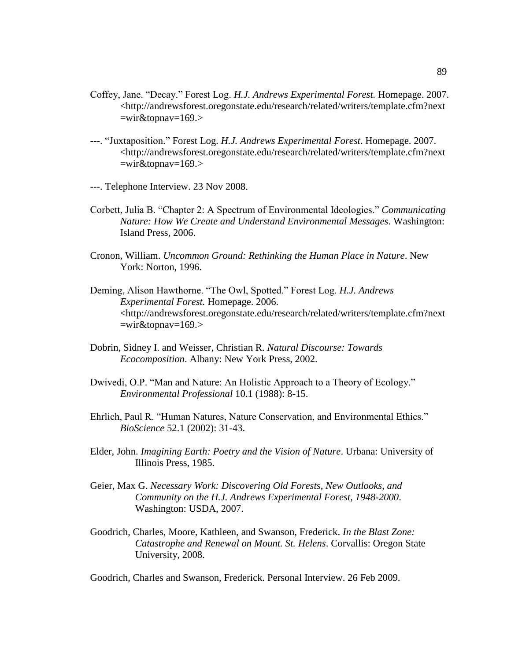- Coffey, Jane. "Decay." Forest Log. *H.J. Andrews Experimental Forest*. Homepage. 2007. <http://andrewsforest.oregonstate.edu/research/related/writers/template.cfm?next  $=$ wir $&$ topnav $=$ 169.>
- ---. ―Juxtaposition.‖ Forest Log. *H.J. Andrews Experimental Forest*. Homepage. 2007. <http://andrewsforest.oregonstate.edu/research/related/writers/template.cfm?next =wir&topnav=169.>
- ---. Telephone Interview. 23 Nov 2008.
- Corbett, Julia B. "Chapter 2: A Spectrum of Environmental Ideologies." *Communicating Nature: How We Create and Understand Environmental Messages*. Washington: Island Press, 2006.
- Cronon, William. *Uncommon Ground: Rethinking the Human Place in Nature*. New York: Norton, 1996.
- Deming, Alison Hawthorne. "The Owl, Spotted." Forest Log. *H.J. Andrews Experimental Forest.* Homepage. 2006. <http://andrewsforest.oregonstate.edu/research/related/writers/template.cfm?next  $=$ wir $&$ topnav $=$ 169.>
- Dobrin, Sidney I. and Weisser, Christian R. *Natural Discourse: Towards Ecocomposition*. Albany: New York Press, 2002.
- Dwivedi, O.P. "Man and Nature: An Holistic Approach to a Theory of Ecology." *Environmental Professional* 10.1 (1988): 8-15.
- Ehrlich, Paul R. "Human Natures, Nature Conservation, and Environmental Ethics." *BioScience* 52.1 (2002): 31-43.
- Elder, John. *Imagining Earth: Poetry and the Vision of Nature*. Urbana: University of Illinois Press, 1985.
- Geier, Max G. *Necessary Work: Discovering Old Forests, New Outlooks, and Community on the H.J. Andrews Experimental Forest, 1948-2000*. Washington: USDA, 2007.
- Goodrich, Charles, Moore, Kathleen, and Swanson, Frederick. *In the Blast Zone: Catastrophe and Renewal on Mount. St. Helens*. Corvallis: Oregon State University, 2008.

Goodrich, Charles and Swanson, Frederick. Personal Interview. 26 Feb 2009.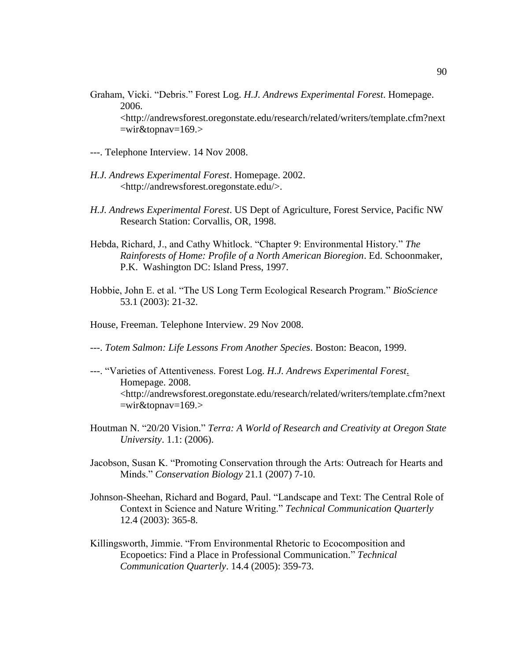Graham, Vicki. "Debris." Forest Log. *H.J. Andrews Experimental Forest*. Homepage. 2006.

<http://andrewsforest.oregonstate.edu/research/related/writers/template.cfm?next  $=$ wir $&$ topnav $=$ 169.>

- ---. Telephone Interview. 14 Nov 2008.
- *H.J. Andrews Experimental Forest*. Homepage. 2002. <http://andrewsforest.oregonstate.edu/>.
- *H.J. Andrews Experimental Forest*. US Dept of Agriculture, Forest Service, Pacific NW Research Station: Corvallis, OR, 1998.
- Hebda, Richard, J., and Cathy Whitlock. "Chapter 9: Environmental History." *The Rainforests of Home: Profile of a North American Bioregion*. Ed. Schoonmaker, P.K. Washington DC: Island Press, 1997.
- Hobbie, John E. et al. "The US Long Term Ecological Research Program." *BioScience* 53.1 (2003): 21-32.
- House, Freeman. Telephone Interview. 29 Nov 2008.
- ---. *Totem Salmon: Life Lessons From Another Species*. Boston: Beacon, 1999.
- ---. ―Varieties of Attentiveness. Forest Log. *H.J. Andrews Experimental Forest*. Homepage. 2008. <http://andrewsforest.oregonstate.edu/research/related/writers/template.cfm?next  $=$ wir $&$ topnav $=$ 169.>
- Houtman N. "20/20 Vision." *Terra: A World of Research and Creativity at Oregon State University*. 1.1: (2006).
- Jacobson, Susan K. "Promoting Conservation through the Arts: Outreach for Hearts and Minds.‖ *Conservation Biology* 21.1 (2007) 7-10.
- Johnson-Sheehan, Richard and Bogard, Paul. "Landscape and Text: The Central Role of Context in Science and Nature Writing." *Technical Communication Quarterly* 12.4 (2003): 365-8.
- Killingsworth, Jimmie. "From Environmental Rhetoric to Ecocomposition and Ecopoetics: Find a Place in Professional Communication." *Technical Communication Quarterly*. 14.4 (2005): 359-73.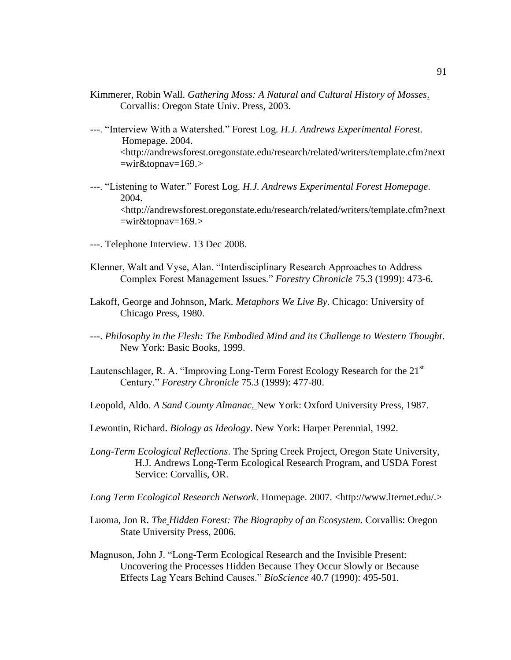- Kimmerer, Robin Wall. *Gathering Moss: A Natural and Cultural History of Mosses*. Corvallis: Oregon State Univ. Press, 2003.
- ---. ―Interview With a Watershed.‖ Forest Log. *H.J. Andrews Experimental Forest*. Homepage. 2004. <http://andrewsforest.oregonstate.edu/research/related/writers/template.cfm?next  $=$ wir $&$ topnav $=$ 169.>
- ---. ―Listening to Water.‖ Forest Log. *H.J. Andrews Experimental Forest Homepage*. 2004. <http://andrewsforest.oregonstate.edu/research/related/writers/template.cfm?next  $=$ wir $&$ topnav $=$ 169.>
- ---. Telephone Interview. 13 Dec 2008.
- Klenner, Walt and Vyse, Alan. "Interdisciplinary Research Approaches to Address Complex Forest Management Issues.‖ *Forestry Chronicle* 75.3 (1999): 473-6.
- Lakoff, George and Johnson, Mark. *Metaphors We Live By*. Chicago: University of Chicago Press, 1980.
- ---. *Philosophy in the Flesh: The Embodied Mind and its Challenge to Western Thought*. New York: Basic Books, 1999.
- Lautenschlager, R. A. "Improving Long-Term Forest Ecology Research for the  $21<sup>st</sup>$ Century.‖ *Forestry Chronicle* 75.3 (1999): 477-80.
- Leopold, Aldo. *A Sand County Almanac*. New York: Oxford University Press, 1987.
- Lewontin, Richard. *Biology as Ideology*. New York: Harper Perennial, 1992.
- *Long-Term Ecological Reflections*. The Spring Creek Project, Oregon State University, H.J. Andrews Long-Term Ecological Research Program, and USDA Forest Service: Corvallis, OR.
- *Long Term Ecological Research Network*. Homepage. 2007. <http://www.lternet.edu/.>
- Luoma, Jon R. *The Hidden Forest: The Biography of an Ecosystem*. Corvallis: Oregon State University Press, 2006.
- Magnuson, John J. "Long-Term Ecological Research and the Invisible Present: Uncovering the Processes Hidden Because They Occur Slowly or Because Effects Lag Years Behind Causes.‖ *BioScience* 40.7 (1990): 495-501.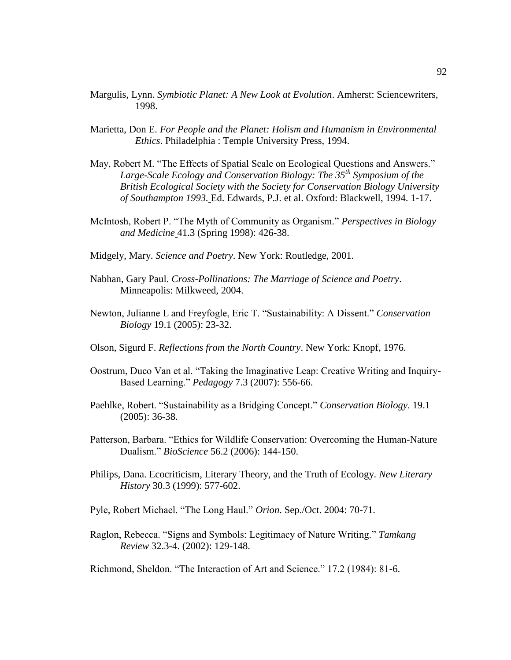- Margulis, Lynn. *Symbiotic Planet: A New Look at Evolution*. Amherst: Sciencewriters, 1998.
- Marietta, Don E. *For People and the Planet: Holism and Humanism in Environmental Ethics*. Philadelphia : Temple University Press, 1994.
- May, Robert M. "The Effects of Spatial Scale on Ecological Questions and Answers." *Large-Scale Ecology and Conservation Biology: The 35th Symposium of the British Ecological Society with the Society for Conservation Biology University of Southampton 1993.* Ed. Edwards, P.J. et al. Oxford: Blackwell, 1994. 1-17.
- McIntosh, Robert P. "The Myth of Community as Organism." *Perspectives in Biology and Medicine* 41.3 (Spring 1998): 426-38.
- Midgely, Mary. *Science and Poetry*. New York: Routledge, 2001.
- Nabhan, Gary Paul. *Cross-Pollinations: The Marriage of Science and Poetry*. Minneapolis: Milkweed, 2004.
- Newton, Julianne L and Freyfogle, Eric T. "Sustainability: A Dissent." *Conservation Biology* 19.1 (2005): 23-32.
- Olson, Sigurd F. *Reflections from the North Country*. New York: Knopf, 1976.
- Oostrum, Duco Van et al. "Taking the Imaginative Leap: Creative Writing and Inquiry-Based Learning." *Pedagogy* 7.3 (2007): 556-66.
- Paehlke, Robert. "Sustainability as a Bridging Concept." *Conservation Biology*. 19.1 (2005): 36-38.
- Patterson, Barbara. "Ethics for Wildlife Conservation: Overcoming the Human-Nature Dualism.‖ *BioScience* 56.2 (2006): 144-150.
- Philips, Dana. Ecocriticism, Literary Theory, and the Truth of Ecology. *New Literary History* 30.3 (1999): 577-602.
- Pyle, Robert Michael. "The Long Haul." Orion. Sep./Oct. 2004: 70-71.
- Raglon, Rebecca. "Signs and Symbols: Legitimacy of Nature Writing." Tamkang *Review* 32.3-4. (2002): 129-148.

Richmond, Sheldon. "The Interaction of Art and Science." 17.2 (1984): 81-6.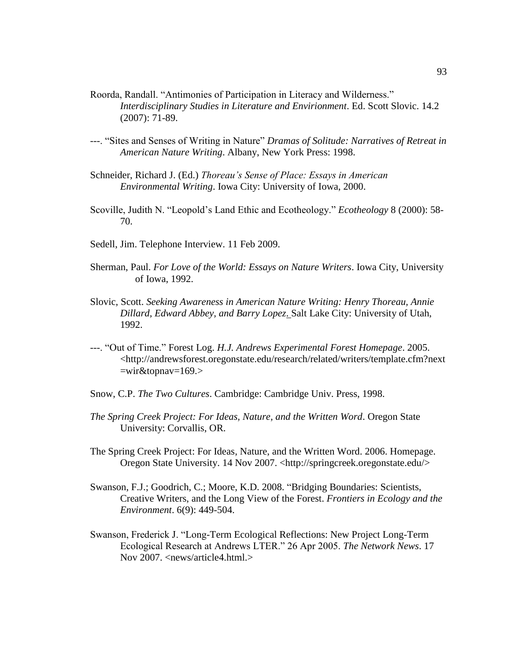- Roorda, Randall. "Antimonies of Participation in Literacy and Wilderness." *Interdisciplinary Studies in Literature and Envirionment*. Ed. Scott Slovic. 14.2 (2007): 71-89.
- ---. ―Sites and Senses of Writing in Nature‖ *Dramas of Solitude: Narratives of Retreat in American Nature Writing*. Albany, New York Press: 1998.
- Schneider, Richard J. (Ed.) *Thoreau's Sense of Place: Essays in American Environmental Writing*. Iowa City: University of Iowa, 2000.
- Scoville, Judith N. "Leopold's Land Ethic and Ecotheology." *Ecotheology* 8 (2000): 58-70.
- Sedell, Jim. Telephone Interview. 11 Feb 2009.
- Sherman, Paul. *For Love of the World: Essays on Nature Writers*. Iowa City, University of Iowa, 1992.
- Slovic, Scott. *Seeking Awareness in American Nature Writing: Henry Thoreau, Annie Dillard, Edward Abbey, and Barry Lopez*. Salt Lake City: University of Utah, 1992.
- ---. ―Out of Time.‖ Forest Log. *H.J. Andrews Experimental Forest Homepage*. 2005. <http://andrewsforest.oregonstate.edu/research/related/writers/template.cfm?next  $=$ wir $&$ topnav $=$ 169.>
- Snow, C.P. *The Two Cultures*. Cambridge: Cambridge Univ. Press, 1998.
- *The Spring Creek Project: For Ideas, Nature, and the Written Word*. Oregon State University: Corvallis, OR.
- The Spring Creek Project: For Ideas, Nature, and the Written Word. 2006. Homepage. Oregon State University. 14 Nov 2007. <http://springcreek.oregonstate.edu/>
- Swanson, F.J.; Goodrich, C.; Moore, K.D. 2008. "Bridging Boundaries: Scientists, Creative Writers, and the Long View of the Forest. *Frontiers in Ecology and the Environment*. 6(9): 449-504.
- Swanson, Frederick J. "Long-Term Ecological Reflections: New Project Long-Term Ecological Research at Andrews LTER." 26 Apr 2005. *The Network News*. 17 Nov 2007. <news/article4.html.>